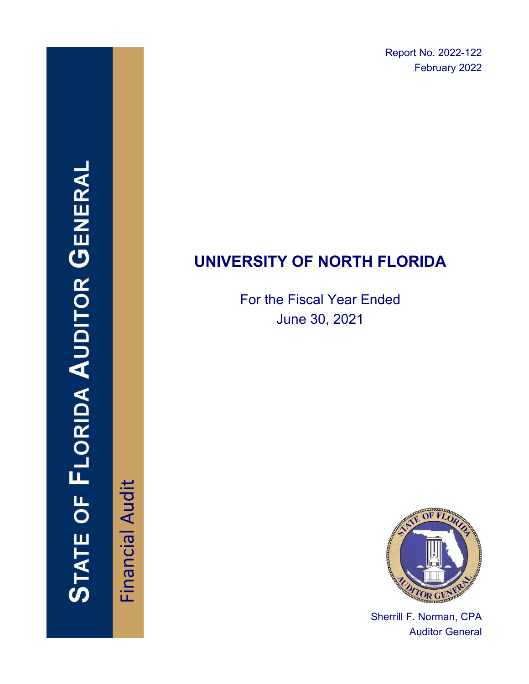Report No. 2022-122 February 2022

# **STATE OF FLORIDA AUDITOR GENERA**

Financial Audit Financial Audit

# **UNIVERSITY OF NORTH FLORIDA**

For the Fiscal Year Ended June 30, 2021



Sherrill F. Norman, CPA Auditor General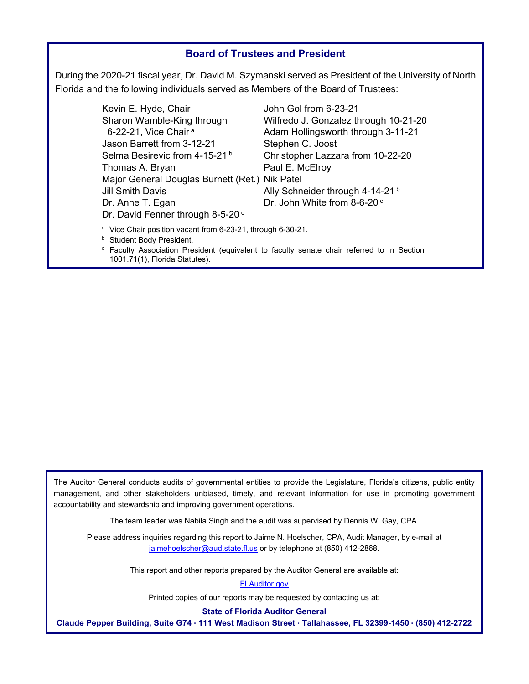### **Board of Trustees and President**

During the 2020-21 fiscal year, Dr. David M. Szymanski served as President of the University of North Florida and the following individuals served as Members of the Board of Trustees:

> Kevin E. Hyde, Chair **John Gol from 6-23-21** Jason Barrett from 3-12-21 Stephen C. Joost Selma Besirevic from 4-15-21<sup>b</sup> Christopher Lazzara from 10-22-20 Thomas A. Bryan **Paul E. McElroy** Major General Douglas Burnett (Ret.) Nik Patel Jill Smith Davis **Ally Schneider through 4-14-21** b Dr. Anne T. Egan Dr. John White from 8-6-20 $\degree$ Dr. David Fenner through 8-5-20<sup>c</sup>

Sharon Wamble-King through Wilfredo J. Gonzalez through 10-21-20 6-22-21, Vice Chair<sup>a</sup> Adam Hollingsworth through 3-11-21

a Vice Chair position vacant from 6-23-21, through 6-30-21.<br><sup>b</sup> Student Body President.<br><sup>c</sup> Faculty Association President (equivalent to faculty senate chair referred to in Section 1001.71(1), Florida Statutes).

The Auditor General conducts audits of governmental entities to provide the Legislature, Florida's citizens, public entity management, and other stakeholders unbiased, timely, and relevant information for use in promoting government accountability and stewardship and improving government operations.

The team leader was Nabila Singh and the audit was supervised by Dennis W. Gay, CPA.

Please address inquiries regarding this report to Jaime N. Hoelscher, CPA, Audit Manager, by e-mail at jaimehoelscher@aud.state.fl.us or by telephone at (850) 412-2868.

This report and other reports prepared by the Auditor General are available at:

[FLAuditor.gov](http://flauditor.gov/) 

Printed copies of our reports may be requested by contacting us at:

**State of Florida Auditor General** 

**Claude Pepper Building, Suite G74 · 111 West Madison Street · Tallahassee, FL 32399-1450 · (850) 412-2722**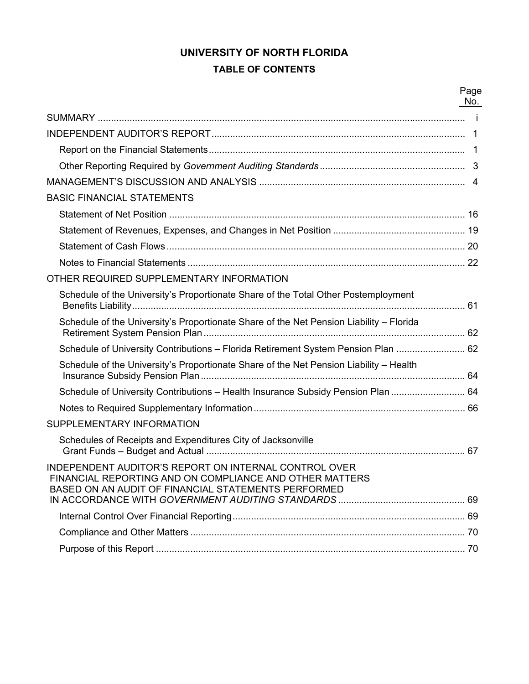# **UNIVERSITY OF NORTH FLORIDA TABLE OF CONTENTS**

Page

|                                                                                                                                                                         | <u>No.</u> |
|-------------------------------------------------------------------------------------------------------------------------------------------------------------------------|------------|
|                                                                                                                                                                         |            |
|                                                                                                                                                                         |            |
|                                                                                                                                                                         |            |
|                                                                                                                                                                         |            |
|                                                                                                                                                                         |            |
| <b>BASIC FINANCIAL STATEMENTS</b>                                                                                                                                       |            |
|                                                                                                                                                                         |            |
|                                                                                                                                                                         |            |
|                                                                                                                                                                         |            |
|                                                                                                                                                                         |            |
| OTHER REQUIRED SUPPLEMENTARY INFORMATION                                                                                                                                |            |
| Schedule of the University's Proportionate Share of the Total Other Postemployment                                                                                      |            |
| Schedule of the University's Proportionate Share of the Net Pension Liability - Florida                                                                                 |            |
| Schedule of University Contributions - Florida Retirement System Pension Plan  62                                                                                       |            |
| Schedule of the University's Proportionate Share of the Net Pension Liability - Health                                                                                  |            |
| Schedule of University Contributions – Health Insurance Subsidy Pension Plan  64                                                                                        |            |
|                                                                                                                                                                         |            |
| SUPPLEMENTARY INFORMATION                                                                                                                                               |            |
| Schedules of Receipts and Expenditures City of Jacksonville                                                                                                             |            |
| INDEPENDENT AUDITOR'S REPORT ON INTERNAL CONTROL OVER<br>FINANCIAL REPORTING AND ON COMPLIANCE AND OTHER MATTERS<br>BASED ON AN AUDIT OF FINANCIAL STATEMENTS PERFORMED |            |
|                                                                                                                                                                         |            |
|                                                                                                                                                                         |            |
|                                                                                                                                                                         |            |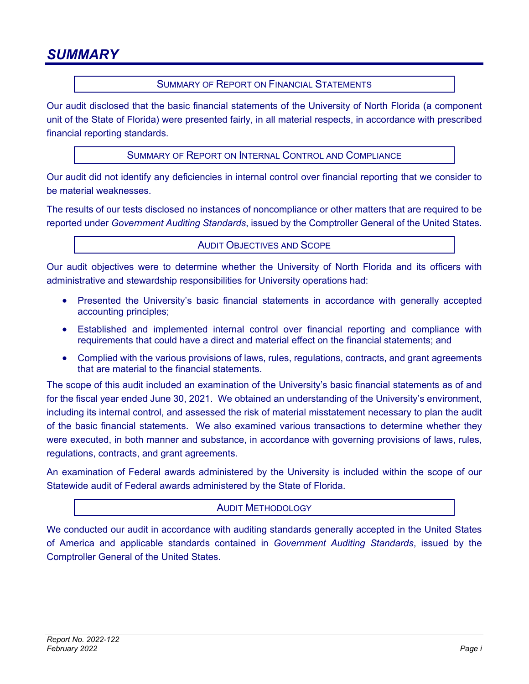# SUMMARY OF REPORT ON FINANCIAL STATEMENTS

<span id="page-3-0"></span>Our audit disclosed that the basic financial statements of the University of North Florida (a component unit of the State of Florida) were presented fairly, in all material respects, in accordance with prescribed financial reporting standards.

SUMMARY OF REPORT ON INTERNAL CONTROL AND COMPLIANCE

Our audit did not identify any deficiencies in internal control over financial reporting that we consider to be material weaknesses.

The results of our tests disclosed no instances of noncompliance or other matters that are required to be reported under *Government Auditing Standards*, issued by the Comptroller General of the United States.

#### AUDIT OBJECTIVES AND SCOPE

Our audit objectives were to determine whether the University of North Florida and its officers with administrative and stewardship responsibilities for University operations had:

- Presented the University's basic financial statements in accordance with generally accepted accounting principles;
- Established and implemented internal control over financial reporting and compliance with requirements that could have a direct and material effect on the financial statements; and
- Complied with the various provisions of laws, rules, regulations, contracts, and grant agreements that are material to the financial statements.

The scope of this audit included an examination of the University's basic financial statements as of and for the fiscal year ended June 30, 2021. We obtained an understanding of the University's environment, including its internal control, and assessed the risk of material misstatement necessary to plan the audit of the basic financial statements. We also examined various transactions to determine whether they were executed, in both manner and substance, in accordance with governing provisions of laws, rules, regulations, contracts, and grant agreements.

An examination of Federal awards administered by the University is included within the scope of our Statewide audit of Federal awards administered by the State of Florida.

# AUDIT METHODOLOGY

We conducted our audit in accordance with auditing standards generally accepted in the United States of America and applicable standards contained in *Government Auditing Standards*, issued by the Comptroller General of the United States.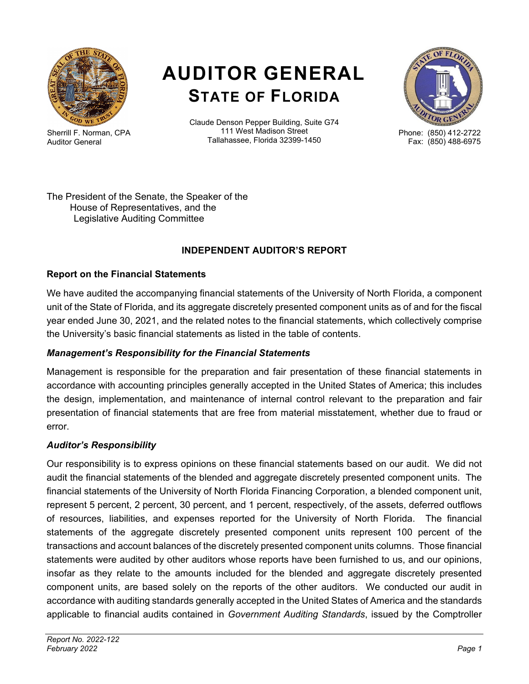<span id="page-4-0"></span>

Sherrill F. Norman, CPA Auditor General

# **AUDITOR GENERAL STATE OF FLORIDA**

Claude Denson Pepper Building, Suite G74 111 West Madison Street Tallahassee, Florida 32399-1450



Phone: (850) 412-2722 Fax: (850) 488-6975

The President of the Senate, the Speaker of the House of Representatives, and the Legislative Auditing Committee

# **INDEPENDENT AUDITOR'S REPORT**

# **Report on the Financial Statements**

We have audited the accompanying financial statements of the University of North Florida, a component unit of the State of Florida, and its aggregate discretely presented component units as of and for the fiscal year ended June 30, 2021, and the related notes to the financial statements, which collectively comprise the University's basic financial statements as listed in the table of contents.

# *Management's Responsibility for the Financial Statements*

Management is responsible for the preparation and fair presentation of these financial statements in accordance with accounting principles generally accepted in the United States of America; this includes the design, implementation, and maintenance of internal control relevant to the preparation and fair presentation of financial statements that are free from material misstatement, whether due to fraud or error.

# *Auditor's Responsibility*

Our responsibility is to express opinions on these financial statements based on our audit. We did not audit the financial statements of the blended and aggregate discretely presented component units. The financial statements of the University of North Florida Financing Corporation, a blended component unit, represent 5 percent, 2 percent, 30 percent, and 1 percent, respectively, of the assets, deferred outflows of resources, liabilities, and expenses reported for the University of North Florida. The financial statements of the aggregate discretely presented component units represent 100 percent of the transactions and account balances of the discretely presented component units columns. Those financial statements were audited by other auditors whose reports have been furnished to us, and our opinions, insofar as they relate to the amounts included for the blended and aggregate discretely presented component units, are based solely on the reports of the other auditors. We conducted our audit in accordance with auditing standards generally accepted in the United States of America and the standards applicable to financial audits contained in *Government Auditing Standards*, issued by the Comptroller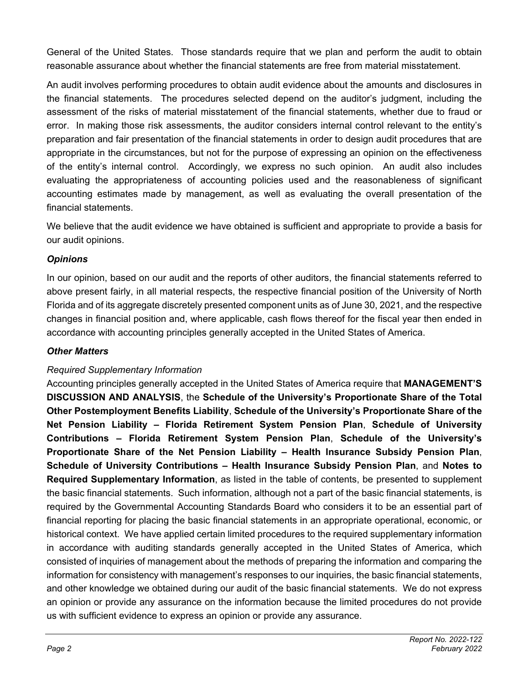General of the United States. Those standards require that we plan and perform the audit to obtain reasonable assurance about whether the financial statements are free from material misstatement.

An audit involves performing procedures to obtain audit evidence about the amounts and disclosures in the financial statements. The procedures selected depend on the auditor's judgment, including the assessment of the risks of material misstatement of the financial statements, whether due to fraud or error. In making those risk assessments, the auditor considers internal control relevant to the entity's preparation and fair presentation of the financial statements in order to design audit procedures that are appropriate in the circumstances, but not for the purpose of expressing an opinion on the effectiveness of the entity's internal control. Accordingly, we express no such opinion. An audit also includes evaluating the appropriateness of accounting policies used and the reasonableness of significant accounting estimates made by management, as well as evaluating the overall presentation of the financial statements.

We believe that the audit evidence we have obtained is sufficient and appropriate to provide a basis for our audit opinions.

# *Opinions*

In our opinion, based on our audit and the reports of other auditors, the financial statements referred to above present fairly, in all material respects, the respective financial position of the University of North Florida and of its aggregate discretely presented component units as of June 30, 2021, and the respective changes in financial position and, where applicable, cash flows thereof for the fiscal year then ended in accordance with accounting principles generally accepted in the United States of America.

# *Other Matters*

# *Required Supplementary Information*

Accounting principles generally accepted in the United States of America require that **MANAGEMENT'S DISCUSSION AND ANALYSIS**, the **Schedule of the University's Proportionate Share of the Total Other Postemployment Benefits Liability**, **Schedule of the University's Proportionate Share of the Net Pension Liability – Florida Retirement System Pension Plan**, **Schedule of University Contributions – Florida Retirement System Pension Plan**, **Schedule of the University's Proportionate Share of the Net Pension Liability – Health Insurance Subsidy Pension Plan**, **Schedule of University Contributions – Health Insurance Subsidy Pension Plan**, and **Notes to Required Supplementary Information**, as listed in the table of contents, be presented to supplement the basic financial statements. Such information, although not a part of the basic financial statements, is required by the Governmental Accounting Standards Board who considers it to be an essential part of financial reporting for placing the basic financial statements in an appropriate operational, economic, or historical context. We have applied certain limited procedures to the required supplementary information in accordance with auditing standards generally accepted in the United States of America, which consisted of inquiries of management about the methods of preparing the information and comparing the information for consistency with management's responses to our inquiries, the basic financial statements, and other knowledge we obtained during our audit of the basic financial statements. We do not express an opinion or provide any assurance on the information because the limited procedures do not provide us with sufficient evidence to express an opinion or provide any assurance.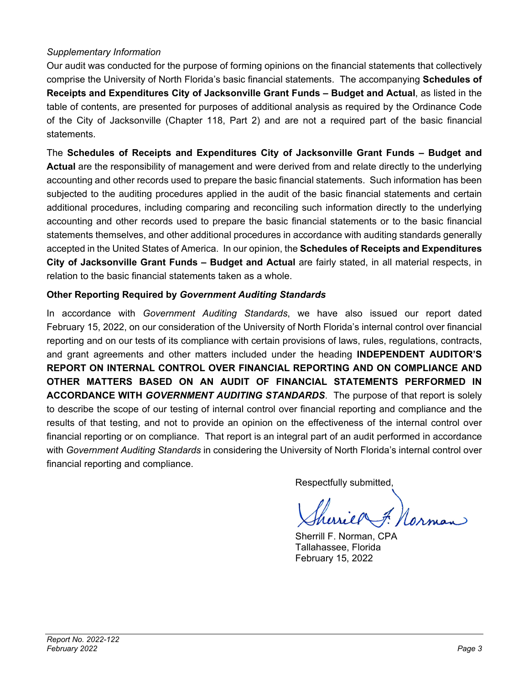# <span id="page-6-0"></span>*Supplementary Information*

Our audit was conducted for the purpose of forming opinions on the financial statements that collectively comprise the University of North Florida's basic financial statements. The accompanying **Schedules of Receipts and Expenditures City of Jacksonville Grant Funds – Budget and Actual**, as listed in the table of contents, are presented for purposes of additional analysis as required by the Ordinance Code of the City of Jacksonville (Chapter 118, Part 2) and are not a required part of the basic financial statements.

The **Schedules of Receipts and Expenditures City of Jacksonville Grant Funds – Budget and Actual** are the responsibility of management and were derived from and relate directly to the underlying accounting and other records used to prepare the basic financial statements. Such information has been subjected to the auditing procedures applied in the audit of the basic financial statements and certain additional procedures, including comparing and reconciling such information directly to the underlying accounting and other records used to prepare the basic financial statements or to the basic financial statements themselves, and other additional procedures in accordance with auditing standards generally accepted in the United States of America. In our opinion, the **Schedules of Receipts and Expenditures City of Jacksonville Grant Funds – Budget and Actual** are fairly stated, in all material respects, in relation to the basic financial statements taken as a whole.

# **Other Reporting Required by** *Government Auditing Standards*

In accordance with *Government Auditing Standards*, we have also issued our report dated February 15, 2022, on our consideration of the University of North Florida's internal control over financial reporting and on our tests of its compliance with certain provisions of laws, rules, regulations, contracts, and grant agreements and other matters included under the heading **INDEPENDENT AUDITOR'S REPORT ON INTERNAL CONTROL OVER FINANCIAL REPORTING AND ON COMPLIANCE AND OTHER MATTERS BASED ON AN AUDIT OF FINANCIAL STATEMENTS PERFORMED IN ACCORDANCE WITH** *GOVERNMENT AUDITING STANDARDS*. The purpose of that report is solely to describe the scope of our testing of internal control over financial reporting and compliance and the results of that testing, and not to provide an opinion on the effectiveness of the internal control over financial reporting or on compliance. That report is an integral part of an audit performed in accordance with *Government Auditing Standards* in considering the University of North Florida's internal control over financial reporting and compliance.

Respectfully submitted,

Sherrill F. Norman, CPA Tallahassee, Florida February 15, 2022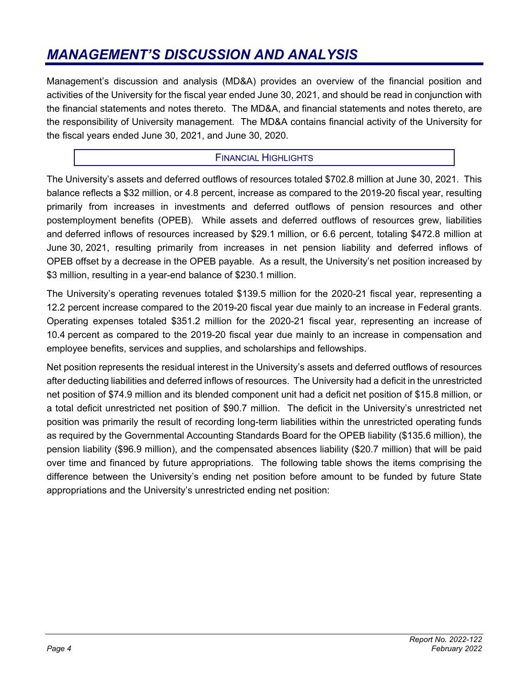# <span id="page-7-0"></span>*MANAGEMENT'S DISCUSSION AND ANALYSIS*

Management's discussion and analysis (MD&A) provides an overview of the financial position and activities of the University for the fiscal year ended June 30, 2021, and should be read in conjunction with the financial statements and notes thereto. The MD&A, and financial statements and notes thereto, are the responsibility of University management. The MD&A contains financial activity of the University for the fiscal years ended June 30, 2021, and June 30, 2020.

# FINANCIAL HIGHLIGHTS

The University's assets and deferred outflows of resources totaled \$702.8 million at June 30, 2021. This balance reflects a \$32 million, or 4.8 percent, increase as compared to the 2019-20 fiscal year, resulting primarily from increases in investments and deferred outflows of pension resources and other postemployment benefits (OPEB). While assets and deferred outflows of resources grew, liabilities and deferred inflows of resources increased by \$29.1 million, or 6.6 percent, totaling \$472.8 million at June 30, 2021, resulting primarily from increases in net pension liability and deferred inflows of OPEB offset by a decrease in the OPEB payable. As a result, the University's net position increased by \$3 million, resulting in a year-end balance of \$230.1 million.

The University's operating revenues totaled \$139.5 million for the 2020-21 fiscal year, representing a 12.2 percent increase compared to the 2019-20 fiscal year due mainly to an increase in Federal grants. Operating expenses totaled \$351.2 million for the 2020-21 fiscal year, representing an increase of 10.4 percent as compared to the 2019-20 fiscal year due mainly to an increase in compensation and employee benefits, services and supplies, and scholarships and fellowships.

Net position represents the residual interest in the University's assets and deferred outflows of resources after deducting liabilities and deferred inflows of resources. The University had a deficit in the unrestricted net position of \$74.9 million and its blended component unit had a deficit net position of \$15.8 million, or a total deficit unrestricted net position of \$90.7 million. The deficit in the University's unrestricted net position was primarily the result of recording long-term liabilities within the unrestricted operating funds as required by the Governmental Accounting Standards Board for the OPEB liability (\$135.6 million), the pension liability (\$96.9 million), and the compensated absences liability (\$20.7 million) that will be paid over time and financed by future appropriations. The following table shows the items comprising the difference between the University's ending net position before amount to be funded by future State appropriations and the University's unrestricted ending net position: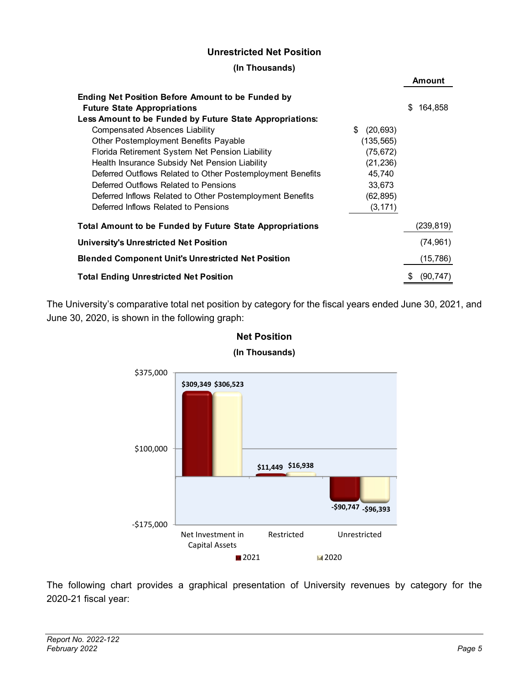# **Unrestricted Net Position**

#### **(In Thousands)**

|                                                                                                |                 | AIIIvuil       |
|------------------------------------------------------------------------------------------------|-----------------|----------------|
| <b>Ending Net Position Before Amount to be Funded by</b><br><b>Future State Appropriations</b> |                 | 164,858<br>\$. |
| Less Amount to be Funded by Future State Appropriations:                                       |                 |                |
| <b>Compensated Absences Liability</b>                                                          | \$<br>(20, 693) |                |
| Other Postemployment Benefits Payable                                                          | (135, 565)      |                |
| Florida Retirement System Net Pension Liability                                                | (75,672)        |                |
| Health Insurance Subsidy Net Pension Liability                                                 | (21, 236)       |                |
| Deferred Outflows Related to Other Postemployment Benefits                                     | 45,740          |                |
| Deferred Outflows Related to Pensions                                                          | 33,673          |                |
| Deferred Inflows Related to Other Postemployment Benefits                                      | (62, 895)       |                |
| Deferred Inflows Related to Pensions                                                           | (3, 171)        |                |
| <b>Total Amount to be Funded by Future State Appropriations</b>                                |                 | (239,819)      |
| University's Unrestricted Net Position                                                         |                 | (74, 961)      |
| <b>Blended Component Unit's Unrestricted Net Position</b>                                      |                 | (15, 786)      |
| <b>Total Ending Unrestricted Net Position</b>                                                  |                 | (90,747)       |

The University's comparative total net position by category for the fiscal years ended June 30, 2021, and June 30, 2020, is shown in the following graph:



# **Net Position (In Thousands)**

The following chart provides a graphical presentation of University revenues by category for the 2020-21 fiscal year:

**Amount**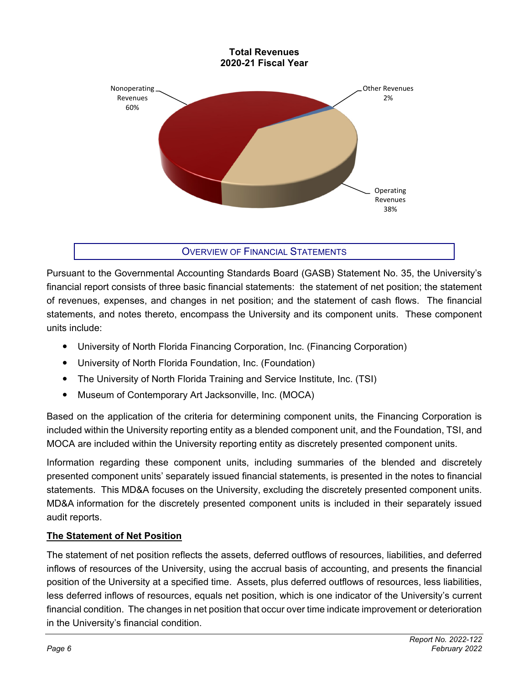

OVERVIEW OF FINANCIAL STATEMENTS

Pursuant to the Governmental Accounting Standards Board (GASB) Statement No. 35, the University's financial report consists of three basic financial statements: the statement of net position; the statement of revenues, expenses, and changes in net position; and the statement of cash flows. The financial statements, and notes thereto, encompass the University and its component units. These component units include:

- University of North Florida Financing Corporation, Inc. (Financing Corporation)
- University of North Florida Foundation, Inc. (Foundation)
- The University of North Florida Training and Service Institute, Inc. (TSI)
- Museum of Contemporary Art Jacksonville, Inc. (MOCA)

Based on the application of the criteria for determining component units, the Financing Corporation is included within the University reporting entity as a blended component unit, and the Foundation, TSI, and MOCA are included within the University reporting entity as discretely presented component units.

Information regarding these component units, including summaries of the blended and discretely presented component units' separately issued financial statements, is presented in the notes to financial statements. This MD&A focuses on the University, excluding the discretely presented component units. MD&A information for the discretely presented component units is included in their separately issued audit reports.

# **The Statement of Net Position**

The statement of net position reflects the assets, deferred outflows of resources, liabilities, and deferred inflows of resources of the University, using the accrual basis of accounting, and presents the financial position of the University at a specified time. Assets, plus deferred outflows of resources, less liabilities, less deferred inflows of resources, equals net position, which is one indicator of the University's current financial condition. The changes in net position that occur over time indicate improvement or deterioration in the University's financial condition.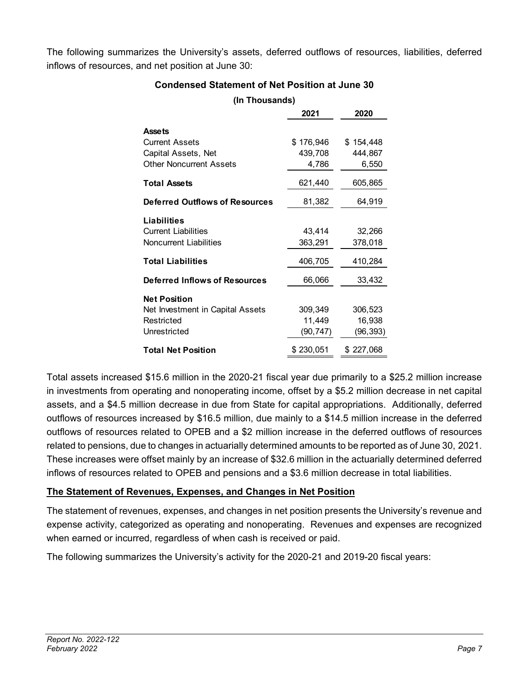The following summarizes the University's assets, deferred outflows of resources, liabilities, deferred inflows of resources, and net position at June 30:

### **Condensed Statement of Net Position at June 30**

| (In Thousands)                        |           |           |  |
|---------------------------------------|-----------|-----------|--|
|                                       | 2021      | 2020      |  |
| <b>Assets</b>                         |           |           |  |
| <b>Current Assets</b>                 | \$176,946 | \$154,448 |  |
| Capital Assets, Net                   | 439,708   | 444,867   |  |
| <b>Other Noncurrent Assets</b>        | 4,786     | 6,550     |  |
| <b>Total Assets</b>                   | 621,440   | 605,865   |  |
| <b>Deferred Outflows of Resources</b> | 81,382    | 64,919    |  |
| Liabilities                           |           |           |  |
| <b>Current Liabilities</b>            | 43,414    | 32,266    |  |
| <b>Noncurrent Liabilities</b>         | 363,291   | 378,018   |  |
| <b>Total Liabilities</b>              | 406,705   | 410,284   |  |
| Deferred Inflows of Resources         | 66,066    | 33,432    |  |
| <b>Net Position</b>                   |           |           |  |
| Net Investment in Capital Assets      | 309,349   | 306,523   |  |
| Restricted                            | 11,449    | 16,938    |  |
| Unrestricted                          | (90, 747) | (96, 393) |  |
| <b>Total Net Position</b>             | \$230,051 | \$227,068 |  |

Total assets increased \$15.6 million in the 2020-21 fiscal year due primarily to a \$25.2 million increase in investments from operating and nonoperating income, offset by a \$5.2 million decrease in net capital assets, and a \$4.5 million decrease in due from State for capital appropriations. Additionally, deferred outflows of resources increased by \$16.5 million, due mainly to a \$14.5 million increase in the deferred outflows of resources related to OPEB and a \$2 million increase in the deferred outflows of resources related to pensions, due to changes in actuarially determined amounts to be reported as of June 30, 2021. These increases were offset mainly by an increase of \$32.6 million in the actuarially determined deferred inflows of resources related to OPEB and pensions and a \$3.6 million decrease in total liabilities.

# **The Statement of Revenues, Expenses, and Changes in Net Position**

The statement of revenues, expenses, and changes in net position presents the University's revenue and expense activity, categorized as operating and nonoperating. Revenues and expenses are recognized when earned or incurred, regardless of when cash is received or paid.

The following summarizes the University's activity for the 2020-21 and 2019-20 fiscal years: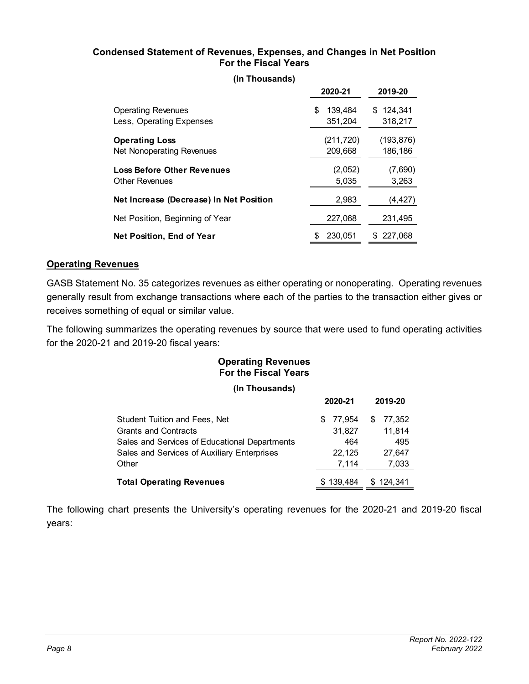#### **Condensed Statement of Revenues, Expenses, and Changes in Net Position For the Fiscal Years**

| (In Thousands) |  |
|----------------|--|
|                |  |

|                                         | 2020-21       | 2019-20       |
|-----------------------------------------|---------------|---------------|
| <b>Operating Revenues</b>               | \$<br>139.484 | 124.341<br>\$ |
| Less, Operating Expenses                | 351,204       | 318,217       |
| <b>Operating Loss</b>                   | (211, 720)    | (193, 876)    |
| Net Nonoperating Revenues               | 209,668       | 186,186       |
| <b>Loss Before Other Revenues</b>       | (2,052)       | (7,690)       |
| <b>Other Revenues</b>                   | 5,035         | 3,263         |
| Net Increase (Decrease) In Net Position | 2,983         | (4, 427)      |
| Net Position, Beginning of Year         | 227,068       | 231,495       |
| <b>Net Position, End of Year</b>        | 230.051<br>S  | \$227.068     |

#### **Operating Revenues**

GASB Statement No. 35 categorizes revenues as either operating or nonoperating. Operating revenues generally result from exchange transactions where each of the parties to the transaction either gives or receives something of equal or similar value.

The following summarizes the operating revenues by source that were used to fund operating activities for the 2020-21 and 2019-20 fiscal years:

### **Operating Revenues For the Fiscal Years**

#### **(In Thousands)**

|                                                                                                                                                                     | 2020-21                                | 2019-20                                |
|---------------------------------------------------------------------------------------------------------------------------------------------------------------------|----------------------------------------|----------------------------------------|
| <b>Student Tuition and Fees, Net</b><br><b>Grants and Contracts</b><br>Sales and Services of Educational Departments<br>Sales and Services of Auxiliary Enterprises | 77.954<br>S<br>31,827<br>464<br>22,125 | 77.352<br>S<br>11,814<br>495<br>27,647 |
| Other                                                                                                                                                               | 7,114                                  | 7,033                                  |
| <b>Total Operating Revenues</b>                                                                                                                                     | \$139.484                              | \$124.341                              |

The following chart presents the University's operating revenues for the 2020-21 and 2019-20 fiscal years: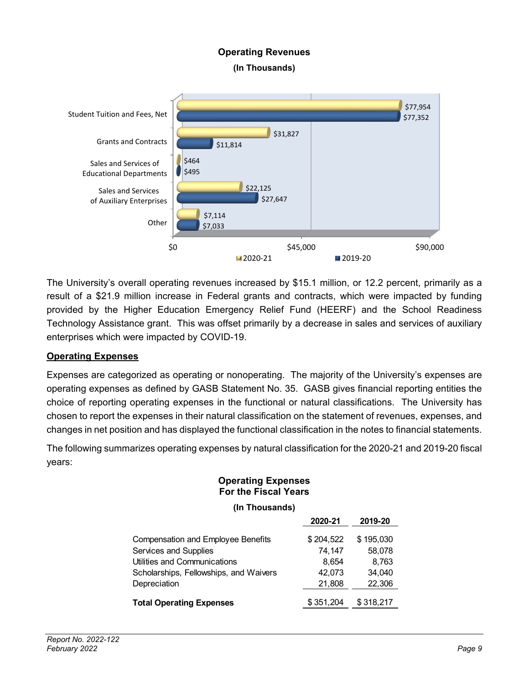# **Operating Revenues (In Thousands)**



The University's overall operating revenues increased by \$15.1 million, or 12.2 percent, primarily as a result of a \$21.9 million increase in Federal grants and contracts, which were impacted by funding provided by the Higher Education Emergency Relief Fund (HEERF) and the School Readiness Technology Assistance grant. This was offset primarily by a decrease in sales and services of auxiliary enterprises which were impacted by COVID-19.

# **Operating Expenses**

Expenses are categorized as operating or nonoperating. The majority of the University's expenses are operating expenses as defined by GASB Statement No. 35. GASB gives financial reporting entities the choice of reporting operating expenses in the functional or natural classifications. The University has chosen to report the expenses in their natural classification on the statement of revenues, expenses, and changes in net position and has displayed the functional classification in the notes to financial statements.

The following summarizes operating expenses by natural classification for the 2020-21 and 2019-20 fiscal years:

# **Operating Expenses For the Fiscal Years**

#### **(In Thousands)**

|                                           | 2020-21   | 2019-20   |
|-------------------------------------------|-----------|-----------|
|                                           |           |           |
| <b>Compensation and Employee Benefits</b> | \$204,522 | \$195,030 |
| Services and Supplies                     | 74,147    | 58,078    |
| Utilities and Communications              | 8.654     | 8,763     |
| Scholarships, Fellowships, and Waivers    | 42,073    | 34,040    |
| Depreciation                              | 21,808    | 22,306    |
| <b>Total Operating Expenses</b>           | \$351,204 | \$318,217 |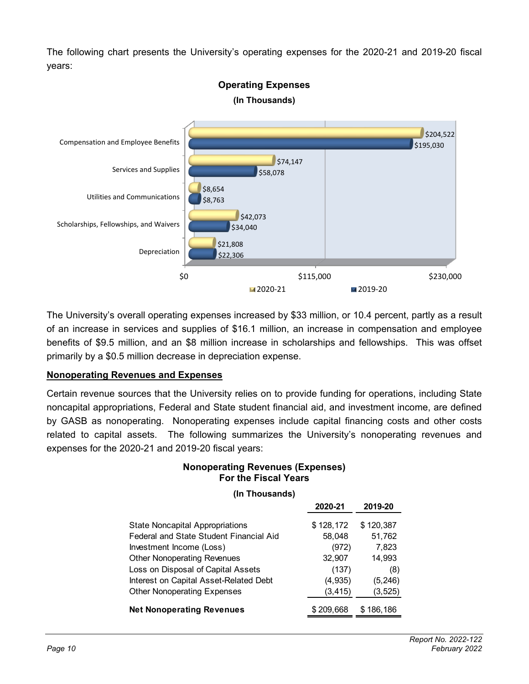The following chart presents the University's operating expenses for the 2020-21 and 2019-20 fiscal years:



The University's overall operating expenses increased by \$33 million, or 10.4 percent, partly as a result of an increase in services and supplies of \$16.1 million, an increase in compensation and employee benefits of \$9.5 million, and an \$8 million increase in scholarships and fellowships. This was offset primarily by a \$0.5 million decrease in depreciation expense.

#### **Nonoperating Revenues and Expenses**

Certain revenue sources that the University relies on to provide funding for operations, including State noncapital appropriations, Federal and State student financial aid, and investment income, are defined by GASB as nonoperating. Nonoperating expenses include capital financing costs and other costs related to capital assets. The following summarizes the University's nonoperating revenues and expenses for the 2020-21 and 2019-20 fiscal years:

#### **Nonoperating Revenues (Expenses) For the Fiscal Years**

|                                         | 2020-21   | 2019-20   |
|-----------------------------------------|-----------|-----------|
| <b>State Noncapital Appropriations</b>  | \$128,172 | \$120,387 |
| Federal and State Student Financial Aid | 58,048    | 51,762    |
| Investment Income (Loss)                | (972)     | 7,823     |
| <b>Other Nonoperating Revenues</b>      | 32,907    | 14,993    |
| Loss on Disposal of Capital Assets      | (137)     | (8)       |
| Interest on Capital Asset-Related Debt  | (4, 935)  | (5, 246)  |
| <b>Other Nonoperating Expenses</b>      | (3, 415)  | (3, 525)  |
| <b>Net Nonoperating Revenues</b>        | \$209,668 | \$186,186 |

# **(In Thousands)**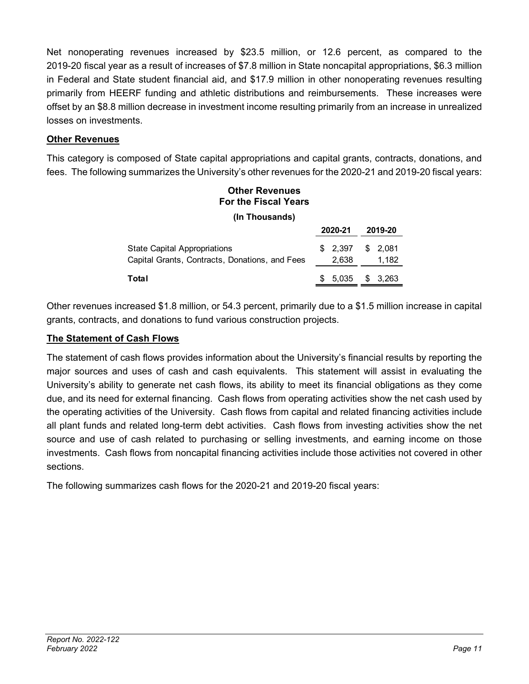Net nonoperating revenues increased by \$23.5 million, or 12.6 percent, as compared to the 2019-20 fiscal year as a result of increases of \$7.8 million in State noncapital appropriations, \$6.3 million in Federal and State student financial aid, and \$17.9 million in other nonoperating revenues resulting primarily from HEERF funding and athletic distributions and reimbursements. These increases were offset by an \$8.8 million decrease in investment income resulting primarily from an increase in unrealized losses on investments.

# **Other Revenues**

This category is composed of State capital appropriations and capital grants, contracts, donations, and fees. The following summarizes the University's other revenues for the 2020-21 and 2019-20 fiscal years:

### **Other Revenues For the Fiscal Years**

|  |  | (In Thousands) |
|--|--|----------------|
|--|--|----------------|

|                                                                                       | 2020-21                    | 2019-20 |
|---------------------------------------------------------------------------------------|----------------------------|---------|
| <b>State Capital Appropriations</b><br>Capital Grants, Contracts, Donations, and Fees | $$2,397$ $$2,081$<br>2.638 | 1.182   |
| Total                                                                                 | $$5,035$ $$3,263$          |         |

Other revenues increased \$1.8 million, or 54.3 percent, primarily due to a \$1.5 million increase in capital grants, contracts, and donations to fund various construction projects.

# **The Statement of Cash Flows**

The statement of cash flows provides information about the University's financial results by reporting the major sources and uses of cash and cash equivalents. This statement will assist in evaluating the University's ability to generate net cash flows, its ability to meet its financial obligations as they come due, and its need for external financing. Cash flows from operating activities show the net cash used by the operating activities of the University. Cash flows from capital and related financing activities include all plant funds and related long-term debt activities. Cash flows from investing activities show the net source and use of cash related to purchasing or selling investments, and earning income on those investments. Cash flows from noncapital financing activities include those activities not covered in other sections.

The following summarizes cash flows for the 2020-21 and 2019-20 fiscal years: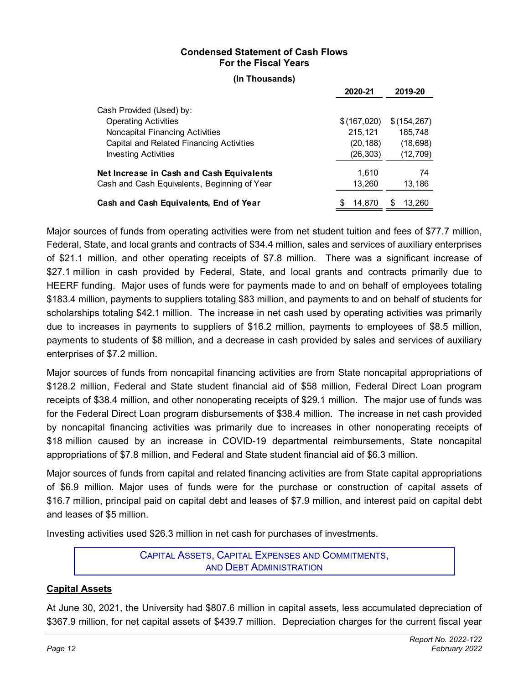#### **Condensed Statement of Cash Flows For the Fiscal Years**

**(In Thousands)** 

**2020-21 2019-20**

|                                                                                                                                                                                     | LULU-L I                                        | 2013-20                                          |
|-------------------------------------------------------------------------------------------------------------------------------------------------------------------------------------|-------------------------------------------------|--------------------------------------------------|
| Cash Provided (Used) by:<br><b>Operating Activities</b><br><b>Noncapital Financing Activities</b><br><b>Capital and Related Financing Activities</b><br><b>Investing Activities</b> | \$(167,020)<br>215,121<br>(20,188)<br>(26, 303) | \$(154,267)<br>185,748<br>(18, 698)<br>(12, 709) |
| Net Increase in Cash and Cash Equivalents<br>Cash and Cash Equivalents, Beginning of Year                                                                                           | 1,610<br>13,260                                 | 74<br>13,186                                     |
| Cash and Cash Equivalents, End of Year                                                                                                                                              | 14.870<br>S                                     | 13.260                                           |

Major sources of funds from operating activities were from net student tuition and fees of \$77.7 million, Federal, State, and local grants and contracts of \$34.4 million, sales and services of auxiliary enterprises of \$21.1 million, and other operating receipts of \$7.8 million. There was a significant increase of \$27.1 million in cash provided by Federal, State, and local grants and contracts primarily due to HEERF funding. Major uses of funds were for payments made to and on behalf of employees totaling \$183.4 million, payments to suppliers totaling \$83 million, and payments to and on behalf of students for scholarships totaling \$42.1 million. The increase in net cash used by operating activities was primarily due to increases in payments to suppliers of \$16.2 million, payments to employees of \$8.5 million, payments to students of \$8 million, and a decrease in cash provided by sales and services of auxiliary enterprises of \$7.2 million.

Major sources of funds from noncapital financing activities are from State noncapital appropriations of \$128.2 million, Federal and State student financial aid of \$58 million, Federal Direct Loan program receipts of \$38.4 million, and other nonoperating receipts of \$29.1 million. The major use of funds was for the Federal Direct Loan program disbursements of \$38.4 million. The increase in net cash provided by noncapital financing activities was primarily due to increases in other nonoperating receipts of \$18 million caused by an increase in COVID-19 departmental reimbursements, State noncapital appropriations of \$7.8 million, and Federal and State student financial aid of \$6.3 million.

Major sources of funds from capital and related financing activities are from State capital appropriations of \$6.9 million. Major uses of funds were for the purchase or construction of capital assets of \$16.7 million, principal paid on capital debt and leases of \$7.9 million, and interest paid on capital debt and leases of \$5 million.

Investing activities used \$26.3 million in net cash for purchases of investments.

CAPITAL ASSETS, CAPITAL EXPENSES AND COMMITMENTS, AND DEBT ADMINISTRATION

# **Capital Assets**

At June 30, 2021, the University had \$807.6 million in capital assets, less accumulated depreciation of \$367.9 million, for net capital assets of \$439.7 million. Depreciation charges for the current fiscal year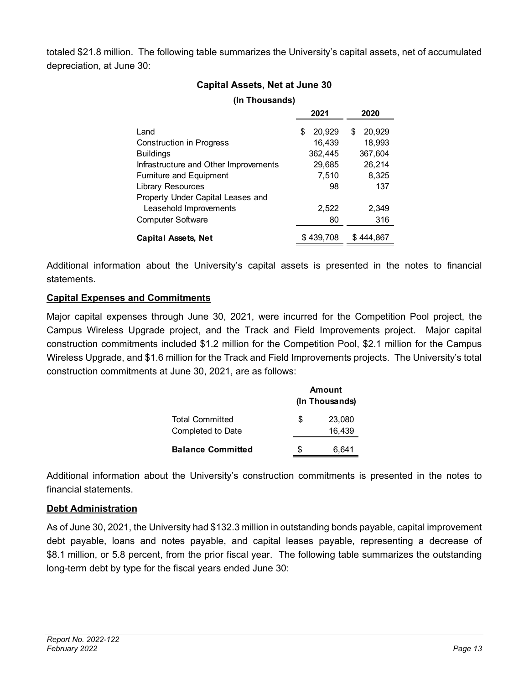totaled \$21.8 million. The following table summarizes the University's capital assets, net of accumulated depreciation, at June 30:

|                                       | 2021         | 2020         |
|---------------------------------------|--------------|--------------|
| Land                                  | 20,929<br>\$ | 20,929<br>\$ |
| Construction in Progress              | 16,439       | 18,993       |
| <b>Buildings</b>                      | 362,445      | 367,604      |
| Infrastructure and Other Improvements | 29,685       | 26,214       |
| <b>Furniture and Equipment</b>        | 7,510        | 8,325        |
| Library Resources                     | 98           | 137          |
| Property Under Capital Leases and     |              |              |
| Leasehold Improvements                | 2,522        | 2,349        |
| Computer Software                     | 80           | 316          |
| <b>Capital Assets, Net</b>            | \$439,708    | \$444.867    |

# **Capital Assets, Net at June 30 (In Thousands)**

Additional information about the University's capital assets is presented in the notes to financial statements.

# **Capital Expenses and Commitments**

Major capital expenses through June 30, 2021, were incurred for the Competition Pool project, the Campus Wireless Upgrade project, and the Track and Field Improvements project. Major capital construction commitments included \$1.2 million for the Competition Pool, \$2.1 million for the Campus Wireless Upgrade, and \$1.6 million for the Track and Field Improvements projects. The University's total construction commitments at June 30, 2021, are as follows:

|                                             |    | Amount<br>(In Thousands) |  |  |
|---------------------------------------------|----|--------------------------|--|--|
| <b>Total Committed</b><br>Completed to Date | S  | 23,080<br>16,439         |  |  |
| <b>Balance Committed</b>                    | S. | 6,641                    |  |  |

Additional information about the University's construction commitments is presented in the notes to financial statements.

# **Debt Administration**

As of June 30, 2021, the University had \$132.3 million in outstanding bonds payable, capital improvement debt payable, loans and notes payable, and capital leases payable, representing a decrease of \$8.1 million, or 5.8 percent, from the prior fiscal year. The following table summarizes the outstanding long-term debt by type for the fiscal years ended June 30: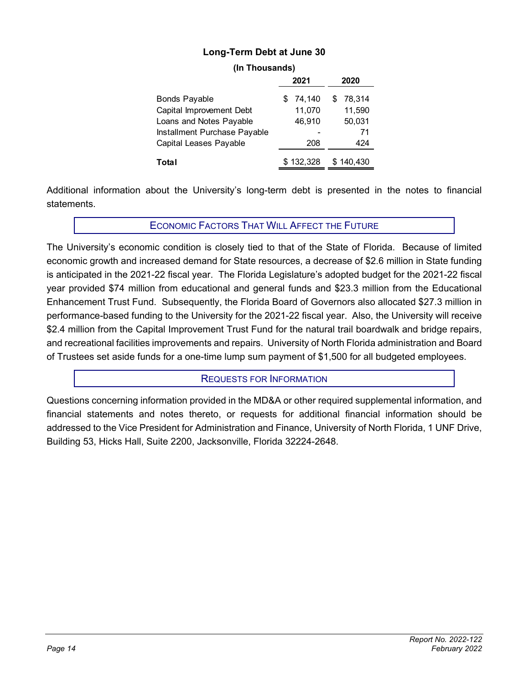# **Long-Term Debt at June 30**

|                                                     | 2021             | 2020             |
|-----------------------------------------------------|------------------|------------------|
| <b>Bonds Payable</b>                                | 74.140<br>S      | 78.314<br>S      |
| Capital Improvement Debt<br>Loans and Notes Payable | 11,070<br>46,910 | 11,590<br>50,031 |
| Installment Purchase Payable                        |                  | 71               |
| Capital Leases Payable                              | 208              | 424              |
| Total                                               | \$132,328        | \$140,430        |

#### **(In Thousands)**

Additional information about the University's long-term debt is presented in the notes to financial statements.

ECONOMIC FACTORS THAT WILL AFFECT THE FUTURE

The University's economic condition is closely tied to that of the State of Florida. Because of limited economic growth and increased demand for State resources, a decrease of \$2.6 million in State funding is anticipated in the 2021-22 fiscal year. The Florida Legislature's adopted budget for the 2021-22 fiscal year provided \$74 million from educational and general funds and \$23.3 million from the Educational Enhancement Trust Fund. Subsequently, the Florida Board of Governors also allocated \$27.3 million in performance-based funding to the University for the 2021-22 fiscal year. Also, the University will receive \$2.4 million from the Capital Improvement Trust Fund for the natural trail boardwalk and bridge repairs, and recreational facilities improvements and repairs. University of North Florida administration and Board of Trustees set aside funds for a one-time lump sum payment of \$1,500 for all budgeted employees.

# REQUESTS FOR INFORMATION

Questions concerning information provided in the MD&A or other required supplemental information, and financial statements and notes thereto, or requests for additional financial information should be addressed to the Vice President for Administration and Finance, University of North Florida, 1 UNF Drive, Building 53, Hicks Hall, Suite 2200, Jacksonville, Florida 32224-2648.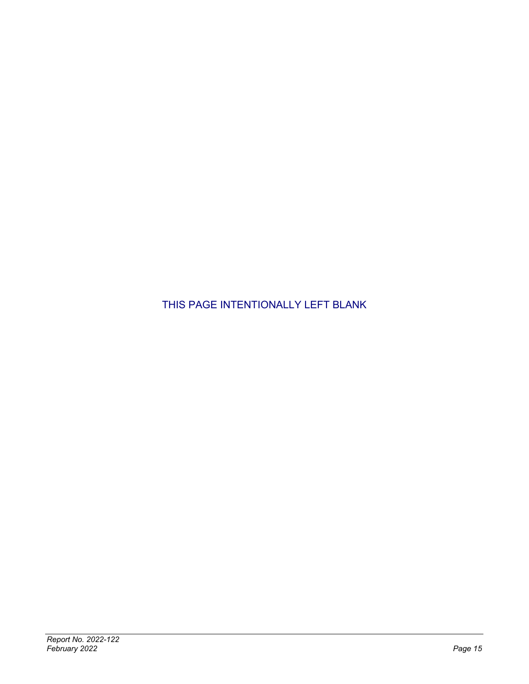THIS PAGE INTENTIONALLY LEFT BLANK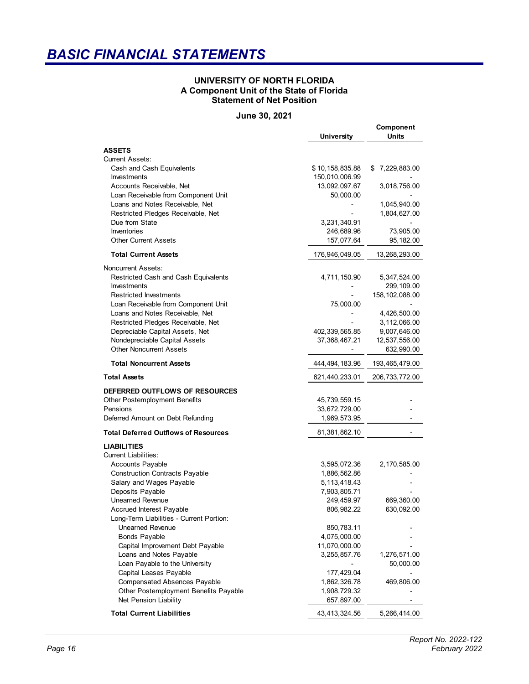# <span id="page-19-0"></span>*BASIC FINANCIAL STATEMENTS*

#### **UNIVERSITY OF NORTH FLORIDA A Component Unit of the State of Florida Statement of Net Position**

**June 30, 2021** 

|                                             | <b>University</b> | Component<br><b>Units</b> |
|---------------------------------------------|-------------------|---------------------------|
| <b>ASSETS</b>                               |                   |                           |
| <b>Current Assets:</b>                      |                   |                           |
| Cash and Cash Equivalents                   | \$10,158,835.88   | \$7,229,883.00            |
| Investments                                 | 150,010,006.99    |                           |
| Accounts Receivable, Net                    | 13,092,097.67     | 3,018,756.00              |
| Loan Receivable from Component Unit         | 50,000.00         |                           |
| Loans and Notes Receivable, Net             |                   | 1,045,940.00              |
| Restricted Pledges Receivable, Net          |                   | 1,804,627.00              |
| Due from State                              | 3,231,340.91      |                           |
| Inventories                                 | 246,689.96        | 73,905.00                 |
| <b>Other Current Assets</b>                 | 157,077.64        | 95,182.00                 |
| <b>Total Current Assets</b>                 | 176,946,049.05    | 13,268,293.00             |
| Noncurrent Assets:                          |                   |                           |
| Restricted Cash and Cash Equivalents        | 4,711,150.90      | 5,347,524.00              |
| Investments                                 |                   | 299,109.00                |
| <b>Restricted Investments</b>               |                   | 158,102,088.00            |
| Loan Receivable from Component Unit         | 75,000.00         |                           |
| Loans and Notes Receivable, Net             |                   | 4,426,500.00              |
| Restricted Pledges Receivable, Net          |                   | 3,112,066.00              |
| Depreciable Capital Assets, Net             | 402,339,565.85    | 9,007,646.00              |
| Nondepreciable Capital Assets               | 37,368,467.21     | 12,537,556.00             |
| <b>Other Noncurrent Assets</b>              |                   | 632,990.00                |
| <b>Total Noncurrent Assets</b>              | 444,494,183.96    | 193,465,479.00            |
| <b>Total Assets</b>                         | 621,440,233.01    | 206,733,772.00            |
| DEFERRED OUTFLOWS OF RESOURCES              |                   |                           |
| <b>Other Postemployment Benefits</b>        | 45,739,559.15     |                           |
| Pensions                                    | 33,672,729.00     |                           |
| Deferred Amount on Debt Refunding           | 1,969,573.95      |                           |
| <b>Total Deferred Outflows of Resources</b> | 81,381,862.10     |                           |
| <b>LIABILITIES</b>                          |                   |                           |
| <b>Current Liabilities:</b>                 |                   |                           |
| <b>Accounts Payable</b>                     | 3,595,072.36      | 2,170,585.00              |
| <b>Construction Contracts Payable</b>       | 1,886,562.86      |                           |
| Salary and Wages Payable                    | 5, 113, 418. 43   |                           |
| Deposits Payable                            | 7,903,805.71      |                           |
| Unearned Revenue                            | 249,459.97        | 669,360.00                |
| Accrued Interest Payable                    | 806,982.22        | 630,092.00                |
| Long-Term Liabilities - Current Portion:    |                   |                           |
| <b>Unearned Revenue</b>                     | 850,783.11        |                           |
| <b>Bonds Payable</b>                        | 4,075,000.00      |                           |
| Capital Improvement Debt Payable            | 11,070,000.00     |                           |
| Loans and Notes Payable                     | 3,255,857.76      | 1,276,571.00              |
| Loan Payable to the University              |                   | 50,000.00                 |
| Capital Leases Payable                      | 177,429.04        |                           |
| <b>Compensated Absences Payable</b>         | 1,862,326.78      | 469,806.00                |
| Other Postemployment Benefits Payable       | 1,908,729.32      |                           |
| Net Pension Liability                       | 657,897.00        |                           |
| <b>Total Current Liabilities</b>            | 43,413,324.56     | 5,266,414.00              |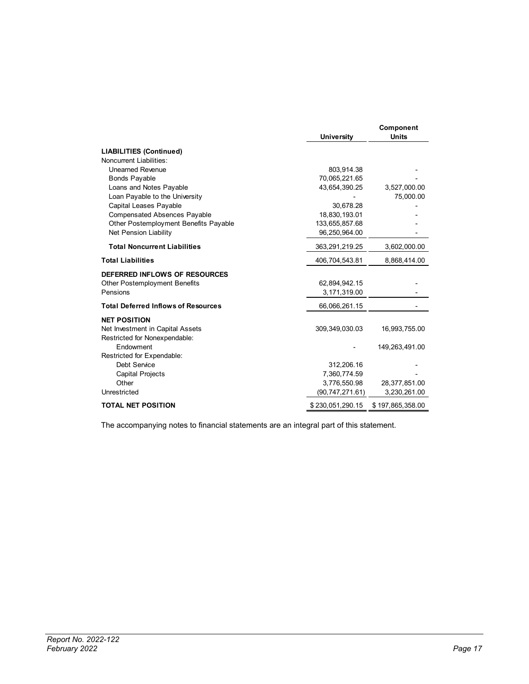|                                            |                   | Component        |
|--------------------------------------------|-------------------|------------------|
|                                            | <b>University</b> | <b>Units</b>     |
| <b>LIABILITIES (Continued)</b>             |                   |                  |
| Noncurrent Liabilities:                    |                   |                  |
| Unearned Revenue                           | 803,914.38        |                  |
| <b>Bonds Payable</b>                       | 70,065,221.65     |                  |
| Loans and Notes Payable                    | 43,654,390.25     | 3,527,000.00     |
| Loan Payable to the University             |                   | 75,000.00        |
| Capital Leases Payable                     | 30,678.28         |                  |
| <b>Compensated Absences Payable</b>        | 18,830,193.01     |                  |
| Other Postemployment Benefits Payable      | 133,655,857.68    |                  |
| <b>Net Pension Liability</b>               | 96,250,964.00     |                  |
| <b>Total Noncurrent Liabilities</b>        | 363,291,219.25    | 3,602,000.00     |
| <b>Total Liabilities</b>                   | 406,704,543.81    | 8,868,414.00     |
| DEFERRED INFLOWS OF RESOURCES              |                   |                  |
| <b>Other Postemployment Benefits</b>       | 62,894,942.15     |                  |
| Pensions                                   | 3,171,319.00      |                  |
| <b>Total Deferred Inflows of Resources</b> | 66,066,261.15     |                  |
| <b>NET POSITION</b>                        |                   |                  |
| Net Investment in Capital Assets           | 309,349,030.03    | 16,993,755.00    |
| Restricted for Nonexpendable:              |                   |                  |
| Endowment                                  |                   | 149,263,491.00   |
| Restricted for Expendable:                 |                   |                  |
| Debt Service                               | 312,206.16        |                  |
| <b>Capital Projects</b>                    | 7,360,774.59      |                  |
| Other                                      | 3,776,550.98      | 28,377,851.00    |
| Unrestricted                               | (90, 747, 271.61) | 3,230,261.00     |
| <b>TOTAL NET POSITION</b>                  | \$230,051,290.15  | \$197,865,358.00 |

The accompanying notes to financial statements are an integral part of this statement.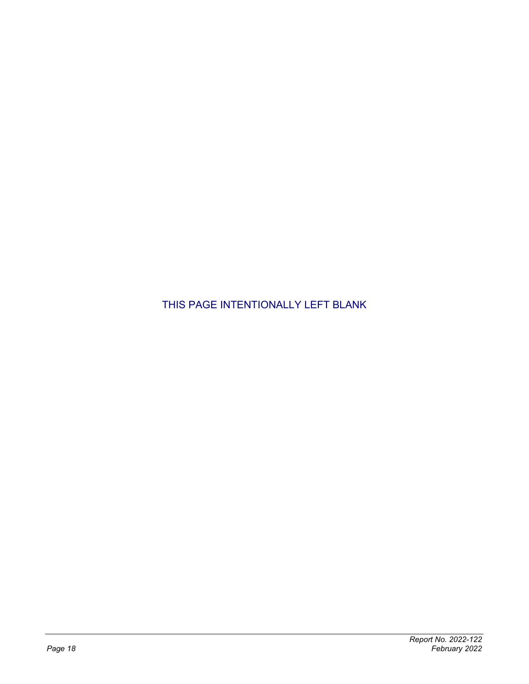THIS PAGE INTENTIONALLY LEFT BLANK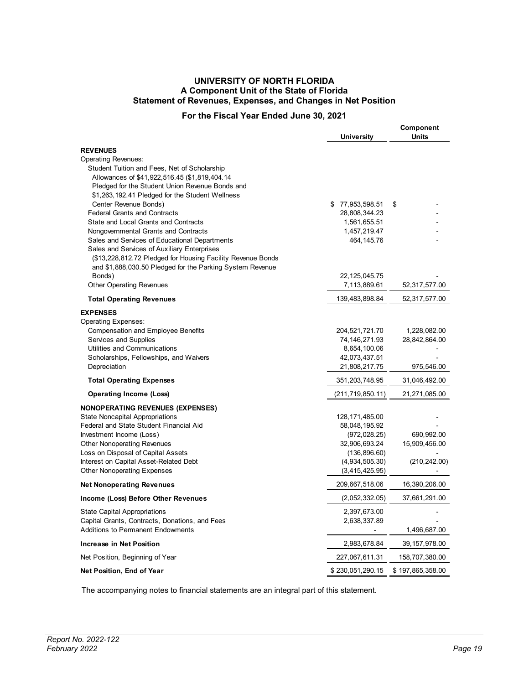#### **UNIVERSITY OF NORTH FLORIDA A Component Unit of the State of Florida Statement of Revenues, Expenses, and Changes in Net Position**

#### **For the Fiscal Year Ended June 30, 2021**

<span id="page-22-0"></span>

|                                                             |                   | Component        |
|-------------------------------------------------------------|-------------------|------------------|
|                                                             | <b>University</b> | <b>Units</b>     |
| <b>REVENUES</b>                                             |                   |                  |
| <b>Operating Revenues:</b>                                  |                   |                  |
| Student Tuition and Fees, Net of Scholarship                |                   |                  |
| Allowances of \$41,922,516.45 (\$1,819,404.14               |                   |                  |
| Pledged for the Student Union Revenue Bonds and             |                   |                  |
| \$1,263,192.41 Pledged for the Student Wellness             |                   |                  |
| Center Revenue Bonds)                                       | \$77,953,598.51   | \$               |
| <b>Federal Grants and Contracts</b>                         | 28,808,344.23     |                  |
| <b>State and Local Grants and Contracts</b>                 | 1,561,655.51      |                  |
| Nongovernmental Grants and Contracts                        | 1,457,219.47      |                  |
| Sales and Services of Educational Departments               | 464, 145.76       |                  |
| Sales and Services of Auxiliary Enterprises                 |                   |                  |
| (\$13,228,812.72 Pledged for Housing Facility Revenue Bonds |                   |                  |
| and \$1,888,030.50 Pledged for the Parking System Revenue   |                   |                  |
| Bonds)<br><b>Other Operating Revenues</b>                   | 22, 125, 045.75   |                  |
|                                                             | 7,113,889.61      | 52,317,577.00    |
| <b>Total Operating Revenues</b>                             | 139,483,898.84    | 52,317,577.00    |
| <b>EXPENSES</b>                                             |                   |                  |
| <b>Operating Expenses:</b>                                  |                   |                  |
| <b>Compensation and Employee Benefits</b>                   | 204,521,721.70    | 1,228,082.00     |
| Services and Supplies                                       | 74, 146, 271.93   | 28,842,864.00    |
| Utilities and Communications                                | 8,654,100.06      |                  |
| Scholarships, Fellowships, and Waivers                      | 42,073,437.51     |                  |
| Depreciation                                                | 21,808,217.75     | 975,546.00       |
| <b>Total Operating Expenses</b>                             | 351,203,748.95    | 31,046,492.00    |
| <b>Operating Income (Loss)</b>                              | (211,719,850.11)  | 21,271,085.00    |
| <b>NONOPERATING REVENUES (EXPENSES)</b>                     |                   |                  |
| <b>State Noncapital Appropriations</b>                      | 128, 171, 485.00  |                  |
| Federal and State Student Financial Aid                     | 58,048,195.92     |                  |
| Investment Income (Loss)                                    | (972, 028.25)     | 690,992.00       |
| <b>Other Nonoperating Revenues</b>                          | 32,906,693.24     | 15,909,456.00    |
| Loss on Disposal of Capital Assets                          | (136, 896.60)     |                  |
| Interest on Capital Asset-Related Debt                      | (4,934,505.30)    | (210, 242.00)    |
| <b>Other Nonoperating Expenses</b>                          | (3,415,425.95)    |                  |
| <b>Net Nonoperating Revenues</b>                            | 209,667,518.06    | 16,390,206.00    |
| Income (Loss) Before Other Revenues                         | (2,052,332.05)    | 37,661,291.00    |
| <b>State Capital Appropriations</b>                         | 2,397,673.00      |                  |
| Capital Grants, Contracts, Donations, and Fees              | 2,638,337.89      |                  |
| <b>Additions to Permanent Endowments</b>                    |                   | 1,496,687.00     |
| <b>Increase in Net Position</b>                             | 2,983,678.84      | 39, 157, 978.00  |
| Net Position, Beginning of Year                             | 227,067,611.31    | 158,707,380.00   |
| Net Position, End of Year                                   | \$230,051,290.15  | \$197,865,358.00 |

The accompanying notes to financial statements are an integral part of this statement.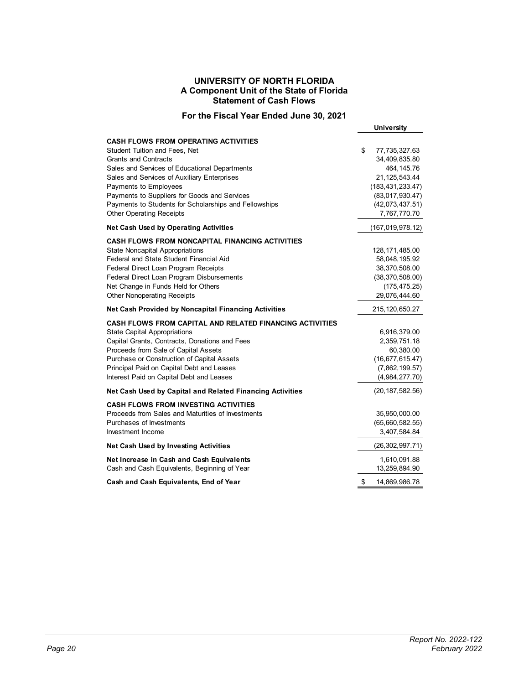#### **UNIVERSITY OF NORTH FLORIDA A Component Unit of the State of Florida Statement of Cash Flows**

#### **For the Fiscal Year Ended June 30, 2021**

<span id="page-23-0"></span>

|                                                                                                                                                                                                                                                                                                                                                                                  | <b>University</b>                                                                                                                                |
|----------------------------------------------------------------------------------------------------------------------------------------------------------------------------------------------------------------------------------------------------------------------------------------------------------------------------------------------------------------------------------|--------------------------------------------------------------------------------------------------------------------------------------------------|
| <b>CASH FLOWS FROM OPERATING ACTIVITIES</b><br>Student Tuition and Fees, Net<br><b>Grants and Contracts</b><br>Sales and Services of Educational Departments<br>Sales and Services of Auxiliary Enterprises<br>Payments to Employees<br>Payments to Suppliers for Goods and Services<br>Payments to Students for Scholarships and Fellowships<br><b>Other Operating Receipts</b> | \$<br>77,735,327.63<br>34,409,835.80<br>464, 145.76<br>21,125,543.44<br>(183, 431, 233.47)<br>(83,017,930.47)<br>(42,073,437.51)<br>7,767,770.70 |
| <b>Net Cash Used by Operating Activities</b>                                                                                                                                                                                                                                                                                                                                     | (167, 019, 978.12)                                                                                                                               |
| <b>CASH FLOWS FROM NONCAPITAL FINANCING ACTIVITIES</b><br><b>State Noncapital Appropriations</b><br>Federal and State Student Financial Aid<br>Federal Direct Loan Program Receipts<br>Federal Direct Loan Program Disbursements<br>Net Change in Funds Held for Others<br><b>Other Nonoperating Receipts</b>                                                                    | 128, 171, 485.00<br>58,048,195.92<br>38,370,508.00<br>(38, 370, 508.00)<br>(175, 475.25)<br>29,076,444.60                                        |
| Net Cash Provided by Noncapital Financing Activities                                                                                                                                                                                                                                                                                                                             | 215, 120, 650. 27                                                                                                                                |
| CASH FLOWS FROM CAPITAL AND RELATED FINANCING ACTIVITIES<br><b>State Capital Appropriations</b><br>Capital Grants, Contracts, Donations and Fees<br>Proceeds from Sale of Capital Assets<br>Purchase or Construction of Capital Assets<br>Principal Paid on Capital Debt and Leases<br>Interest Paid on Capital Debt and Leases                                                  | 6,916,379.00<br>2,359,751.18<br>60,380.00<br>(16, 677, 615.47)<br>(7,862,199.57)<br>(4,984,277.70)                                               |
| Net Cash Used by Capital and Related Financing Activities                                                                                                                                                                                                                                                                                                                        | (20, 187, 582.56)                                                                                                                                |
| <b>CASH FLOWS FROM INVESTING ACTIVITIES</b><br>Proceeds from Sales and Maturities of Investments<br>Purchases of Investments<br>Investment Income                                                                                                                                                                                                                                | 35,950,000.00<br>(65,660,582.55)<br>3,407,584.84                                                                                                 |
| Net Cash Used by Investing Activities                                                                                                                                                                                                                                                                                                                                            | (26, 302, 997.71)                                                                                                                                |
| Net Increase in Cash and Cash Equivalents<br>Cash and Cash Equivalents, Beginning of Year                                                                                                                                                                                                                                                                                        | 1,610,091.88<br>13,259,894.90                                                                                                                    |
| Cash and Cash Equivalents, End of Year                                                                                                                                                                                                                                                                                                                                           | \$<br>14,869,986.78                                                                                                                              |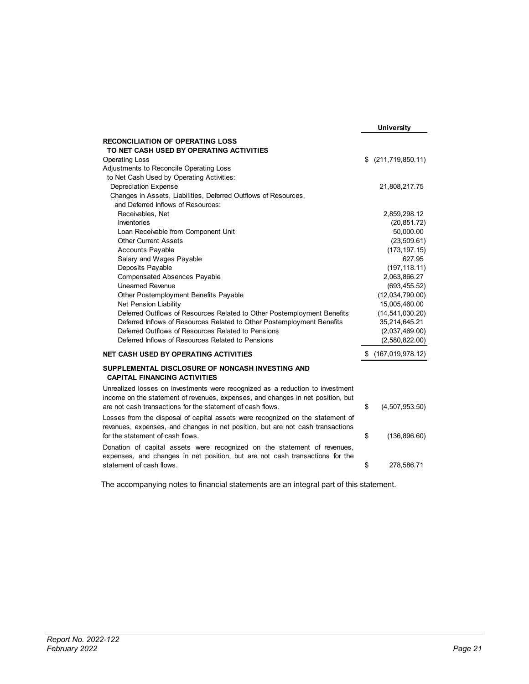|                                                                                         | <b>University</b>         |
|-----------------------------------------------------------------------------------------|---------------------------|
| <b>RECONCILIATION OF OPERATING LOSS</b>                                                 |                           |
| TO NET CASH USED BY OPERATING ACTIVITIES                                                |                           |
| <b>Operating Loss</b>                                                                   | \$<br>(211, 719, 850, 11) |
| Adjustments to Reconcile Operating Loss                                                 |                           |
| to Net Cash Used by Operating Activities:                                               |                           |
| <b>Depreciation Expense</b>                                                             | 21,808,217.75             |
| Changes in Assets, Liabilities, Deferred Outflows of Resources,                         |                           |
| and Deferred Inflows of Resources:                                                      |                           |
| Receivables, Net                                                                        | 2,859,298.12              |
| Inventories                                                                             | (20, 851.72)              |
| Loan Receivable from Component Unit                                                     | 50,000.00                 |
| <b>Other Current Assets</b>                                                             | (23, 509.61)              |
| <b>Accounts Payable</b>                                                                 | (173, 197.15)             |
| Salary and Wages Payable                                                                | 627.95                    |
| Deposits Payable                                                                        | (197, 118.11)             |
| <b>Compensated Absences Payable</b>                                                     | 2,063,866.27              |
| <b>Unearned Revenue</b>                                                                 | (693, 455.52)             |
| Other Postemployment Benefits Payable                                                   | (12,034,790.00)           |
| Net Pension Liability                                                                   | 15,005,460.00             |
| Deferred Outflows of Resources Related to Other Postemployment Benefits                 | (14, 541, 030.20)         |
| Deferred Inflows of Resources Related to Other Postemployment Benefits                  | 35,214,645.21             |
| Deferred Outflows of Resources Related to Pensions                                      | (2,037,469.00)            |
| Deferred Inflows of Resources Related to Pensions                                       | (2,580,822.00)            |
| NET CASH USED BY OPERATING ACTIVITIES                                                   | \$(167,019,978.12)        |
| SUPPLEMENTAL DISCLOSURE OF NONCASH INVESTING AND<br><b>CAPITAL FINANCING ACTIVITIES</b> |                           |
| Unrealized losses on investments were recognized as a reduction to investment           |                           |
| income on the statement of revenues, expenses, and changes in net position, but         |                           |
| are not cash transactions for the statement of cash flows.                              | \$<br>(4, 507, 953.50)    |
| Losses from the disposal of capital assets were recognized on the statement of          |                           |
| revenues, expenses, and changes in net position, but are not cash transactions          |                           |
| for the statement of cash flows.                                                        | \$<br>(136, 896.60)       |
| Donation of capital assets were recognized on the statement of revenues,                |                           |
| expenses, and changes in net position, but are not cash transactions for the            |                           |
| statement of cash flows.                                                                | \$<br>278,586.71          |
|                                                                                         |                           |

The accompanying notes to financial statements are an integral part of this statement.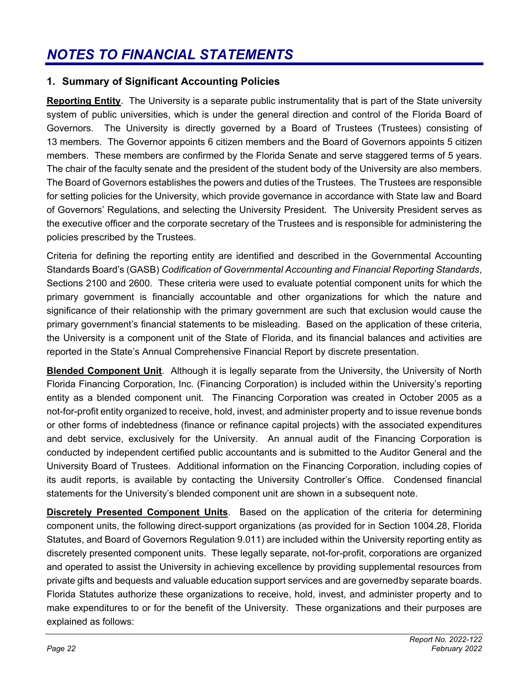# <span id="page-25-0"></span>*NOTES TO FINANCIAL STATEMENTS*

# **1. Summary of Significant Accounting Policies**

**Reporting Entity**. The University is a separate public instrumentality that is part of the State university system of public universities, which is under the general direction and control of the Florida Board of Governors. The University is directly governed by a Board of Trustees (Trustees) consisting of 13 members. The Governor appoints 6 citizen members and the Board of Governors appoints 5 citizen members. These members are confirmed by the Florida Senate and serve staggered terms of 5 years. The chair of the faculty senate and the president of the student body of the University are also members. The Board of Governors establishes the powers and duties of the Trustees. The Trustees are responsible for setting policies for the University, which provide governance in accordance with State law and Board of Governors' Regulations, and selecting the University President. The University President serves as the executive officer and the corporate secretary of the Trustees and is responsible for administering the policies prescribed by the Trustees.

Criteria for defining the reporting entity are identified and described in the Governmental Accounting Standards Board's (GASB) *Codification of Governmental Accounting and Financial Reporting Standards*, Sections 2100 and 2600. These criteria were used to evaluate potential component units for which the primary government is financially accountable and other organizations for which the nature and significance of their relationship with the primary government are such that exclusion would cause the primary government's financial statements to be misleading. Based on the application of these criteria, the University is a component unit of the State of Florida, and its financial balances and activities are reported in the State's Annual Comprehensive Financial Report by discrete presentation.

**Blended Component Unit**. Although it is legally separate from the University, the University of North Florida Financing Corporation, Inc. (Financing Corporation) is included within the University's reporting entity as a blended component unit. The Financing Corporation was created in October 2005 as a not-for-profit entity organized to receive, hold, invest, and administer property and to issue revenue bonds or other forms of indebtedness (finance or refinance capital projects) with the associated expenditures and debt service, exclusively for the University. An annual audit of the Financing Corporation is conducted by independent certified public accountants and is submitted to the Auditor General and the University Board of Trustees. Additional information on the Financing Corporation, including copies of its audit reports, is available by contacting the University Controller's Office. Condensed financial statements for the University's blended component unit are shown in a subsequent note.

**Discretely Presented Component Units**. Based on the application of the criteria for determining component units, the following direct-support organizations (as provided for in Section 1004.28, Florida Statutes, and Board of Governors Regulation 9.011) are included within the University reporting entity as discretely presented component units. These legally separate, not-for-profit, corporations are organized and operated to assist the University in achieving excellence by providing supplemental resources from private gifts and bequests and valuable education support services and are governed by separate boards. Florida Statutes authorize these organizations to receive, hold, invest, and administer property and to make expenditures to or for the benefit of the University. These organizations and their purposes are explained as follows: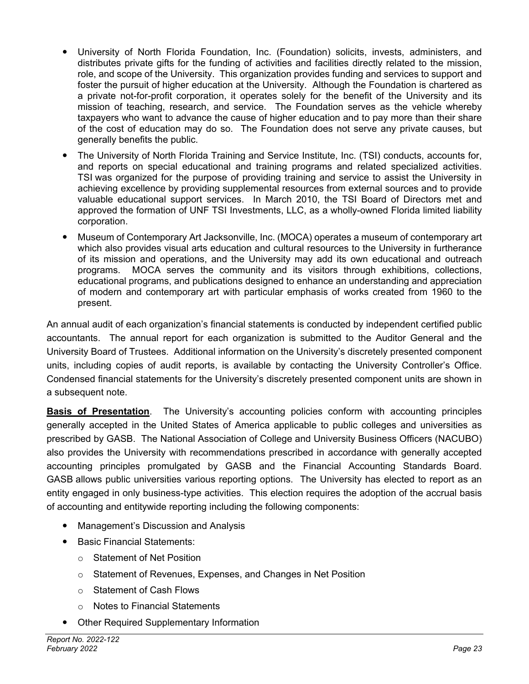- University of North Florida Foundation, Inc. (Foundation) solicits, invests, administers, and distributes private gifts for the funding of activities and facilities directly related to the mission, role, and scope of the University. This organization provides funding and services to support and foster the pursuit of higher education at the University. Although the Foundation is chartered as a private not-for-profit corporation, it operates solely for the benefit of the University and its mission of teaching, research, and service. The Foundation serves as the vehicle whereby taxpayers who want to advance the cause of higher education and to pay more than their share of the cost of education may do so. The Foundation does not serve any private causes, but generally benefits the public.
- The University of North Florida Training and Service Institute, Inc. (TSI) conducts, accounts for, and reports on special educational and training programs and related specialized activities. TSI was organized for the purpose of providing training and service to assist the University in achieving excellence by providing supplemental resources from external sources and to provide valuable educational support services. In March 2010, the TSI Board of Directors met and approved the formation of UNF TSI Investments, LLC, as a wholly-owned Florida limited liability corporation.
- Museum of Contemporary Art Jacksonville, Inc. (MOCA) operates a museum of contemporary art which also provides visual arts education and cultural resources to the University in furtherance of its mission and operations, and the University may add its own educational and outreach programs. MOCA serves the community and its visitors through exhibitions, collections, educational programs, and publications designed to enhance an understanding and appreciation of modern and contemporary art with particular emphasis of works created from 1960 to the present.

An annual audit of each organization's financial statements is conducted by independent certified public accountants. The annual report for each organization is submitted to the Auditor General and the University Board of Trustees. Additional information on the University's discretely presented component units, including copies of audit reports, is available by contacting the University Controller's Office. Condensed financial statements for the University's discretely presented component units are shown in a subsequent note.

**Basis of Presentation**. The University's accounting policies conform with accounting principles generally accepted in the United States of America applicable to public colleges and universities as prescribed by GASB. The National Association of College and University Business Officers (NACUBO) also provides the University with recommendations prescribed in accordance with generally accepted accounting principles promulgated by GASB and the Financial Accounting Standards Board. GASB allows public universities various reporting options. The University has elected to report as an entity engaged in only business-type activities. This election requires the adoption of the accrual basis of accounting and entitywide reporting including the following components:

- Management's Discussion and Analysis
- Basic Financial Statements:
	- o Statement of Net Position
	- o Statement of Revenues, Expenses, and Changes in Net Position
	- o Statement of Cash Flows
	- o Notes to Financial Statements
- Other Required Supplementary Information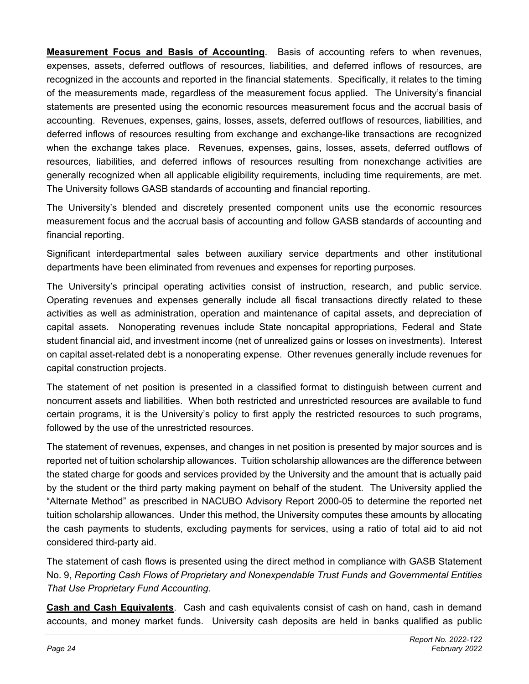**Measurement Focus and Basis of Accounting**. Basis of accounting refers to when revenues, expenses, assets, deferred outflows of resources, liabilities, and deferred inflows of resources, are recognized in the accounts and reported in the financial statements. Specifically, it relates to the timing of the measurements made, regardless of the measurement focus applied. The University's financial statements are presented using the economic resources measurement focus and the accrual basis of accounting. Revenues, expenses, gains, losses, assets, deferred outflows of resources, liabilities, and deferred inflows of resources resulting from exchange and exchange-like transactions are recognized when the exchange takes place. Revenues, expenses, gains, losses, assets, deferred outflows of resources, liabilities, and deferred inflows of resources resulting from nonexchange activities are generally recognized when all applicable eligibility requirements, including time requirements, are met. The University follows GASB standards of accounting and financial reporting.

The University's blended and discretely presented component units use the economic resources measurement focus and the accrual basis of accounting and follow GASB standards of accounting and financial reporting.

Significant interdepartmental sales between auxiliary service departments and other institutional departments have been eliminated from revenues and expenses for reporting purposes.

The University's principal operating activities consist of instruction, research, and public service. Operating revenues and expenses generally include all fiscal transactions directly related to these activities as well as administration, operation and maintenance of capital assets, and depreciation of capital assets. Nonoperating revenues include State noncapital appropriations, Federal and State student financial aid, and investment income (net of unrealized gains or losses on investments). Interest on capital asset-related debt is a nonoperating expense. Other revenues generally include revenues for capital construction projects.

The statement of net position is presented in a classified format to distinguish between current and noncurrent assets and liabilities. When both restricted and unrestricted resources are available to fund certain programs, it is the University's policy to first apply the restricted resources to such programs, followed by the use of the unrestricted resources.

The statement of revenues, expenses, and changes in net position is presented by major sources and is reported net of tuition scholarship allowances. Tuition scholarship allowances are the difference between the stated charge for goods and services provided by the University and the amount that is actually paid by the student or the third party making payment on behalf of the student. The University applied the "Alternate Method" as prescribed in NACUBO Advisory Report 2000-05 to determine the reported net tuition scholarship allowances. Under this method, the University computes these amounts by allocating the cash payments to students, excluding payments for services, using a ratio of total aid to aid not considered third-party aid.

The statement of cash flows is presented using the direct method in compliance with GASB Statement No. 9, *Reporting Cash Flows of Proprietary and Nonexpendable Trust Funds and Governmental Entities That Use Proprietary Fund Accounting*.

**Cash and Cash Equivalents**. Cash and cash equivalents consist of cash on hand, cash in demand accounts, and money market funds. University cash deposits are held in banks qualified as public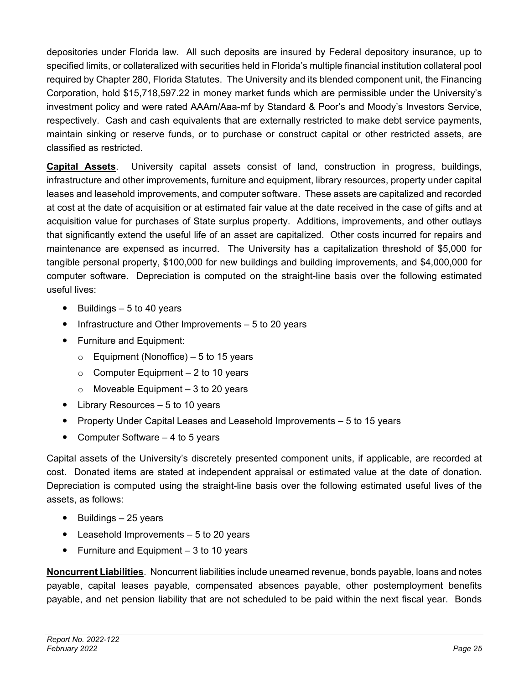depositories under Florida law. All such deposits are insured by Federal depository insurance, up to specified limits, or collateralized with securities held in Florida's multiple financial institution collateral pool required by Chapter 280, Florida Statutes. The University and its blended component unit, the Financing Corporation, hold \$15,718,597.22 in money market funds which are permissible under the University's investment policy and were rated AAAm/Aaa-mf by Standard & Poor's and Moody's Investors Service, respectively. Cash and cash equivalents that are externally restricted to make debt service payments, maintain sinking or reserve funds, or to purchase or construct capital or other restricted assets, are classified as restricted.

**Capital Assets**. University capital assets consist of land, construction in progress, buildings, infrastructure and other improvements, furniture and equipment, library resources, property under capital leases and leasehold improvements, and computer software. These assets are capitalized and recorded at cost at the date of acquisition or at estimated fair value at the date received in the case of gifts and at acquisition value for purchases of State surplus property. Additions, improvements, and other outlays that significantly extend the useful life of an asset are capitalized. Other costs incurred for repairs and maintenance are expensed as incurred. The University has a capitalization threshold of \$5,000 for tangible personal property, \$100,000 for new buildings and building improvements, and \$4,000,000 for computer software. Depreciation is computed on the straight-line basis over the following estimated useful lives:

- $\bullet$  Buildings 5 to 40 years
- $\bullet$  Infrastructure and Other Improvements  $-5$  to 20 years
- Furniture and Equipment:
	- $\circ$  Equipment (Nonoffice) 5 to 15 years
	- $\circ$  Computer Equipment 2 to 10 years
	- $\circ$  Moveable Equipment 3 to 20 years
- Library Resources 5 to 10 years
- Property Under Capital Leases and Leasehold Improvements 5 to 15 years
- Computer Software  $-4$  to 5 years

Capital assets of the University's discretely presented component units, if applicable, are recorded at cost. Donated items are stated at independent appraisal or estimated value at the date of donation. Depreciation is computed using the straight-line basis over the following estimated useful lives of the assets, as follows:

- $\bullet$  Buildings 25 years
- Leasehold Improvements 5 to 20 years
- Furniture and Equipment  $-3$  to 10 years

**Noncurrent Liabilities**. Noncurrent liabilities include unearned revenue, bonds payable, loans and notes payable, capital leases payable, compensated absences payable, other postemployment benefits payable, and net pension liability that are not scheduled to be paid within the next fiscal year. Bonds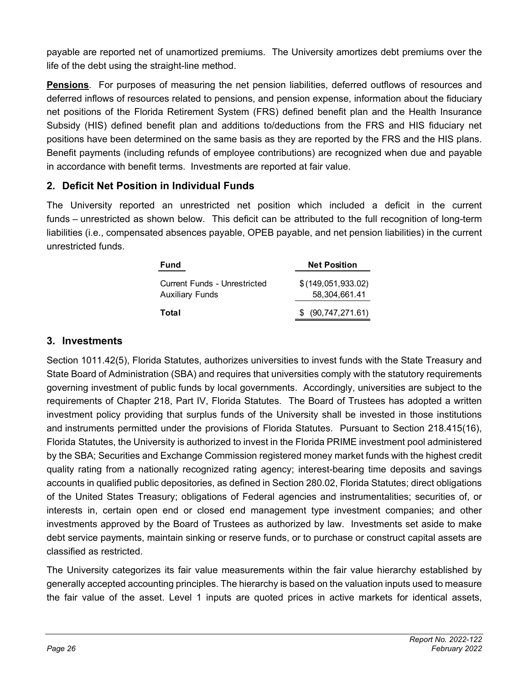payable are reported net of unamortized premiums. The University amortizes debt premiums over the life of the debt using the straight-line method.

**Pensions**. For purposes of measuring the net pension liabilities, deferred outflows of resources and deferred inflows of resources related to pensions, and pension expense, information about the fiduciary net positions of the Florida Retirement System (FRS) defined benefit plan and the Health Insurance Subsidy (HIS) defined benefit plan and additions to/deductions from the FRS and HIS fiduciary net positions have been determined on the same basis as they are reported by the FRS and the HIS plans. Benefit payments (including refunds of employee contributions) are recognized when due and payable in accordance with benefit terms. Investments are reported at fair value.

# **2. Deficit Net Position in Individual Funds**

The University reported an unrestricted net position which included a deficit in the current funds – unrestricted as shown below. This deficit can be attributed to the full recognition of long-term liabilities (i.e., compensated absences payable, OPEB payable, and net pension liabilities) in the current unrestricted funds.

| <b>Fund</b>                                            | <b>Net Position</b>                 |
|--------------------------------------------------------|-------------------------------------|
| Current Funds - Unrestricted<br><b>Auxiliary Funds</b> | \$(149,051,933.02)<br>58.304.661.41 |
| Total                                                  | \$ (90,747,271.61)                  |

# **3. Investments**

Section 1011.42(5), Florida Statutes, authorizes universities to invest funds with the State Treasury and State Board of Administration (SBA) and requires that universities comply with the statutory requirements governing investment of public funds by local governments. Accordingly, universities are subject to the requirements of Chapter 218, Part IV, Florida Statutes. The Board of Trustees has adopted a written investment policy providing that surplus funds of the University shall be invested in those institutions and instruments permitted under the provisions of Florida Statutes. Pursuant to Section 218.415(16), Florida Statutes, the University is authorized to invest in the Florida PRIME investment pool administered by the SBA; Securities and Exchange Commission registered money market funds with the highest credit quality rating from a nationally recognized rating agency; interest-bearing time deposits and savings accounts in qualified public depositories, as defined in Section 280.02, Florida Statutes; direct obligations of the United States Treasury; obligations of Federal agencies and instrumentalities; securities of, or interests in, certain open end or closed end management type investment companies; and other investments approved by the Board of Trustees as authorized by law. Investments set aside to make debt service payments, maintain sinking or reserve funds, or to purchase or construct capital assets are classified as restricted.

The University categorizes its fair value measurements within the fair value hierarchy established by generally accepted accounting principles. The hierarchy is based on the valuation inputs used to measure the fair value of the asset. Level 1 inputs are quoted prices in active markets for identical assets,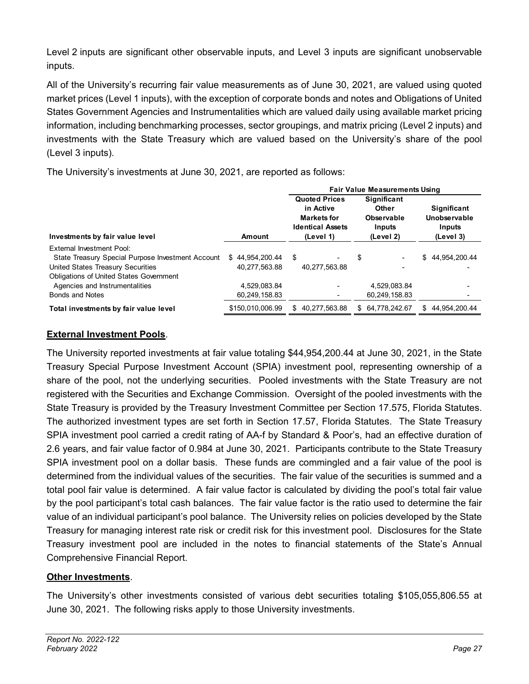Level 2 inputs are significant other observable inputs, and Level 3 inputs are significant unobservable inputs.

All of the University's recurring fair value measurements as of June 30, 2021, are valued using quoted market prices (Level 1 inputs), with the exception of corporate bonds and notes and Obligations of United States Government Agencies and Instrumentalities which are valued daily using available market pricing information, including benchmarking processes, sector groupings, and matrix pricing (Level 2 inputs) and investments with the State Treasury which are valued based on the University's share of the pool (Level 3 inputs).

The University's investments at June 30, 2021, are reported as follows:

|                                                   |                  | <b>Fair Value Measurements Using</b>                                                                                                                                       |                     |                                                           |  |
|---------------------------------------------------|------------------|----------------------------------------------------------------------------------------------------------------------------------------------------------------------------|---------------------|-----------------------------------------------------------|--|
| Investments by fair value level                   | Amount           | <b>Quoted Prices</b><br><b>Significant</b><br>in Active<br><b>Other</b><br><b>Markets for</b><br>Observable<br><b>Identical Assets</b><br>Inputs<br>(Level 2)<br>(Level 1) |                     | <b>Significant</b><br>Unobservable<br>Inputs<br>(Level 3) |  |
| External Investment Pool:                         |                  |                                                                                                                                                                            |                     |                                                           |  |
| State Treasury Special Purpose Investment Account | \$44.954.200.44  | \$                                                                                                                                                                         | \$                  | \$44.954.200.44                                           |  |
| United States Treasury Securities                 | 40,277,563.88    | 40,277,563.88                                                                                                                                                              |                     |                                                           |  |
| <b>Obligations of United States Government</b>    |                  |                                                                                                                                                                            |                     |                                                           |  |
| Agencies and Instrumentalities                    | 4,529,083.84     |                                                                                                                                                                            | 4,529,083.84        |                                                           |  |
| <b>Bonds and Notes</b>                            | 60,249,158.83    |                                                                                                                                                                            | 60,249,158.83       |                                                           |  |
| Total investments by fair value level             | \$150.010.006.99 | 40.277.563.88<br>SS.                                                                                                                                                       | 64,778,242.67<br>S. | 44.954.200.44                                             |  |

# **External Investment Pools**.

The University reported investments at fair value totaling \$44,954,200.44 at June 30, 2021, in the State Treasury Special Purpose Investment Account (SPIA) investment pool, representing ownership of a share of the pool, not the underlying securities. Pooled investments with the State Treasury are not registered with the Securities and Exchange Commission. Oversight of the pooled investments with the State Treasury is provided by the Treasury Investment Committee per Section 17.575, Florida Statutes. The authorized investment types are set forth in Section 17.57, Florida Statutes. The State Treasury SPIA investment pool carried a credit rating of AA-f by Standard & Poor's, had an effective duration of 2.6 years, and fair value factor of 0.984 at June 30, 2021. Participants contribute to the State Treasury SPIA investment pool on a dollar basis. These funds are commingled and a fair value of the pool is determined from the individual values of the securities. The fair value of the securities is summed and a total pool fair value is determined. A fair value factor is calculated by dividing the pool's total fair value by the pool participant's total cash balances. The fair value factor is the ratio used to determine the fair value of an individual participant's pool balance. The University relies on policies developed by the State Treasury for managing interest rate risk or credit risk for this investment pool. Disclosures for the State Treasury investment pool are included in the notes to financial statements of the State's Annual Comprehensive Financial Report.

# **Other Investments**.

The University's other investments consisted of various debt securities totaling \$105,055,806.55 at June 30, 2021. The following risks apply to those University investments.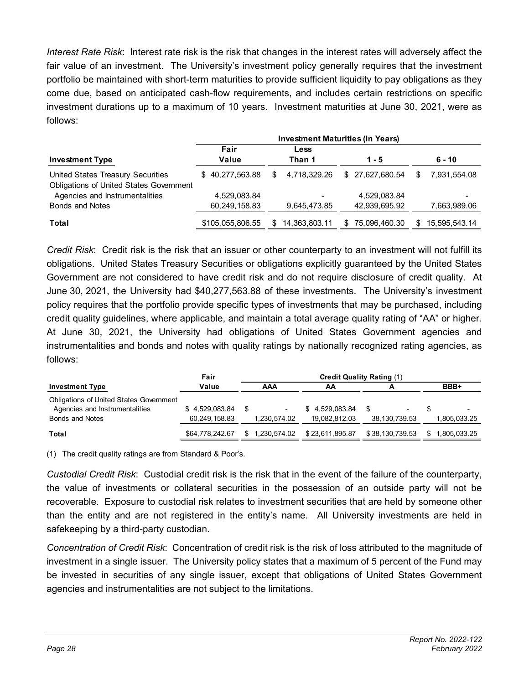*Interest Rate Risk*: Interest rate risk is the risk that changes in the interest rates will adversely affect the fair value of an investment. The University's investment policy generally requires that the investment portfolio be maintained with short-term maturities to provide sufficient liquidity to pay obligations as they come due, based on anticipated cash-flow requirements, and includes certain restrictions on specific investment durations up to a maximum of 10 years. Investment maturities at June 30, 2021, were as follows:

|                                                                              | <b>Investment Maturities (In Years)</b> |     |               |     |                  |    |                 |
|------------------------------------------------------------------------------|-----------------------------------------|-----|---------------|-----|------------------|----|-----------------|
|                                                                              | Fair                                    |     | Less          |     |                  |    |                 |
| <b>Investment Type</b>                                                       | Value                                   |     | Than 1        |     | $1 - 5$          |    | $6 - 10$        |
| United States Treasury Securities<br>Obligations of United States Government | \$40,277,563.88                         | \$. | 4.718.329.26  |     | \$ 27,627,680.54 | S. | 7,931,554.08    |
| Agencies and Instrumentalities                                               | 4,529,083.84                            |     |               |     | 4,529,083.84     |    |                 |
| <b>Bonds and Notes</b>                                                       | 60,249,158.83                           |     | 9,645,473.85  |     | 42,939,695.92    |    | 7,663,989.06    |
| Total                                                                        | \$105,055,806.55                        | \$. | 14,363,803.11 | \$. | 75,096,460.30    |    | \$15,595,543.14 |

*Credit Risk*: Credit risk is the risk that an issuer or other counterparty to an investment will not fulfill its obligations. United States Treasury Securities or obligations explicitly guaranteed by the United States Government are not considered to have credit risk and do not require disclosure of credit quality. At June 30, 2021, the University had \$40,277,563.88 of these investments. The University's investment policy requires that the portfolio provide specific types of investments that may be purchased, including credit quality guidelines, where applicable, and maintain a total average quality rating of "AA" or higher. At June 30, 2021, the University had obligations of United States Government agencies and instrumentalities and bonds and notes with quality ratings by nationally recognized rating agencies, as follows:

|                                                                                                     | Fair                            | <b>Credit Quality Rating (1)</b> |                                 |                  |                   |
|-----------------------------------------------------------------------------------------------------|---------------------------------|----------------------------------|---------------------------------|------------------|-------------------|
| <b>Investment Type</b>                                                                              | Value                           | AAA                              | AA                              |                  | BBB+              |
| <b>Obligations of United States Government</b><br>Agencies and Instrumentalities<br>Bonds and Notes | \$4.529.083.84<br>60,249,158.83 | \$<br>٠<br>1,230,574.02          | \$4.529.083.84<br>19.082.812.03 | 38, 130, 739. 53 | -<br>1,805,033.25 |
| Total                                                                                               | \$64,778,242.67                 | 1.230.574.02<br>\$.              | \$23.611.895.87                 | \$38.130.739.53  | 1.805.033.25      |

(1) The credit quality ratings are from Standard & Poor's.

*Custodial Credit Risk*: Custodial credit risk is the risk that in the event of the failure of the counterparty, the value of investments or collateral securities in the possession of an outside party will not be recoverable. Exposure to custodial risk relates to investment securities that are held by someone other than the entity and are not registered in the entity's name. All University investments are held in safekeeping by a third-party custodian.

*Concentration of Credit Risk*: Concentration of credit risk is the risk of loss attributed to the magnitude of investment in a single issuer. The University policy states that a maximum of 5 percent of the Fund may be invested in securities of any single issuer, except that obligations of United States Government agencies and instrumentalities are not subject to the limitations.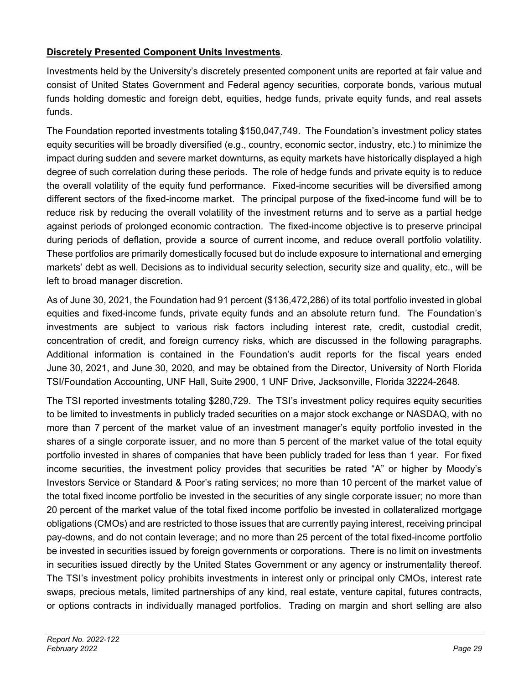# **Discretely Presented Component Units Investments**.

Investments held by the University's discretely presented component units are reported at fair value and consist of United States Government and Federal agency securities, corporate bonds, various mutual funds holding domestic and foreign debt, equities, hedge funds, private equity funds, and real assets funds.

The Foundation reported investments totaling \$150,047,749. The Foundation's investment policy states equity securities will be broadly diversified (e.g., country, economic sector, industry, etc.) to minimize the impact during sudden and severe market downturns, as equity markets have historically displayed a high degree of such correlation during these periods. The role of hedge funds and private equity is to reduce the overall volatility of the equity fund performance. Fixed-income securities will be diversified among different sectors of the fixed-income market. The principal purpose of the fixed-income fund will be to reduce risk by reducing the overall volatility of the investment returns and to serve as a partial hedge against periods of prolonged economic contraction. The fixed-income objective is to preserve principal during periods of deflation, provide a source of current income, and reduce overall portfolio volatility. These portfolios are primarily domestically focused but do include exposure to international and emerging markets' debt as well. Decisions as to individual security selection, security size and quality, etc., will be left to broad manager discretion.

As of June 30, 2021, the Foundation had 91 percent (\$136,472,286) of its total portfolio invested in global equities and fixed-income funds, private equity funds and an absolute return fund. The Foundation's investments are subject to various risk factors including interest rate, credit, custodial credit, concentration of credit, and foreign currency risks, which are discussed in the following paragraphs. Additional information is contained in the Foundation's audit reports for the fiscal years ended June 30, 2021, and June 30, 2020, and may be obtained from the Director, University of North Florida TSI/Foundation Accounting, UNF Hall, Suite 2900, 1 UNF Drive, Jacksonville, Florida 32224-2648.

The TSI reported investments totaling \$280,729. The TSI's investment policy requires equity securities to be limited to investments in publicly traded securities on a major stock exchange or NASDAQ, with no more than 7 percent of the market value of an investment manager's equity portfolio invested in the shares of a single corporate issuer, and no more than 5 percent of the market value of the total equity portfolio invested in shares of companies that have been publicly traded for less than 1 year. For fixed income securities, the investment policy provides that securities be rated "A" or higher by Moody's Investors Service or Standard & Poor's rating services; no more than 10 percent of the market value of the total fixed income portfolio be invested in the securities of any single corporate issuer; no more than 20 percent of the market value of the total fixed income portfolio be invested in collateralized mortgage obligations (CMOs) and are restricted to those issues that are currently paying interest, receiving principal pay-downs, and do not contain leverage; and no more than 25 percent of the total fixed-income portfolio be invested in securities issued by foreign governments or corporations. There is no limit on investments in securities issued directly by the United States Government or any agency or instrumentality thereof. The TSI's investment policy prohibits investments in interest only or principal only CMOs, interest rate swaps, precious metals, limited partnerships of any kind, real estate, venture capital, futures contracts, or options contracts in individually managed portfolios. Trading on margin and short selling are also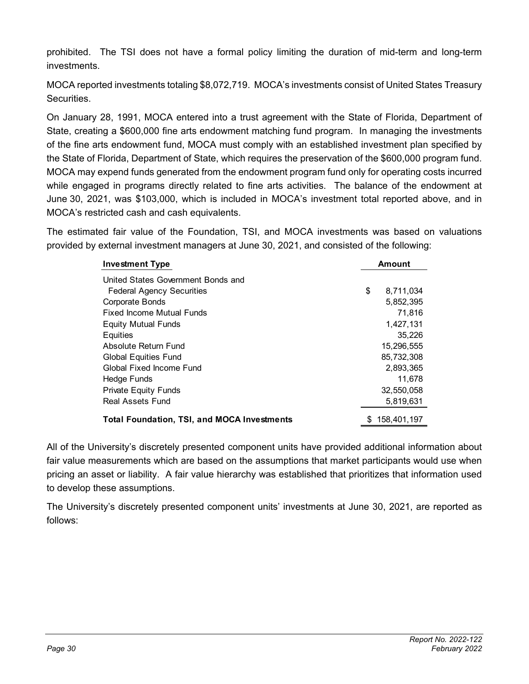prohibited. The TSI does not have a formal policy limiting the duration of mid-term and long-term investments.

MOCA reported investments totaling \$8,072,719. MOCA's investments consist of United States Treasury Securities.

On January 28, 1991, MOCA entered into a trust agreement with the State of Florida, Department of State, creating a \$600,000 fine arts endowment matching fund program. In managing the investments of the fine arts endowment fund, MOCA must comply with an established investment plan specified by the State of Florida, Department of State, which requires the preservation of the \$600,000 program fund. MOCA may expend funds generated from the endowment program fund only for operating costs incurred while engaged in programs directly related to fine arts activities. The balance of the endowment at June 30, 2021, was \$103,000, which is included in MOCA's investment total reported above, and in MOCA's restricted cash and cash equivalents.

The estimated fair value of the Foundation, TSI, and MOCA investments was based on valuations provided by external investment managers at June 30, 2021, and consisted of the following:

| <b>Investment Type</b>                             |     | <b>Amount</b> |
|----------------------------------------------------|-----|---------------|
| United States Government Bonds and                 |     |               |
| <b>Federal Agency Securities</b>                   | \$  | 8,711,034     |
| Corporate Bonds                                    |     | 5,852,395     |
| <b>Fixed Income Mutual Funds</b>                   |     | 71,816        |
| <b>Equity Mutual Funds</b>                         |     | 1,427,131     |
| Equities                                           |     | 35.226        |
| Absolute Return Fund                               |     | 15,296,555    |
| <b>Global Equities Fund</b>                        |     | 85,732,308    |
| Global Fixed Income Fund                           |     | 2,893,365     |
| Hedge Funds                                        |     | 11.678        |
| <b>Private Equity Funds</b>                        |     | 32,550,058    |
| <b>Real Assets Fund</b>                            |     | 5,819,631     |
| <b>Total Foundation, TSI, and MOCA Investments</b> | \$. | 158.401.197   |

All of the University's discretely presented component units have provided additional information about fair value measurements which are based on the assumptions that market participants would use when pricing an asset or liability. A fair value hierarchy was established that prioritizes that information used to develop these assumptions.

The University's discretely presented component units' investments at June 30, 2021, are reported as follows: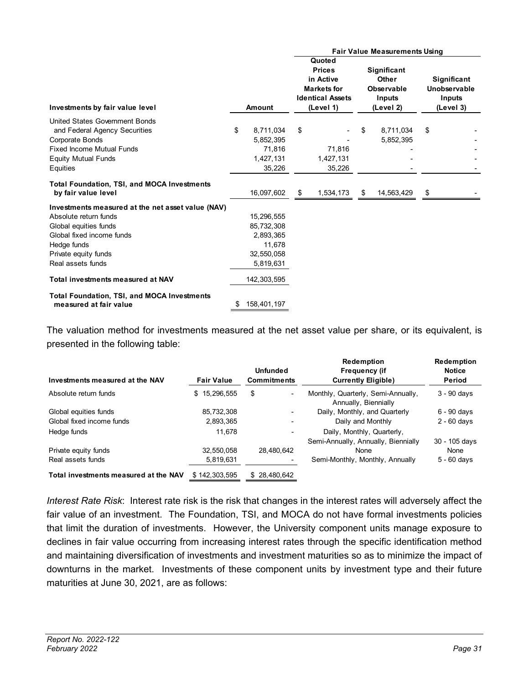|                                                                                                                                                                                                                                          |    |                                                                                           |    | <b>Fair Value Measurements Using</b>                                                               |    |                                                                  |                                                                  |  |  |  |  |
|------------------------------------------------------------------------------------------------------------------------------------------------------------------------------------------------------------------------------------------|----|-------------------------------------------------------------------------------------------|----|----------------------------------------------------------------------------------------------------|----|------------------------------------------------------------------|------------------------------------------------------------------|--|--|--|--|
| Investments by fair value level                                                                                                                                                                                                          |    | <b>Amount</b>                                                                             |    | Quoted<br><b>Prices</b><br>in Active<br><b>Markets for</b><br><b>Identical Assets</b><br>(Level 1) |    | <b>Significant</b><br>Other<br>Observable<br>Inputs<br>(Level 2) | <b>Significant</b><br><b>Unobservable</b><br>Inputs<br>(Level 3) |  |  |  |  |
| <b>United States Government Bonds</b><br>and Federal Agency Securities<br>Corporate Bonds<br><b>Fixed Income Mutual Funds</b><br><b>Equity Mutual Funds</b><br>Equities                                                                  | \$ | 8,711,034<br>5,852,395<br>71,816<br>1,427,131<br>35,226                                   | \$ | 71,816<br>1,427,131<br>35,226                                                                      | \$ | 8,711,034<br>5,852,395                                           | \$                                                               |  |  |  |  |
| <b>Total Foundation, TSI, and MOCA Investments</b><br>by fair value level                                                                                                                                                                |    | 16,097,602                                                                                | \$ | 1,534,173                                                                                          | \$ | 14,563,429                                                       | \$                                                               |  |  |  |  |
| Investments measured at the net asset value (NAV)<br>Absolute return funds<br>Global equities funds<br>Global fixed income funds<br>Hedge funds<br>Private equity funds<br>Real assets funds<br><b>Total investments measured at NAV</b> |    | 15,296,555<br>85,732,308<br>2,893,365<br>11,678<br>32,550,058<br>5,819,631<br>142,303,595 |    |                                                                                                    |    |                                                                  |                                                                  |  |  |  |  |
| <b>Total Foundation, TSI, and MOCA Investments</b><br>measured at fair value                                                                                                                                                             | S  | 158,401,197                                                                               |    |                                                                                                    |    |                                                                  |                                                                  |  |  |  |  |

The valuation method for investments measured at the net asset value per share, or its equivalent, is presented in the following table:

| Investments measured at the NAV       | <b>Fair Value</b> | Unfunded<br><b>Commitments</b> | <b>Redemption</b><br><b>Frequency (if</b><br><b>Currently Eligible)</b> | Redemption<br><b>Notice</b><br>Period |  |
|---------------------------------------|-------------------|--------------------------------|-------------------------------------------------------------------------|---------------------------------------|--|
| Absolute return funds                 | \$15,296,555      | \$<br>$\overline{\phantom{a}}$ | Monthly, Quarterly, Semi-Annually,<br>Annually, Biennially              | $3 - 90$ days                         |  |
| Global equities funds                 | 85.732.308        | ٠                              | Daily, Monthly, and Quarterly                                           | $6 - 90$ days                         |  |
| Global fixed income funds             | 2.893.365         | ٠                              | Daily and Monthly                                                       | $2 - 60$ days                         |  |
| Hedge funds                           | 11.678            | $\overline{\phantom{0}}$       | Daily, Monthly, Quarterly,<br>Semi-Annually, Annually, Biennially       | 30 - 105 days                         |  |
| Private equity funds                  | 32,550,058        | 28.480.642                     | None                                                                    | None                                  |  |
| Real assets funds                     | 5,819,631         | ۰                              | Semi-Monthly, Monthly, Annually                                         | $5 - 60$ days                         |  |
| Total investments measured at the NAV | \$142,303,595     | \$28,480,642                   |                                                                         |                                       |  |

*Interest Rate Risk*: Interest rate risk is the risk that changes in the interest rates will adversely affect the fair value of an investment. The Foundation, TSI, and MOCA do not have formal investments policies that limit the duration of investments. However, the University component units manage exposure to declines in fair value occurring from increasing interest rates through the specific identification method and maintaining diversification of investments and investment maturities so as to minimize the impact of downturns in the market. Investments of these component units by investment type and their future maturities at June 30, 2021, are as follows: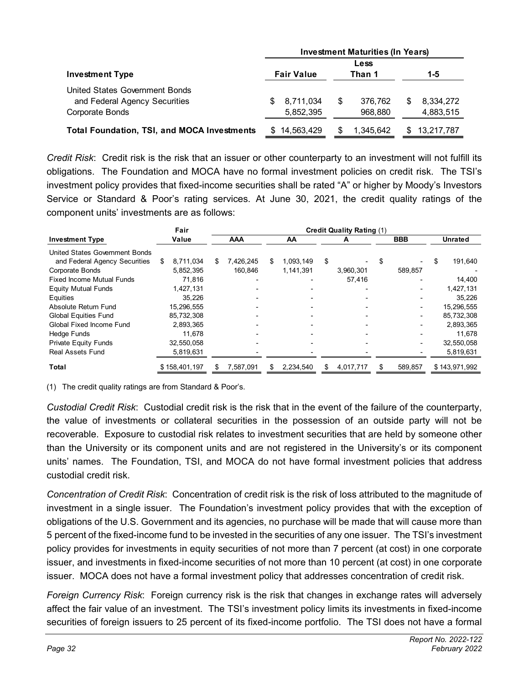|                                                                                    | <b>Investment Maturities (In Years)</b> |                          |                              |  |  |  |  |
|------------------------------------------------------------------------------------|-----------------------------------------|--------------------------|------------------------------|--|--|--|--|
| <b>Investment Type</b>                                                             | <b>Fair Value</b>                       | Less<br>Than 1           | 1-5                          |  |  |  |  |
| United States Government Bonds<br>and Federal Agency Securities<br>Corporate Bonds | 8,711,034<br>S<br>5,852,395             | 376.762<br>\$<br>968,880 | 8.334.272<br>\$<br>4,883,515 |  |  |  |  |
| <b>Total Foundation, TSI, and MOCA Investments</b>                                 | \$14,563,429                            | 1,345,642                | 13,217,787<br>\$.            |  |  |  |  |

*Credit Risk*: Credit risk is the risk that an issuer or other counterparty to an investment will not fulfill its obligations. The Foundation and MOCA have no formal investment policies on credit risk. The TSI's investment policy provides that fixed-income securities shall be rated "A" or higher by Moody's Investors Service or Standard & Poor's rating services. At June 30, 2021, the credit quality ratings of the component units' investments are as follows:

|                                  | Fair            | <b>Credit Quality Rating (1)</b> |           |    |           |    |           |            |         |                |               |
|----------------------------------|-----------------|----------------------------------|-----------|----|-----------|----|-----------|------------|---------|----------------|---------------|
| <b>Investment Type</b>           | Value           | <b>AAA</b>                       |           | AA |           | A  |           | <b>BBB</b> |         | <b>Unrated</b> |               |
| United States Government Bonds   |                 |                                  |           |    |           |    |           |            |         |                |               |
| and Federal Agency Securities    | 8,711,034<br>S. | S.                               | 7,426,245 | \$ | 1,093,149 | \$ |           | S          |         | \$             | 191,640       |
| Corporate Bonds                  | 5,852,395       |                                  | 160.846   |    | 1.141.391 |    | 3,960,301 |            | 589.857 |                |               |
| <b>Fixed Income Mutual Funds</b> | 71.816          |                                  |           |    |           |    | 57.416    |            |         |                | 14,400        |
| <b>Equity Mutual Funds</b>       | 1,427,131       |                                  |           |    |           |    |           |            |         |                | 1,427,131     |
| Equities                         | 35.226          |                                  |           |    |           |    |           |            |         |                | 35.226        |
| Absolute Return Fund             | 15,296,555      |                                  |           |    |           |    |           |            |         |                | 15,296,555    |
| <b>Global Equities Fund</b>      | 85,732,308      |                                  |           |    |           |    |           |            |         |                | 85,732,308    |
| Global Fixed Income Fund         | 2,893,365       |                                  |           |    |           |    |           |            |         |                | 2,893,365     |
| Hedge Funds                      | 11.678          |                                  |           |    |           |    |           |            |         |                | 11.678        |
| <b>Private Equity Funds</b>      | 32.550.058      |                                  |           |    |           |    |           |            |         |                | 32,550,058    |
| <b>Real Assets Fund</b>          | 5,819,631       |                                  |           |    |           |    |           |            |         |                | 5,819,631     |
| <b>Total</b>                     | \$158,401,197   |                                  | 7,587,091 |    | 2,234,540 |    | 4,017,717 |            | 589,857 |                | \$143,971,992 |

(1) The credit quality ratings are from Standard & Poor's.

*Custodial Credit Risk*: Custodial credit risk is the risk that in the event of the failure of the counterparty, the value of investments or collateral securities in the possession of an outside party will not be recoverable. Exposure to custodial risk relates to investment securities that are held by someone other than the University or its component units and are not registered in the University's or its component units' names. The Foundation, TSI, and MOCA do not have formal investment policies that address custodial credit risk.

*Concentration of Credit Risk*: Concentration of credit risk is the risk of loss attributed to the magnitude of investment in a single issuer. The Foundation's investment policy provides that with the exception of obligations of the U.S. Government and its agencies, no purchase will be made that will cause more than 5 percent of the fixed-income fund to be invested in the securities of any one issuer. The TSI's investment policy provides for investments in equity securities of not more than 7 percent (at cost) in one corporate issuer, and investments in fixed-income securities of not more than 10 percent (at cost) in one corporate issuer. MOCA does not have a formal investment policy that addresses concentration of credit risk.

*Foreign Currency Risk*: Foreign currency risk is the risk that changes in exchange rates will adversely affect the fair value of an investment. The TSI's investment policy limits its investments in fixed-income securities of foreign issuers to 25 percent of its fixed-income portfolio. The TSI does not have a formal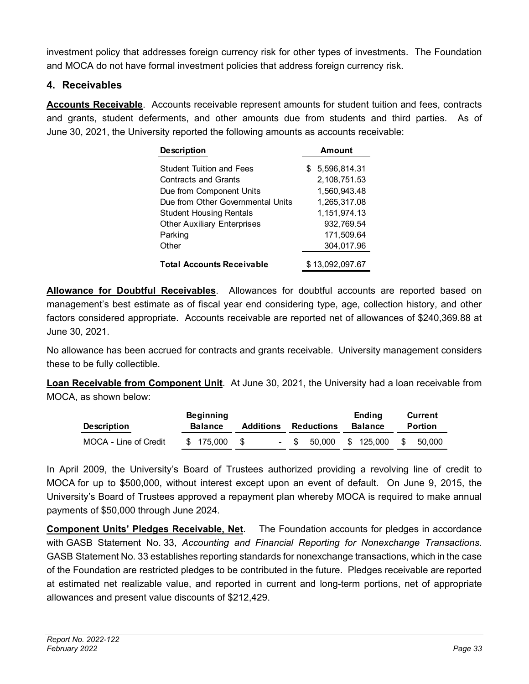investment policy that addresses foreign currency risk for other types of investments. The Foundation and MOCA do not have formal investment policies that address foreign currency risk.

# **4. Receivables**

**Accounts Receivable**. Accounts receivable represent amounts for student tuition and fees, contracts and grants, student deferments, and other amounts due from students and third parties. As of June 30, 2021, the University reported the following amounts as accounts receivable:

| <b>Description</b>                                      | Amount                             |
|---------------------------------------------------------|------------------------------------|
| <b>Student Tuition and Fees</b><br>Contracts and Grants | 5,596,814.31<br>\$<br>2,108,751.53 |
| Due from Component Units                                | 1,560,943.48                       |
| Due from Other Governmental Units                       | 1,265,317.08                       |
| <b>Student Housing Rentals</b>                          | 1, 151, 974. 13                    |
| <b>Other Auxiliary Enterprises</b>                      | 932,769.54                         |
| Parking                                                 | 171,509.64                         |
| Other                                                   | 304,017.96                         |
| <b>Total Accounts Receivable</b>                        | \$13,092,097.67                    |

**Allowance for Doubtful Receivables**. Allowances for doubtful accounts are reported based on management's best estimate as of fiscal year end considering type, age, collection history, and other factors considered appropriate. Accounts receivable are reported net of allowances of \$240,369.88 at June 30, 2021.

No allowance has been accrued for contracts and grants receivable. University management considers these to be fully collectible.

**Loan Receivable from Component Unit**. At June 30, 2021, the University had a loan receivable from MOCA, as shown below:

|                       | <b>Beginning</b> |           |                          | Ending         | Current        |
|-----------------------|------------------|-----------|--------------------------|----------------|----------------|
| <b>Description</b>    | <b>Balance</b>   | Additions | <b>Reductions</b>        | <b>Balance</b> | <b>Portion</b> |
| MOCA - Line of Credit | \$175,000        | - \$      | $-$ \$ 50,000 \$ 125,000 |                | - SS<br>50.000 |

In April 2009, the University's Board of Trustees authorized providing a revolving line of credit to MOCA for up to \$500,000, without interest except upon an event of default. On June 9, 2015, the University's Board of Trustees approved a repayment plan whereby MOCA is required to make annual payments of \$50,000 through June 2024.

**Component Units' Pledges Receivable, Net**. The Foundation accounts for pledges in accordance with GASB Statement No. 33, *Accounting and Financial Reporting for Nonexchange Transactions.*  GASB Statement No. 33 establishes reporting standards for nonexchange transactions, which in the case of the Foundation are restricted pledges to be contributed in the future. Pledges receivable are reported at estimated net realizable value, and reported in current and long-term portions, net of appropriate allowances and present value discounts of \$212,429.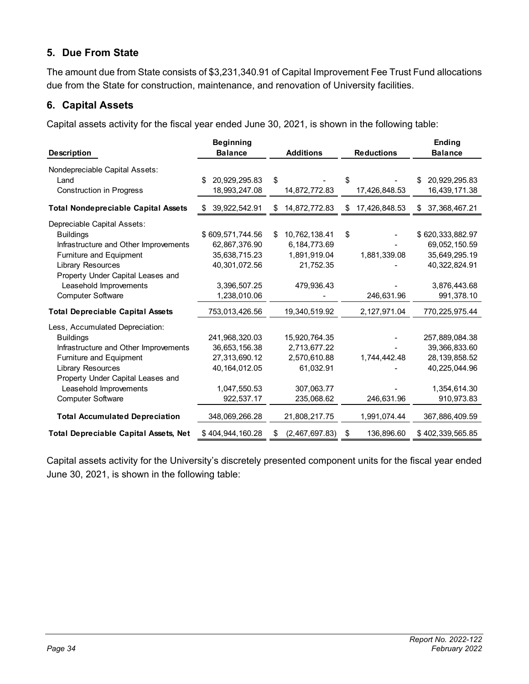# **5. Due From State**

The amount due from State consists of \$3,231,340.91 of Capital Improvement Fee Trust Fund allocations due from the State for construction, maintenance, and renovation of University facilities.

#### **6. Capital Assets**

Capital assets activity for the fiscal year ended June 30, 2021, is shown in the following table:

| <b>Description</b>                           | <b>Beginning</b><br><b>Balance</b> | <b>Additions</b>    | <b>Reductions</b>   | Ending<br><b>Balance</b> |
|----------------------------------------------|------------------------------------|---------------------|---------------------|--------------------------|
| Nondepreciable Capital Assets:               |                                    |                     |                     |                          |
| Land                                         | 20,929,295.83<br>\$.               | \$                  | \$                  | 20,929,295.83            |
| <b>Construction in Progress</b>              | 18,993,247.08                      | 14,872,772.83       | 17,426,848.53       | 16,439,171.38            |
| <b>Total Nondepreciable Capital Assets</b>   | 39,922,542.91<br>\$                | 14,872,772.83       | 17,426,848.53<br>\$ | 37,368,467.21<br>\$      |
| Depreciable Capital Assets:                  |                                    |                     |                     |                          |
| <b>Buildings</b>                             | \$609,571,744.56                   | \$<br>10,762,138.41 | \$                  | \$620,333,882.97         |
| Infrastructure and Other Improvements        | 62,867,376.90                      | 6,184,773.69        |                     | 69,052,150.59            |
| Furniture and Equipment                      | 35,638,715.23                      | 1,891,919.04        | 1,881,339.08        | 35,649,295.19            |
| <b>Library Resources</b>                     | 40,301,072.56                      | 21,752.35           |                     | 40,322,824.91            |
| Property Under Capital Leases and            |                                    |                     |                     |                          |
| Leasehold Improvements                       | 3,396,507.25                       | 479,936.43          |                     | 3,876,443.68             |
| <b>Computer Software</b>                     | 1,238,010.06                       |                     | 246,631.96          | 991,378.10               |
| <b>Total Depreciable Capital Assets</b>      | 753,013,426.56                     | 19,340,519.92       | 2,127,971.04        | 770,225,975.44           |
| Less, Accumulated Depreciation:              |                                    |                     |                     |                          |
| <b>Buildings</b>                             | 241,968,320.03                     | 15,920,764.35       |                     | 257,889,084.38           |
| Infrastructure and Other Improvements        | 36,653,156.38                      | 2,713,677.22        |                     | 39,366,833.60            |
| Furniture and Equipment                      | 27,313,690.12                      | 2,570,610.88        | 1,744,442.48        | 28, 139, 858.52          |
| <b>Library Resources</b>                     | 40, 164, 012.05                    | 61,032.91           |                     | 40,225,044.96            |
| Property Under Capital Leases and            |                                    |                     |                     |                          |
| Leasehold Improvements                       | 1,047,550.53                       | 307,063.77          |                     | 1,354,614.30             |
| <b>Computer Software</b>                     | 922,537.17                         | 235,068.62          | 246,631.96          | 910,973.83               |
| <b>Total Accumulated Depreciation</b>        | 348,069,266.28                     | 21,808,217.75       | 1,991,074.44        | 367,886,409.59           |
| <b>Total Depreciable Capital Assets, Net</b> | \$404,944,160.28                   | (2,467,697.83)<br>S | \$<br>136,896.60    | \$402,339,565.85         |

Capital assets activity for the University's discretely presented component units for the fiscal year ended June 30, 2021, is shown in the following table: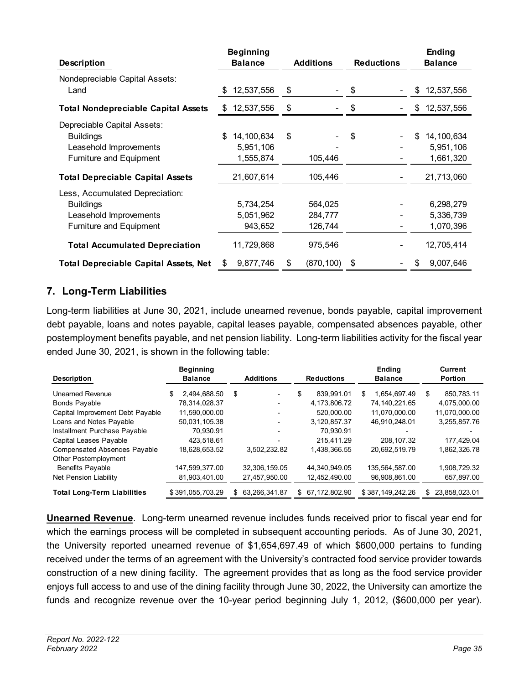|                                              | <b>Beginning</b> |                  |                   |    | <b>Ending</b>  |
|----------------------------------------------|------------------|------------------|-------------------|----|----------------|
| <b>Description</b>                           | <b>Balance</b>   | <b>Additions</b> | <b>Reductions</b> |    | <b>Balance</b> |
| Nondepreciable Capital Assets:               |                  |                  |                   |    |                |
| Land                                         | \$<br>12,537,556 | \$               | \$                | \$ | 12,537,556     |
| <b>Total Nondepreciable Capital Assets</b>   | \$<br>12,537,556 | \$               | \$                | \$ | 12,537,556     |
| Depreciable Capital Assets:                  |                  |                  |                   |    |                |
| <b>Buildings</b>                             | \$<br>14,100,634 | \$               | \$                | \$ | 14,100,634     |
| Leasehold Improvements                       | 5,951,106        |                  |                   |    | 5,951,106      |
| <b>Furniture and Equipment</b>               | 1,555,874        | 105,446          |                   |    | 1,661,320      |
| <b>Total Depreciable Capital Assets</b>      | 21,607,614       | 105,446          |                   |    | 21,713,060     |
| Less, Accumulated Depreciation:              |                  |                  |                   |    |                |
| <b>Buildings</b>                             | 5,734,254        | 564,025          |                   |    | 6,298,279      |
| Leasehold Improvements                       | 5,051,962        | 284,777          |                   |    | 5,336,739      |
| <b>Furniture and Equipment</b>               | 943,652          | 126,744          |                   |    | 1,070,396      |
| <b>Total Accumulated Depreciation</b>        | 11,729,868       | 975,546          |                   |    | 12,705,414     |
| <b>Total Depreciable Capital Assets, Net</b> | \$<br>9,877,746  | \$<br>(870, 100) | \$                | S  | 9,007,646      |

# **7. Long-Term Liabilities**

Long-term liabilities at June 30, 2021, include unearned revenue, bonds payable, capital improvement debt payable, loans and notes payable, capital leases payable, compensated absences payable, other postemployment benefits payable, and net pension liability. Long-term liabilities activity for the fiscal year ended June 30, 2021, is shown in the following table:

| <b>Description</b>                  | <b>Beginning</b><br><b>Balance</b> | <b>Additions</b>         | <b>Reductions</b>    | <b>Ending</b><br><b>Balance</b> | <b>Current</b><br><b>Portion</b> |
|-------------------------------------|------------------------------------|--------------------------|----------------------|---------------------------------|----------------------------------|
| <b>Unearned Revenue</b>             | 2,494,688.50                       | \$<br>۰                  | 839.991.01<br>\$.    | 1.654.697.49<br>\$.             | 850,783.11<br>\$.                |
| <b>Bonds Payable</b>                | 78.314.028.37                      |                          | 4,173,806.72         | 74.140.221.65                   | 4,075,000.00                     |
| Capital Improvement Debt Payable    | 11.590.000.00                      |                          | 520.000.00           | 11.070.000.00                   | 11.070.000.00                    |
| Loans and Notes Payable             | 50,031,105.38                      |                          | 3,120,857.37         | 46.910.248.01                   | 3,255,857.76                     |
| Installment Purchase Payable        | 70.930.91                          |                          | 70.930.91            |                                 |                                  |
| Capital Leases Payable              | 423.518.61                         | $\overline{\phantom{0}}$ | 215.411.29           | 208.107.32                      | 177.429.04                       |
| <b>Compensated Absences Payable</b> | 18,628,653.52                      | 3,502,232.82             | 1,438,366.55         | 20,692,519.79                   | 1,862,326.78                     |
| Other Postemployment                |                                    |                          |                      |                                 |                                  |
| <b>Benefits Payable</b>             | 147,599,377.00                     | 32.306.159.05            | 44.340.949.05        | 135.564.587.00                  | 1,908,729.32                     |
| Net Pension Liability               | 81,903,401.00                      | 27.457.950.00            | 12,452,490.00        | 96,908,861.00                   | 657.897.00                       |
| <b>Total Long-Term Liabilities</b>  | \$391,055,703.29                   | 63.266.341.87<br>S.      | 67.172.802.90<br>SS. | \$387.149.242.26                | 23.858.023.01<br>\$.             |

**Unearned Revenue**. Long-term unearned revenue includes funds received prior to fiscal year end for which the earnings process will be completed in subsequent accounting periods. As of June 30, 2021, the University reported unearned revenue of \$1,654,697.49 of which \$600,000 pertains to funding received under the terms of an agreement with the University's contracted food service provider towards construction of a new dining facility. The agreement provides that as long as the food service provider enjoys full access to and use of the dining facility through June 30, 2022, the University can amortize the funds and recognize revenue over the 10-year period beginning July 1, 2012, (\$600,000 per year).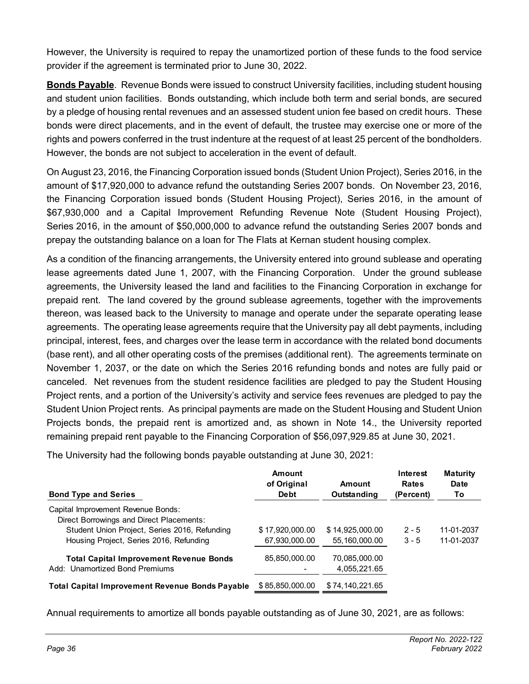However, the University is required to repay the unamortized portion of these funds to the food service provider if the agreement is terminated prior to June 30, 2022.

**Bonds Payable**. Revenue Bonds were issued to construct University facilities, including student housing and student union facilities. Bonds outstanding, which include both term and serial bonds, are secured by a pledge of housing rental revenues and an assessed student union fee based on credit hours. These bonds were direct placements, and in the event of default, the trustee may exercise one or more of the rights and powers conferred in the trust indenture at the request of at least 25 percent of the bondholders. However, the bonds are not subject to acceleration in the event of default.

On August 23, 2016, the Financing Corporation issued bonds (Student Union Project), Series 2016, in the amount of \$17,920,000 to advance refund the outstanding Series 2007 bonds. On November 23, 2016, the Financing Corporation issued bonds (Student Housing Project), Series 2016, in the amount of \$67,930,000 and a Capital Improvement Refunding Revenue Note (Student Housing Project), Series 2016, in the amount of \$50,000,000 to advance refund the outstanding Series 2007 bonds and prepay the outstanding balance on a loan for The Flats at Kernan student housing complex.

As a condition of the financing arrangements, the University entered into ground sublease and operating lease agreements dated June 1, 2007, with the Financing Corporation. Under the ground sublease agreements, the University leased the land and facilities to the Financing Corporation in exchange for prepaid rent. The land covered by the ground sublease agreements, together with the improvements thereon, was leased back to the University to manage and operate under the separate operating lease agreements. The operating lease agreements require that the University pay all debt payments, including principal, interest, fees, and charges over the lease term in accordance with the related bond documents (base rent), and all other operating costs of the premises (additional rent). The agreements terminate on November 1, 2037, or the date on which the Series 2016 refunding bonds and notes are fully paid or canceled. Net revenues from the student residence facilities are pledged to pay the Student Housing Project rents, and a portion of the University's activity and service fees revenues are pledged to pay the Student Union Project rents. As principal payments are made on the Student Housing and Student Union Projects bonds, the prepaid rent is amortized and, as shown in Note 14., the University reported remaining prepaid rent payable to the Financing Corporation of \$56,097,929.85 at June 30, 2021.

The University had the following bonds payable outstanding at June 30, 2021:

| <b>Bond Type and Series</b>                                                              | Amount<br>of Original<br><b>Debt</b> | Amount<br>Outstanding            | Interest<br><b>Rates</b><br>(Percent) | <b>Maturity</b><br>Date<br>To |
|------------------------------------------------------------------------------------------|--------------------------------------|----------------------------------|---------------------------------------|-------------------------------|
| Capital Improvement Revenue Bonds:<br>Direct Borrowings and Direct Placements:           |                                      |                                  |                                       |                               |
| Student Union Project, Series 2016, Refunding<br>Housing Project, Series 2016, Refunding | \$17,920,000.00<br>67,930,000.00     | \$14.925.000.00<br>55,160,000.00 | $2 - 5$<br>$3 - 5$                    | 11-01-2037<br>11-01-2037      |
| <b>Total Capital Improvement Revenue Bonds</b><br>Add: Unamortized Bond Premiums         | 85,850,000.00                        | 70,085,000.00<br>4,055,221.65    |                                       |                               |
| <b>Total Capital Improvement Revenue Bonds Payable</b>                                   | \$85,850,000.00                      | \$74,140,221.65                  |                                       |                               |

Annual requirements to amortize all bonds payable outstanding as of June 30, 2021, are as follows: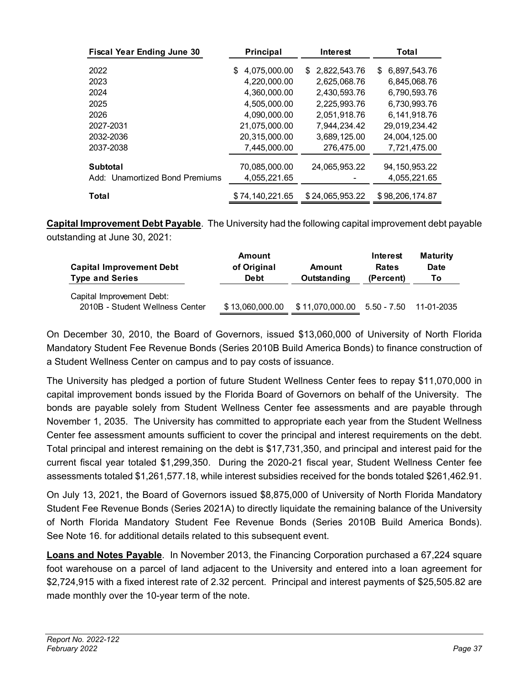| <b>Fiscal Year Ending June 30</b> | <b>Principal</b>   | Interest            | Total            |
|-----------------------------------|--------------------|---------------------|------------------|
|                                   |                    |                     |                  |
| 2022                              | 4,075,000.00<br>\$ | 2.822.543.76<br>\$. | \$ 6.897.543.76  |
| 2023                              | 4,220,000.00       | 2,625,068.76        | 6,845,068.76     |
| 2024                              | 4,360,000.00       | 2,430,593.76        | 6,790,593.76     |
| 2025                              | 4,505,000.00       | 2,225,993.76        | 6,730,993.76     |
| 2026                              | 4,090,000.00       | 2,051,918.76        | 6,141,918.76     |
| 2027-2031                         | 21,075,000.00      | 7.944.234.42        | 29,019,234.42    |
| 2032-2036                         | 20.315.000.00      | 3.689.125.00        | 24.004.125.00    |
| 2037-2038                         | 7,445,000.00       | 276.475.00          | 7,721,475.00     |
|                                   |                    |                     |                  |
| <b>Subtotal</b>                   | 70,085,000.00      | 24,065,953.22       | 94, 150, 953. 22 |
| Add: Unamortized Bond Premiums    | 4,055,221.65       |                     | 4,055,221.65     |
| Total                             | \$74,140,221.65    | \$24,065,953.22     | \$98,206,174.87  |

**Capital Improvement Debt Payable**. The University had the following capital improvement debt payable outstanding at June 30, 2021:

| <b>Capital Improvement Debt</b><br><b>Type and Series</b>    | Amount<br>of Original<br><b>Debt</b> | Amount<br>Outstanding | Interest<br><b>Rates</b><br>(Percent) | <b>Maturity</b><br>Date<br>To |
|--------------------------------------------------------------|--------------------------------------|-----------------------|---------------------------------------|-------------------------------|
| Capital Improvement Debt:<br>2010B - Student Wellness Center | \$13,060,000.00                      | \$11,070,000.00       | 5.50 - 7.50                           | 11-01-2035                    |

On December 30, 2010, the Board of Governors, issued \$13,060,000 of University of North Florida Mandatory Student Fee Revenue Bonds (Series 2010B Build America Bonds) to finance construction of a Student Wellness Center on campus and to pay costs of issuance.

The University has pledged a portion of future Student Wellness Center fees to repay \$11,070,000 in capital improvement bonds issued by the Florida Board of Governors on behalf of the University. The bonds are payable solely from Student Wellness Center fee assessments and are payable through November 1, 2035. The University has committed to appropriate each year from the Student Wellness Center fee assessment amounts sufficient to cover the principal and interest requirements on the debt. Total principal and interest remaining on the debt is \$17,731,350, and principal and interest paid for the current fiscal year totaled \$1,299,350. During the 2020-21 fiscal year, Student Wellness Center fee assessments totaled \$1,261,577.18, while interest subsidies received for the bonds totaled \$261,462.91.

On July 13, 2021, the Board of Governors issued \$8,875,000 of University of North Florida Mandatory Student Fee Revenue Bonds (Series 2021A) to directly liquidate the remaining balance of the University of North Florida Mandatory Student Fee Revenue Bonds (Series 2010B Build America Bonds). See Note 16. for additional details related to this subsequent event.

**Loans and Notes Payable**. In November 2013, the Financing Corporation purchased a 67,224 square foot warehouse on a parcel of land adjacent to the University and entered into a loan agreement for \$2,724,915 with a fixed interest rate of 2.32 percent. Principal and interest payments of \$25,505.82 are made monthly over the 10-year term of the note.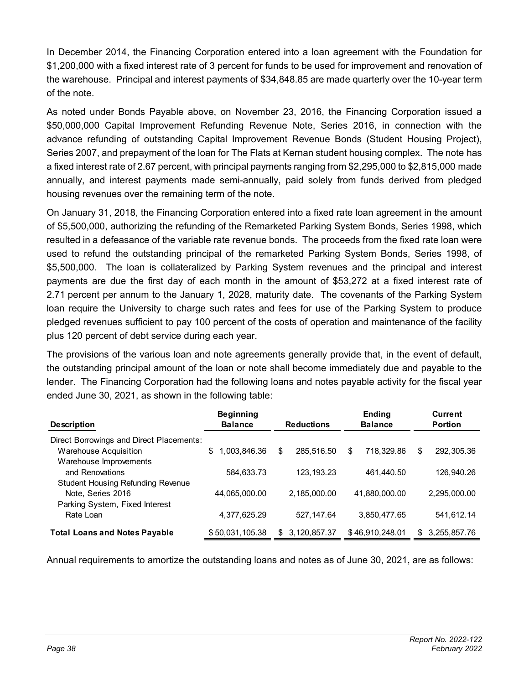In December 2014, the Financing Corporation entered into a loan agreement with the Foundation for \$1,200,000 with a fixed interest rate of 3 percent for funds to be used for improvement and renovation of the warehouse. Principal and interest payments of \$34,848.85 are made quarterly over the 10-year term of the note.

As noted under Bonds Payable above, on November 23, 2016, the Financing Corporation issued a \$50,000,000 Capital Improvement Refunding Revenue Note, Series 2016, in connection with the advance refunding of outstanding Capital Improvement Revenue Bonds (Student Housing Project), Series 2007, and prepayment of the loan for The Flats at Kernan student housing complex. The note has a fixed interest rate of 2.67 percent, with principal payments ranging from \$2,295,000 to \$2,815,000 made annually, and interest payments made semi-annually, paid solely from funds derived from pledged housing revenues over the remaining term of the note.

On January 31, 2018, the Financing Corporation entered into a fixed rate loan agreement in the amount of \$5,500,000, authorizing the refunding of the Remarketed Parking System Bonds, Series 1998, which resulted in a defeasance of the variable rate revenue bonds. The proceeds from the fixed rate loan were used to refund the outstanding principal of the remarketed Parking System Bonds, Series 1998, of \$5,500,000. The loan is collateralized by Parking System revenues and the principal and interest payments are due the first day of each month in the amount of \$53,272 at a fixed interest rate of 2.71 percent per annum to the January 1, 2028, maturity date. The covenants of the Parking System loan require the University to charge such rates and fees for use of the Parking System to produce pledged revenues sufficient to pay 100 percent of the costs of operation and maintenance of the facility plus 120 percent of debt service during each year.

The provisions of the various loan and note agreements generally provide that, in the event of default, the outstanding principal amount of the loan or note shall become immediately due and payable to the lender. The Financing Corporation had the following loans and notes payable activity for the fiscal year ended June 30, 2021, as shown in the following table:

|                                          | <b>Beginning</b> |                     | <b>Ending</b>    | <b>Current</b>     |
|------------------------------------------|------------------|---------------------|------------------|--------------------|
| <b>Description</b>                       | <b>Balance</b>   | <b>Reductions</b>   | <b>Balance</b>   | <b>Portion</b>     |
| Direct Borrowings and Direct Placements: |                  |                     |                  |                    |
| Warehouse Acquisition                    | ,003,846.36<br>S | 285,516.50<br>\$    | 718.329.86<br>\$ | 292,305.36<br>\$   |
| Warehouse Improvements                   |                  |                     |                  |                    |
| and Renovations                          | 584,633.73       | 123, 193. 23        | 461,440.50       | 126,940.26         |
| <b>Student Housing Refunding Revenue</b> |                  |                     |                  |                    |
| Note, Series 2016                        | 44,065,000.00    | 2,185,000.00        | 41,880,000.00    | 2,295,000.00       |
| Parking System, Fixed Interest           |                  |                     |                  |                    |
| Rate Loan                                | 4,377,625.29     | 527, 147.64         | 3,850,477.65     | 541,612.14         |
| <b>Total Loans and Notes Payable</b>     | \$50,031,105.38  | 3,120,857.37<br>\$. | \$46,910,248.01  | 3,255,857.76<br>S. |

Annual requirements to amortize the outstanding loans and notes as of June 30, 2021, are as follows: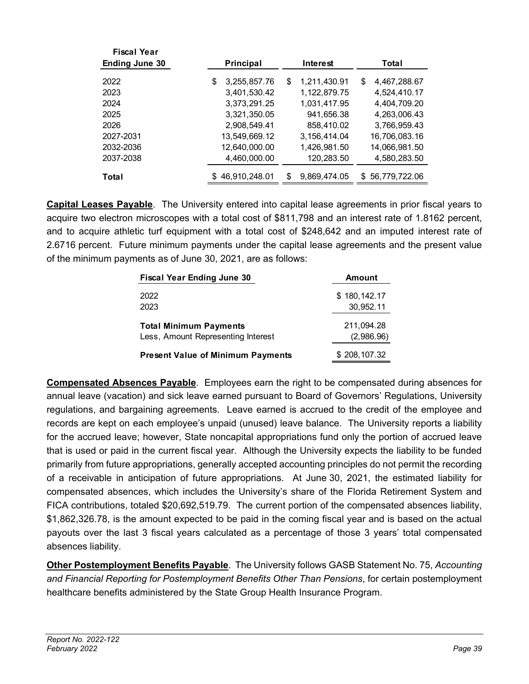| <b>Fiscal Year</b><br><b>Ending June 30</b> | <b>Principal</b>     | Interest          | Total              |
|---------------------------------------------|----------------------|-------------------|--------------------|
| 2022                                        | 3,255,857.76<br>\$   | 1,211,430.91<br>S | 4,467,288.67<br>\$ |
| 2023                                        | 3,401,530.42         | 1,122,879.75      | 4,524,410.17       |
| 2024                                        | 3,373,291.25         | 1,031,417.95      | 4,404,709.20       |
| 2025                                        | 3,321,350.05         | 941,656.38        | 4,263,006.43       |
| 2026                                        | 2,908,549.41         | 858,410.02        | 3,766,959.43       |
| 2027-2031                                   | 13,549,669.12        | 3, 156, 414.04    | 16,706,083.16      |
| 2032-2036                                   | 12,640,000.00        | 1,426,981.50      | 14,066,981.50      |
| 2037-2038                                   | 4,460,000.00         | 120,283.50        | 4,580,283.50       |
| Total                                       | 46,910,248.01<br>\$. | 9,869,474.05      | \$56,779,722.06    |

**Capital Leases Payable**. The University entered into capital lease agreements in prior fiscal years to acquire two electron microscopes with a total cost of \$811,798 and an interest rate of 1.8162 percent, and to acquire athletic turf equipment with a total cost of \$248,642 and an imputed interest rate of 2.6716 percent. Future minimum payments under the capital lease agreements and the present value of the minimum payments as of June 30, 2021, are as follows:

| <b>Fiscal Year Ending June 30</b>        | <b>Amount</b> |
|------------------------------------------|---------------|
| 2022                                     | \$180,142.17  |
| 2023                                     | 30,952.11     |
| <b>Total Minimum Payments</b>            | 211,094.28    |
| Less, Amount Representing Interest       | (2,986.96)    |
| <b>Present Value of Minimum Payments</b> | \$208,107.32  |

**Compensated Absences Payable**. Employees earn the right to be compensated during absences for annual leave (vacation) and sick leave earned pursuant to Board of Governors' Regulations, University regulations, and bargaining agreements. Leave earned is accrued to the credit of the employee and records are kept on each employee's unpaid (unused) leave balance. The University reports a liability for the accrued leave; however, State noncapital appropriations fund only the portion of accrued leave that is used or paid in the current fiscal year. Although the University expects the liability to be funded primarily from future appropriations, generally accepted accounting principles do not permit the recording of a receivable in anticipation of future appropriations. At June 30, 2021, the estimated liability for compensated absences, which includes the University's share of the Florida Retirement System and FICA contributions, totaled \$20,692,519.79. The current portion of the compensated absences liability, \$1,862,326.78, is the amount expected to be paid in the coming fiscal year and is based on the actual payouts over the last 3 fiscal years calculated as a percentage of those 3 years' total compensated absences liability.

**Other Postemployment Benefits Payable**. The University follows GASB Statement No. 75, *Accounting and Financial Reporting for Postemployment Benefits Other Than Pensions*, for certain postemployment healthcare benefits administered by the State Group Health Insurance Program.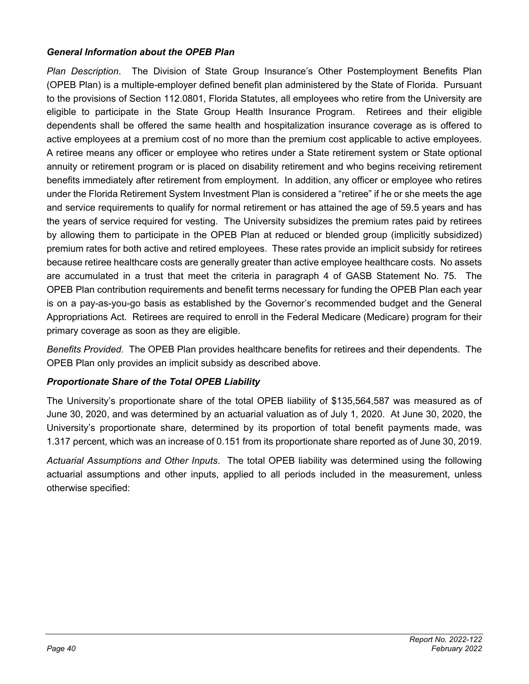#### *General Information about the OPEB Plan*

*Plan Description*. The Division of State Group Insurance's Other Postemployment Benefits Plan (OPEB Plan) is a multiple-employer defined benefit plan administered by the State of Florida. Pursuant to the provisions of Section 112.0801, Florida Statutes, all employees who retire from the University are eligible to participate in the State Group Health Insurance Program. Retirees and their eligible dependents shall be offered the same health and hospitalization insurance coverage as is offered to active employees at a premium cost of no more than the premium cost applicable to active employees. A retiree means any officer or employee who retires under a State retirement system or State optional annuity or retirement program or is placed on disability retirement and who begins receiving retirement benefits immediately after retirement from employment. In addition, any officer or employee who retires under the Florida Retirement System Investment Plan is considered a "retiree" if he or she meets the age and service requirements to qualify for normal retirement or has attained the age of 59.5 years and has the years of service required for vesting. The University subsidizes the premium rates paid by retirees by allowing them to participate in the OPEB Plan at reduced or blended group (implicitly subsidized) premium rates for both active and retired employees. These rates provide an implicit subsidy for retirees because retiree healthcare costs are generally greater than active employee healthcare costs. No assets are accumulated in a trust that meet the criteria in paragraph 4 of GASB Statement No. 75. The OPEB Plan contribution requirements and benefit terms necessary for funding the OPEB Plan each year is on a pay-as-you-go basis as established by the Governor's recommended budget and the General Appropriations Act. Retirees are required to enroll in the Federal Medicare (Medicare) program for their primary coverage as soon as they are eligible.

*Benefits Provided*. The OPEB Plan provides healthcare benefits for retirees and their dependents. The OPEB Plan only provides an implicit subsidy as described above.

# *Proportionate Share of the Total OPEB Liability*

The University's proportionate share of the total OPEB liability of \$135,564,587 was measured as of June 30, 2020, and was determined by an actuarial valuation as of July 1, 2020. At June 30, 2020, the University's proportionate share, determined by its proportion of total benefit payments made, was 1.317 percent, which was an increase of 0.151 from its proportionate share reported as of June 30, 2019.

*Actuarial Assumptions and Other Inputs*. The total OPEB liability was determined using the following actuarial assumptions and other inputs, applied to all periods included in the measurement, unless otherwise specified: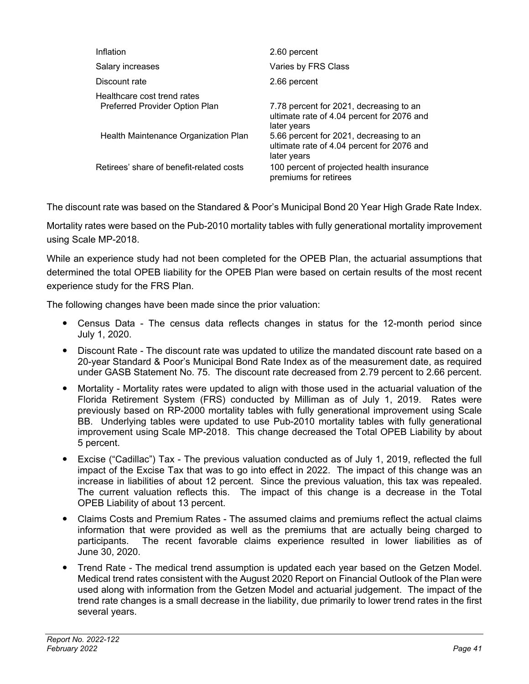| Inflation                                                     | 2.60 percent                                                                                         |
|---------------------------------------------------------------|------------------------------------------------------------------------------------------------------|
| Salary increases                                              | Varies by FRS Class                                                                                  |
| Discount rate                                                 | 2.66 percent                                                                                         |
| Healthcare cost trend rates<br>Preferred Provider Option Plan | 7.78 percent for 2021, decreasing to an<br>ultimate rate of 4.04 percent for 2076 and<br>later years |
| Health Maintenance Organization Plan                          | 5.66 percent for 2021, decreasing to an<br>ultimate rate of 4.04 percent for 2076 and<br>later years |
| Retirees' share of benefit-related costs                      | 100 percent of projected health insurance<br>premiums for retirees                                   |

The discount rate was based on the Standared & Poor's Municipal Bond 20 Year High Grade Rate Index.

Mortality rates were based on the Pub-2010 mortality tables with fully generational mortality improvement using Scale MP-2018.

While an experience study had not been completed for the OPEB Plan, the actuarial assumptions that determined the total OPEB liability for the OPEB Plan were based on certain results of the most recent experience study for the FRS Plan.

The following changes have been made since the prior valuation:

- Census Data The census data reflects changes in status for the 12-month period since July 1, 2020.
- Discount Rate The discount rate was updated to utilize the mandated discount rate based on a 20-year Standard & Poor's Municipal Bond Rate Index as of the measurement date, as required under GASB Statement No. 75. The discount rate decreased from 2.79 percent to 2.66 percent.
- Mortality Mortality rates were updated to align with those used in the actuarial valuation of the Florida Retirement System (FRS) conducted by Milliman as of July 1, 2019. Rates were previously based on RP-2000 mortality tables with fully generational improvement using Scale BB. Underlying tables were updated to use Pub-2010 mortality tables with fully generational improvement using Scale MP-2018. This change decreased the Total OPEB Liability by about 5 percent.
- Excise ("Cadillac") Tax The previous valuation conducted as of July 1, 2019, reflected the full impact of the Excise Tax that was to go into effect in 2022. The impact of this change was an increase in liabilities of about 12 percent. Since the previous valuation, this tax was repealed. The current valuation reflects this. The impact of this change is a decrease in the Total OPEB Liability of about 13 percent.
- Claims Costs and Premium Rates The assumed claims and premiums reflect the actual claims information that were provided as well as the premiums that are actually being charged to participants. The recent favorable claims experience resulted in lower liabilities as of June 30, 2020.
- Trend Rate The medical trend assumption is updated each year based on the Getzen Model. Medical trend rates consistent with the August 2020 Report on Financial Outlook of the Plan were used along with information from the Getzen Model and actuarial judgement. The impact of the trend rate changes is a small decrease in the liability, due primarily to lower trend rates in the first several years.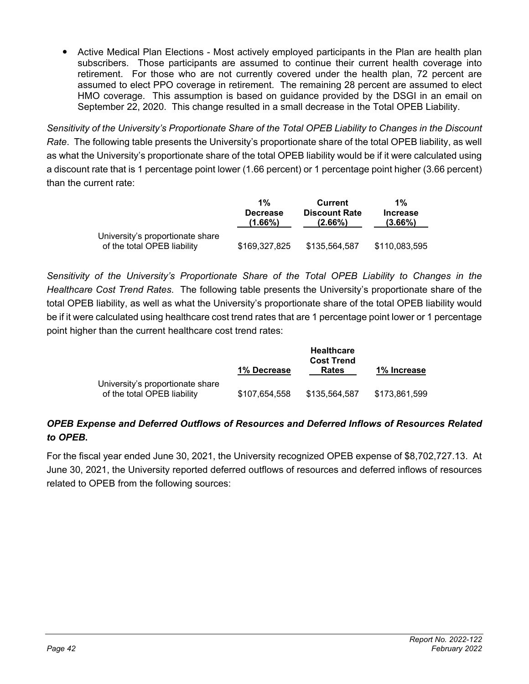Active Medical Plan Elections - Most actively employed participants in the Plan are health plan subscribers. Those participants are assumed to continue their current health coverage into retirement. For those who are not currently covered under the health plan, 72 percent are assumed to elect PPO coverage in retirement. The remaining 28 percent are assumed to elect HMO coverage. This assumption is based on guidance provided by the DSGI in an email on September 22, 2020. This change resulted in a small decrease in the Total OPEB Liability.

*Sensitivity of the University's Proportionate Share of the Total OPEB Liability to Changes in the Discount Rate*. The following table presents the University's proportionate share of the total OPEB liability, as well as what the University's proportionate share of the total OPEB liability would be if it were calculated using a discount rate that is 1 percentage point lower (1.66 percent) or 1 percentage point higher (3.66 percent) than the current rate:

|                                                                 | 1%              | <b>Current</b>       | 1%              |
|-----------------------------------------------------------------|-----------------|----------------------|-----------------|
|                                                                 | <b>Decrease</b> | <b>Discount Rate</b> | <b>Increase</b> |
|                                                                 | $(1.66\%)$      | $(2.66\%)$           | $(3.66\%)$      |
| University's proportionate share<br>of the total OPEB liability | \$169,327,825   | \$135,564,587        | \$110,083,595   |

*Sensitivity of the University's Proportionate Share of the Total OPEB Liability to Changes in the Healthcare Cost Trend Rates*. The following table presents the University's proportionate share of the total OPEB liability, as well as what the University's proportionate share of the total OPEB liability would be if it were calculated using healthcare cost trend rates that are 1 percentage point lower or 1 percentage point higher than the current healthcare cost trend rates:

|                                  | 1% Decrease   | <b>Healthcare</b><br><b>Cost Trend</b><br>Rates | 1% Increase   |
|----------------------------------|---------------|-------------------------------------------------|---------------|
| University's proportionate share |               |                                                 |               |
| of the total OPEB liability      | \$107.654.558 | \$135.564.587                                   | \$173,861,599 |

# *OPEB Expense and Deferred Outflows of Resources and Deferred Inflows of Resources Related to OPEB***.**

For the fiscal year ended June 30, 2021, the University recognized OPEB expense of \$8,702,727.13. At June 30, 2021, the University reported deferred outflows of resources and deferred inflows of resources related to OPEB from the following sources: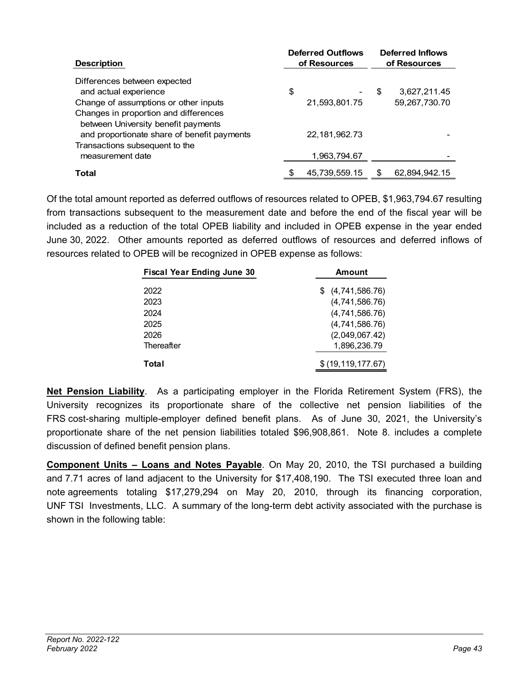| <b>Description</b>                                                           | <b>Deferred Outflows</b><br>of Resources |                  | Deferred Inflows<br>of Resources |               |  |
|------------------------------------------------------------------------------|------------------------------------------|------------------|----------------------------------|---------------|--|
| Differences between expected                                                 |                                          |                  |                                  |               |  |
| and actual experience                                                        | \$                                       |                  | \$                               | 3,627,211.45  |  |
| Change of assumptions or other inputs                                        |                                          | 21,593,801.75    |                                  | 59,267,730.70 |  |
| Changes in proportion and differences<br>between University benefit payments |                                          |                  |                                  |               |  |
| and proportionate share of benefit payments                                  |                                          | 22, 181, 962. 73 |                                  |               |  |
| Transactions subsequent to the                                               |                                          |                  |                                  |               |  |
| measurement date                                                             |                                          | 1,963,794.67     |                                  |               |  |
| Total                                                                        | \$                                       | 45,739,559.15    |                                  | 62,894,942.15 |  |

Of the total amount reported as deferred outflows of resources related to OPEB, \$1,963,794.67 resulting from transactions subsequent to the measurement date and before the end of the fiscal year will be included as a reduction of the total OPEB liability and included in OPEB expense in the year ended June 30, 2022. Other amounts reported as deferred outflows of resources and deferred inflows of resources related to OPEB will be recognized in OPEB expense as follows:

| <b>Fiscal Year Ending June 30</b> | Amount              |
|-----------------------------------|---------------------|
| 2022                              | \$ (4,741,586.76)   |
| 2023                              | (4,741,586.76)      |
| 2024                              | (4,741,586.76)      |
| 2025                              | (4,741,586.76)      |
| 2026                              | (2,049,067.42)      |
| Thereafter                        | 1,896,236.79        |
| Total                             | \$(19, 119, 177.67) |

**Net Pension Liability**. As a participating employer in the Florida Retirement System (FRS), the University recognizes its proportionate share of the collective net pension liabilities of the FRS cost-sharing multiple-employer defined benefit plans. As of June 30, 2021, the University's proportionate share of the net pension liabilities totaled \$96,908,861. Note 8. includes a complete discussion of defined benefit pension plans.

**Component Units – Loans and Notes Payable**. On May 20, 2010, the TSI purchased a building and 7.71 acres of land adjacent to the University for \$17,408,190. The TSI executed three loan and note agreements totaling \$17,279,294 on May 20, 2010, through its financing corporation, UNF TSI Investments, LLC. A summary of the long-term debt activity associated with the purchase is shown in the following table: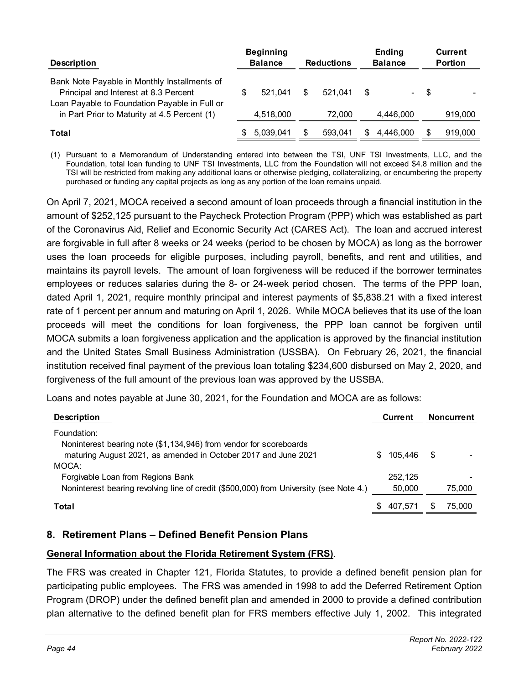| <b>Description</b>                                                                                                                     |     | <b>Beginning</b><br><b>Balance</b> |    | <b>Reductions</b> |    | <b>Ending</b><br><b>Balance</b> |       | Current<br><b>Portion</b> |
|----------------------------------------------------------------------------------------------------------------------------------------|-----|------------------------------------|----|-------------------|----|---------------------------------|-------|---------------------------|
| Bank Note Payable in Monthly Installments of<br>Principal and Interest at 8.3 Percent<br>Loan Payable to Foundation Payable in Full or | S   | 521.041                            | S  | 521.041           | \$ |                                 | $- S$ |                           |
| in Part Prior to Maturity at 4.5 Percent (1)                                                                                           |     | 4,518,000                          |    | 72,000            |    | 4.446.000                       |       | 919,000                   |
| Total                                                                                                                                  | SS. | 5,039,041                          | \$ | 593.041           | S. | 4.446.000                       | S     | 919.000                   |

(1) Pursuant to a Memorandum of Understanding entered into between the TSI, UNF TSI Investments, LLC, and the Foundation, total loan funding to UNF TSI Investments, LLC from the Foundation will not exceed \$4.8 million and the TSI will be restricted from making any additional loans or otherwise pledging, collateralizing, or encumbering the property purchased or funding any capital projects as long as any portion of the loan remains unpaid.

On April 7, 2021, MOCA received a second amount of loan proceeds through a financial institution in the amount of \$252,125 pursuant to the Paycheck Protection Program (PPP) which was established as part of the Coronavirus Aid, Relief and Economic Security Act (CARES Act). The loan and accrued interest are forgivable in full after 8 weeks or 24 weeks (period to be chosen by MOCA) as long as the borrower uses the loan proceeds for eligible purposes, including payroll, benefits, and rent and utilities, and maintains its payroll levels. The amount of loan forgiveness will be reduced if the borrower terminates employees or reduces salaries during the 8- or 24-week period chosen. The terms of the PPP loan, dated April 1, 2021, require monthly principal and interest payments of \$5,838.21 with a fixed interest rate of 1 percent per annum and maturing on April 1, 2026. While MOCA believes that its use of the loan proceeds will meet the conditions for loan forgiveness, the PPP loan cannot be forgiven until MOCA submits a loan forgiveness application and the application is approved by the financial institution and the United States Small Business Administration (USSBA). On February 26, 2021, the financial institution received final payment of the previous loan totaling \$234,600 disbursed on May 2, 2020, and forgiveness of the full amount of the previous loan was approved by the USSBA.

Loans and notes payable at June 30, 2021, for the Foundation and MOCA are as follows:

| <b>Description</b>                                                                     | <b>Current</b> |      | <b>Noncurrent</b> |
|----------------------------------------------------------------------------------------|----------------|------|-------------------|
| Foundation:                                                                            |                |      |                   |
| Noninterest bearing note (\$1,134,946) from vendor for scoreboards                     |                |      |                   |
| maturing August 2021, as amended in October 2017 and June 2021                         | \$105,446      | - \$ |                   |
| MOCA:                                                                                  |                |      |                   |
| Forgivable Loan from Regions Bank                                                      | 252.125        |      |                   |
| Noninterest bearing revolving line of credit (\$500,000) from University (see Note 4.) | 50,000         |      | 75,000            |
| Total                                                                                  | \$407,571      | \$   | 75,000            |

# **8. Retirement Plans – Defined Benefit Pension Plans**

# **General Information about the Florida Retirement System (FRS)**.

The FRS was created in Chapter 121, Florida Statutes, to provide a defined benefit pension plan for participating public employees. The FRS was amended in 1998 to add the Deferred Retirement Option Program (DROP) under the defined benefit plan and amended in 2000 to provide a defined contribution plan alternative to the defined benefit plan for FRS members effective July 1, 2002. This integrated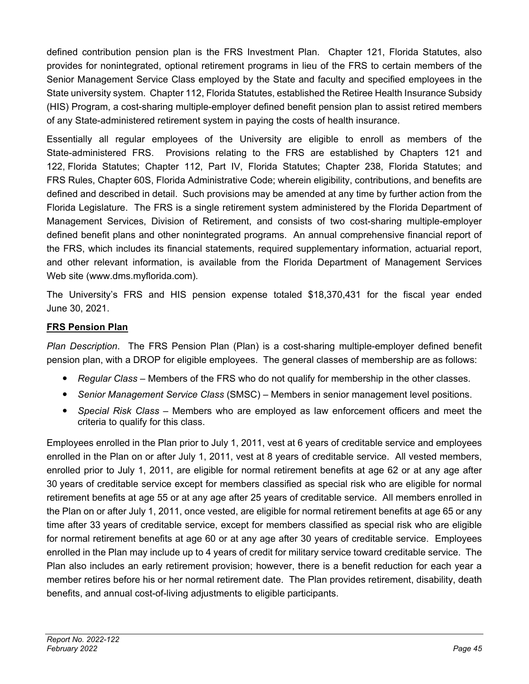defined contribution pension plan is the FRS Investment Plan. Chapter 121, Florida Statutes, also provides for nonintegrated, optional retirement programs in lieu of the FRS to certain members of the Senior Management Service Class employed by the State and faculty and specified employees in the State university system. Chapter 112, Florida Statutes, established the Retiree Health Insurance Subsidy (HIS) Program, a cost-sharing multiple-employer defined benefit pension plan to assist retired members of any State-administered retirement system in paying the costs of health insurance.

Essentially all regular employees of the University are eligible to enroll as members of the State-administered FRS. Provisions relating to the FRS are established by Chapters 121 and 122, Florida Statutes; Chapter 112, Part IV, Florida Statutes; Chapter 238, Florida Statutes; and FRS Rules, Chapter 60S, Florida Administrative Code; wherein eligibility, contributions, and benefits are defined and described in detail. Such provisions may be amended at any time by further action from the Florida Legislature. The FRS is a single retirement system administered by the Florida Department of Management Services, Division of Retirement, and consists of two cost-sharing multiple-employer defined benefit plans and other nonintegrated programs. An annual comprehensive financial report of the FRS, which includes its financial statements, required supplementary information, actuarial report, and other relevant information, is available from the Florida Department of Management Services Web site (www.dms.myflorida.com).

The University's FRS and HIS pension expense totaled \$18,370,431 for the fiscal year ended June 30, 2021.

# **FRS Pension Plan**

*Plan Description*. The FRS Pension Plan (Plan) is a cost-sharing multiple-employer defined benefit pension plan, with a DROP for eligible employees. The general classes of membership are as follows:

- *Regular Class* Members of the FRS who do not qualify for membership in the other classes.
- *Senior Management Service Class* (SMSC) Members in senior management level positions.
- *Special Risk Class* Members who are employed as law enforcement officers and meet the criteria to qualify for this class.

Employees enrolled in the Plan prior to July 1, 2011, vest at 6 years of creditable service and employees enrolled in the Plan on or after July 1, 2011, vest at 8 years of creditable service. All vested members, enrolled prior to July 1, 2011, are eligible for normal retirement benefits at age 62 or at any age after 30 years of creditable service except for members classified as special risk who are eligible for normal retirement benefits at age 55 or at any age after 25 years of creditable service. All members enrolled in the Plan on or after July 1, 2011, once vested, are eligible for normal retirement benefits at age 65 or any time after 33 years of creditable service, except for members classified as special risk who are eligible for normal retirement benefits at age 60 or at any age after 30 years of creditable service. Employees enrolled in the Plan may include up to 4 years of credit for military service toward creditable service. The Plan also includes an early retirement provision; however, there is a benefit reduction for each year a member retires before his or her normal retirement date. The Plan provides retirement, disability, death benefits, and annual cost-of-living adjustments to eligible participants.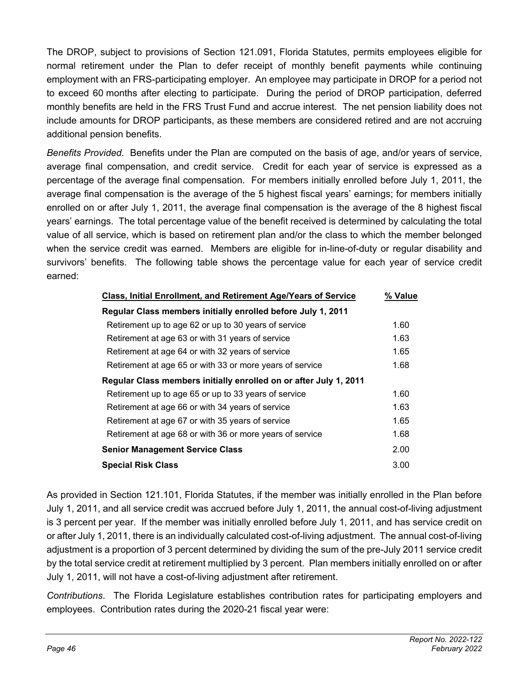The DROP, subject to provisions of Section 121.091, Florida Statutes, permits employees eligible for normal retirement under the Plan to defer receipt of monthly benefit payments while continuing employment with an FRS-participating employer. An employee may participate in DROP for a period not to exceed 60 months after electing to participate. During the period of DROP participation, deferred monthly benefits are held in the FRS Trust Fund and accrue interest. The net pension liability does not include amounts for DROP participants, as these members are considered retired and are not accruing additional pension benefits.

*Benefits Provided*. Benefits under the Plan are computed on the basis of age, and/or years of service, average final compensation, and credit service. Credit for each year of service is expressed as a percentage of the average final compensation. For members initially enrolled before July 1, 2011, the average final compensation is the average of the 5 highest fiscal years' earnings; for members initially enrolled on or after July 1, 2011, the average final compensation is the average of the 8 highest fiscal years' earnings. The total percentage value of the benefit received is determined by calculating the total value of all service, which is based on retirement plan and/or the class to which the member belonged when the service credit was earned. Members are eligible for in-line-of-duty or regular disability and survivors' benefits. The following table shows the percentage value for each year of service credit earned:

| <b>Class, Initial Enrollment, and Retirement Age/Years of Service</b> | % Value |
|-----------------------------------------------------------------------|---------|
| Regular Class members initially enrolled before July 1, 2011          |         |
| Retirement up to age 62 or up to 30 years of service                  | 1.60    |
| Retirement at age 63 or with 31 years of service                      | 1.63    |
| Retirement at age 64 or with 32 years of service                      | 1.65    |
| Retirement at age 65 or with 33 or more years of service              | 1.68    |
| Regular Class members initially enrolled on or after July 1, 2011     |         |
| Retirement up to age 65 or up to 33 years of service                  | 1.60    |
| Retirement at age 66 or with 34 years of service                      | 1.63    |
| Retirement at age 67 or with 35 years of service                      | 1.65    |
| Retirement at age 68 or with 36 or more years of service              | 1.68    |
| <b>Senior Management Service Class</b>                                | 2.00    |
| <b>Special Risk Class</b>                                             | 3.00    |

As provided in Section 121.101, Florida Statutes, if the member was initially enrolled in the Plan before July 1, 2011, and all service credit was accrued before July 1, 2011, the annual cost-of-living adjustment is 3 percent per year. If the member was initially enrolled before July 1, 2011, and has service credit on or after July 1, 2011, there is an individually calculated cost-of-living adjustment. The annual cost-of-living adjustment is a proportion of 3 percent determined by dividing the sum of the pre-July 2011 service credit by the total service credit at retirement multiplied by 3 percent. Plan members initially enrolled on or after July 1, 2011, will not have a cost-of-living adjustment after retirement.

*Contributions*. The Florida Legislature establishes contribution rates for participating employers and employees. Contribution rates during the 2020-21 fiscal year were: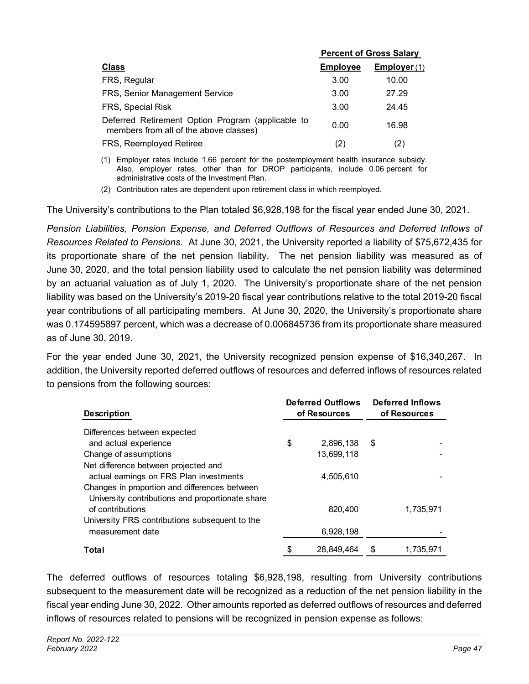|                                                                                             | <b>Percent of Gross Salary</b> |                |  |  |  |
|---------------------------------------------------------------------------------------------|--------------------------------|----------------|--|--|--|
| <b>Class</b>                                                                                | <b>Employee</b>                | Employer $(1)$ |  |  |  |
| FRS, Regular                                                                                | 3.00                           | 10.00          |  |  |  |
| FRS, Senior Management Service                                                              | 3.00                           | 27.29          |  |  |  |
| FRS, Special Risk                                                                           | 3.00                           | 24.45          |  |  |  |
| Deferred Retirement Option Program (applicable to<br>members from all of the above classes) | 0.00                           | 16.98          |  |  |  |
| FRS, Reemployed Retiree                                                                     | (2)                            | (2)            |  |  |  |

(1) Employer rates include 1.66 percent for the postemployment health insurance subsidy. Also, employer rates, other than for DROP participants, include 0.06 percent for administrative costs of the Investment Plan.

(2) Contribution rates are dependent upon retirement class in which reemployed.

The University's contributions to the Plan totaled \$6,928,198 for the fiscal year ended June 30, 2021.

*Pension Liabilities, Pension Expense, and Deferred Outflows of Resources and Deferred Inflows of Resources Related to Pensions*. At June 30, 2021, the University reported a liability of \$75,672,435 for its proportionate share of the net pension liability. The net pension liability was measured as of June 30, 2020, and the total pension liability used to calculate the net pension liability was determined by an actuarial valuation as of July 1, 2020. The University's proportionate share of the net pension liability was based on the University's 2019-20 fiscal year contributions relative to the total 2019-20 fiscal year contributions of all participating members. At June 30, 2020, the University's proportionate share was 0.174595897 percent, which was a decrease of 0.006845736 from its proportionate share measured as of June 30, 2019.

For the year ended June 30, 2021, the University recognized pension expense of \$16,340,267. In addition, the University reported deferred outflows of resources and deferred inflows of resources related to pensions from the following sources:

| <b>Description</b>                                                                                |    | <b>Deferred Outflows</b><br>of Resources |    | <b>Deferred Inflows</b><br>of Resources |  |
|---------------------------------------------------------------------------------------------------|----|------------------------------------------|----|-----------------------------------------|--|
| Differences between expected                                                                      |    |                                          |    |                                         |  |
| and actual experience                                                                             | \$ | 2,896,138                                | \$ |                                         |  |
| Change of assumptions                                                                             |    | 13,699,118                               |    |                                         |  |
| Net difference between projected and                                                              |    |                                          |    |                                         |  |
| actual earnings on FRS Plan investments                                                           |    | 4,505,610                                |    |                                         |  |
| Changes in proportion and differences between<br>University contributions and proportionate share |    |                                          |    |                                         |  |
| of contributions                                                                                  |    | 820,400                                  |    | 1,735,971                               |  |
| University FRS contributions subsequent to the                                                    |    |                                          |    |                                         |  |
| measurement date                                                                                  |    | 6,928,198                                |    |                                         |  |
| Total                                                                                             |    | 28,849,464                               | S  | 1,735,971                               |  |

The deferred outflows of resources totaling \$6,928,198, resulting from University contributions subsequent to the measurement date will be recognized as a reduction of the net pension liability in the fiscal year ending June 30, 2022. Other amounts reported as deferred outflows of resources and deferred inflows of resources related to pensions will be recognized in pension expense as follows: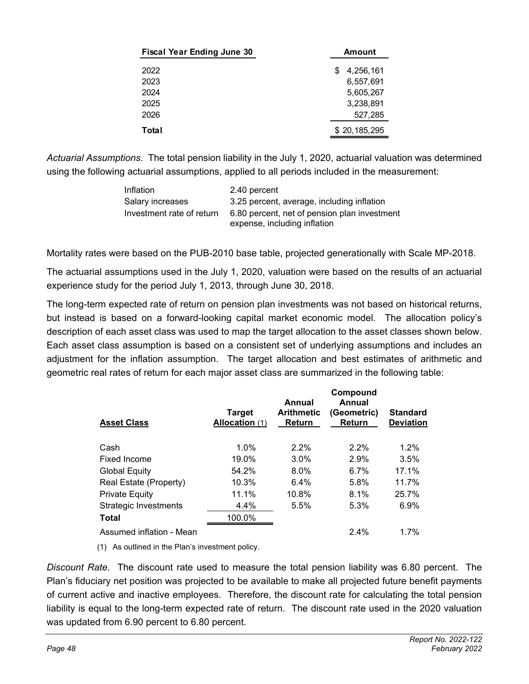| <b>Fiscal Year Ending June 30</b> | Amount         |
|-----------------------------------|----------------|
| 2022                              | 4,256,161<br>S |
| 2023                              | 6,557,691      |
| 2024                              | 5,605,267      |
| 2025                              | 3,238,891      |
| 2026                              | 527,285        |
| <b>Total</b>                      | \$20,185,295   |

*Actuarial Assumptions*. The total pension liability in the July 1, 2020, actuarial valuation was determined using the following actuarial assumptions, applied to all periods included in the measurement:

| Inflation                 | 2.40 percent                                                                 |
|---------------------------|------------------------------------------------------------------------------|
| Salary increases          | 3.25 percent, average, including inflation                                   |
| Investment rate of return | 6.80 percent, net of pension plan investment<br>expense, including inflation |

Mortality rates were based on the PUB-2010 base table, projected generationally with Scale MP-2018.

The actuarial assumptions used in the July 1, 2020, valuation were based on the results of an actuarial experience study for the period July 1, 2013, through June 30, 2018.

The long-term expected rate of return on pension plan investments was not based on historical returns, but instead is based on a forward-looking capital market economic model. The allocation policy's description of each asset class was used to map the target allocation to the asset classes shown below. Each asset class assumption is based on a consistent set of underlying assumptions and includes an adjustment for the inflation assumption. The target allocation and best estimates of arithmetic and geometric real rates of return for each major asset class are summarized in the following table:

| <b>Asset Class</b>           | <b>Target</b><br><b>Allocation</b> (1) | Annual<br><b>Arithmetic</b><br>Return | Compound<br>Annual<br>(Geometric)<br>Return | <b>Standard</b><br><b>Deviation</b> |
|------------------------------|----------------------------------------|---------------------------------------|---------------------------------------------|-------------------------------------|
| Cash                         | 1.0%                                   | $2.2\%$                               | 2.2%                                        | 1.2%                                |
| Fixed Income                 | 19.0%                                  | $3.0\%$                               | 2.9%                                        | 3.5%                                |
| <b>Global Equity</b>         | 54.2%                                  | $8.0\%$                               | 6.7%                                        | 17.1%                               |
| Real Estate (Property)       | 10.3%                                  | $6.4\%$                               | 5.8%                                        | 11.7%                               |
| <b>Private Equity</b>        | 11.1%                                  | 10.8%                                 | 8.1%                                        | 25.7%                               |
| <b>Strategic Investments</b> | 4.4%                                   | 5.5%                                  | 5.3%                                        | 6.9%                                |
| <b>Total</b>                 | 100.0%                                 |                                       |                                             |                                     |
| Assumed inflation - Mean     |                                        |                                       | 2.4%                                        | 1.7%                                |

(1) As outlined in the Plan's investment policy.

*Discount Rate*. The discount rate used to measure the total pension liability was 6.80 percent. The Plan's fiduciary net position was projected to be available to make all projected future benefit payments of current active and inactive employees. Therefore, the discount rate for calculating the total pension liability is equal to the long-term expected rate of return. The discount rate used in the 2020 valuation was updated from 6.90 percent to 6.80 percent.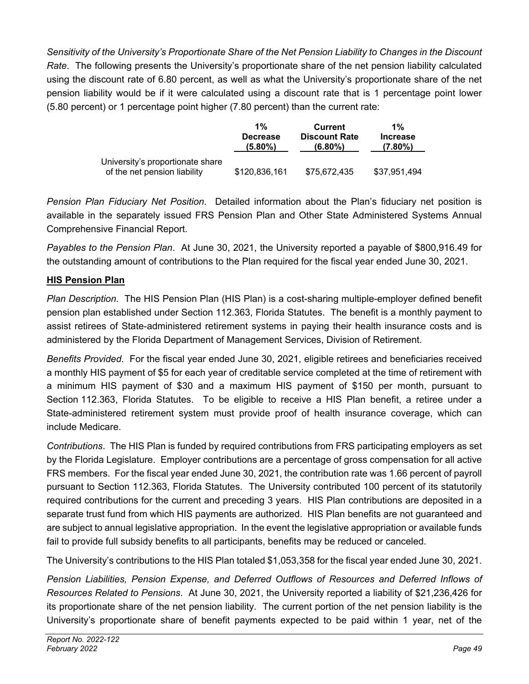*Sensitivity of the University's Proportionate Share of the Net Pension Liability to Changes in the Discount Rate*. The following presents the University's proportionate share of the net pension liability calculated using the discount rate of 6.80 percent, as well as what the University's proportionate share of the net pension liability would be if it were calculated using a discount rate that is 1 percentage point lower (5.80 percent) or 1 percentage point higher (7.80 percent) than the current rate:

|                                                                  | 1%              | <b>Current</b>       | $1\%$           |
|------------------------------------------------------------------|-----------------|----------------------|-----------------|
|                                                                  | <b>Decrease</b> | <b>Discount Rate</b> | <b>Increase</b> |
|                                                                  | $(5.80\%)$      | $(6.80\%)$           | $(7.80\%)$      |
| University's proportionate share<br>of the net pension liability | \$120,836,161   | \$75.672.435         | \$37,951,494    |

*Pension Plan Fiduciary Net Position*. Detailed information about the Plan's fiduciary net position is available in the separately issued FRS Pension Plan and Other State Administered Systems Annual Comprehensive Financial Report.

*Payables to the Pension Plan*. At June 30, 2021, the University reported a payable of \$800,916.49 for the outstanding amount of contributions to the Plan required for the fiscal year ended June 30, 2021.

# **HIS Pension Plan**

*Plan Description*. The HIS Pension Plan (HIS Plan) is a cost-sharing multiple-employer defined benefit pension plan established under Section 112.363, Florida Statutes. The benefit is a monthly payment to assist retirees of State-administered retirement systems in paying their health insurance costs and is administered by the Florida Department of Management Services, Division of Retirement.

*Benefits Provided*. For the fiscal year ended June 30, 2021, eligible retirees and beneficiaries received a monthly HIS payment of \$5 for each year of creditable service completed at the time of retirement with a minimum HIS payment of \$30 and a maximum HIS payment of \$150 per month, pursuant to Section 112.363, Florida Statutes. To be eligible to receive a HIS Plan benefit, a retiree under a State-administered retirement system must provide proof of health insurance coverage, which can include Medicare.

*Contributions*. The HIS Plan is funded by required contributions from FRS participating employers as set by the Florida Legislature. Employer contributions are a percentage of gross compensation for all active FRS members. For the fiscal year ended June 30, 2021, the contribution rate was 1.66 percent of payroll pursuant to Section 112.363, Florida Statutes. The University contributed 100 percent of its statutorily required contributions for the current and preceding 3 years. HIS Plan contributions are deposited in a separate trust fund from which HIS payments are authorized. HIS Plan benefits are not guaranteed and are subject to annual legislative appropriation. In the event the legislative appropriation or available funds fail to provide full subsidy benefits to all participants, benefits may be reduced or canceled.

The University's contributions to the HIS Plan totaled \$1,053,358 for the fiscal year ended June 30, 2021.

*Pension Liabilities, Pension Expense, and Deferred Outflows of Resources and Deferred Inflows of Resources Related to Pensions*. At June 30, 2021, the University reported a liability of \$21,236,426 for its proportionate share of the net pension liability. The current portion of the net pension liability is the University's proportionate share of benefit payments expected to be paid within 1 year, net of the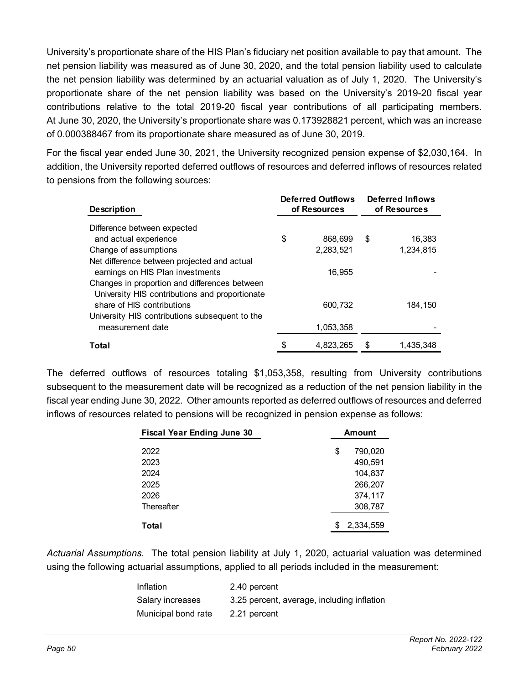University's proportionate share of the HIS Plan's fiduciary net position available to pay that amount. The net pension liability was measured as of June 30, 2020, and the total pension liability used to calculate the net pension liability was determined by an actuarial valuation as of July 1, 2020. The University's proportionate share of the net pension liability was based on the University's 2019-20 fiscal year contributions relative to the total 2019-20 fiscal year contributions of all participating members. At June 30, 2020, the University's proportionate share was 0.173928821 percent, which was an increase of 0.000388467 from its proportionate share measured as of June 30, 2019.

For the fiscal year ended June 30, 2021, the University recognized pension expense of \$2,030,164. In addition, the University reported deferred outflows of resources and deferred inflows of resources related to pensions from the following sources:

| <b>Description</b>                                                                                                            | <b>Deferred Outflows</b><br>of Resources | <b>Deferred Inflows</b><br>of Resources |           |  |
|-------------------------------------------------------------------------------------------------------------------------------|------------------------------------------|-----------------------------------------|-----------|--|
| Difference between expected                                                                                                   |                                          |                                         |           |  |
| and actual experience                                                                                                         | \$<br>868,699                            | \$                                      | 16,383    |  |
| Change of assumptions                                                                                                         | 2,283,521                                |                                         | 1,234,815 |  |
| Net difference between projected and actual<br>earnings on HIS Plan investments                                               | 16.955                                   |                                         |           |  |
| Changes in proportion and differences between<br>University HIS contributions and proportionate<br>share of HIS contributions |                                          |                                         |           |  |
| University HIS contributions subsequent to the                                                                                | 600.732                                  |                                         | 184,150   |  |
| measurement date                                                                                                              | 1,053,358                                |                                         |           |  |
| Total                                                                                                                         | 4,823,265                                | \$                                      | 1,435,348 |  |

The deferred outflows of resources totaling \$1,053,358, resulting from University contributions subsequent to the measurement date will be recognized as a reduction of the net pension liability in the fiscal year ending June 30, 2022. Other amounts reported as deferred outflows of resources and deferred inflows of resources related to pensions will be recognized in pension expense as follows:

| <b>Fiscal Year Ending June 30</b> | Amount        |  |  |
|-----------------------------------|---------------|--|--|
| 2022                              | \$<br>790,020 |  |  |
| 2023                              | 490,591       |  |  |
| 2024                              | 104,837       |  |  |
| 2025                              | 266,207       |  |  |
| 2026                              | 374,117       |  |  |
| Thereafter                        | 308,787       |  |  |
| Total                             | 2,334,559     |  |  |

*Actuarial Assumptions.* The total pension liability at July 1, 2020, actuarial valuation was determined using the following actuarial assumptions, applied to all periods included in the measurement:

| Inflation           | 2.40 percent                               |
|---------------------|--------------------------------------------|
| Salary increases    | 3.25 percent, average, including inflation |
| Municipal bond rate | 2.21 percent                               |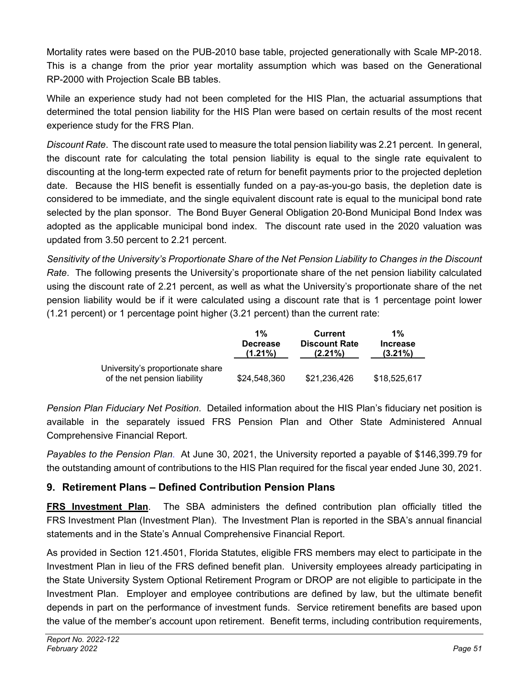Mortality rates were based on the PUB-2010 base table, projected generationally with Scale MP-2018. This is a change from the prior year mortality assumption which was based on the Generational RP-2000 with Projection Scale BB tables.

While an experience study had not been completed for the HIS Plan, the actuarial assumptions that determined the total pension liability for the HIS Plan were based on certain results of the most recent experience study for the FRS Plan.

*Discount Rate*. The discount rate used to measure the total pension liability was 2.21 percent. In general, the discount rate for calculating the total pension liability is equal to the single rate equivalent to discounting at the long-term expected rate of return for benefit payments prior to the projected depletion date. Because the HIS benefit is essentially funded on a pay-as-you-go basis, the depletion date is considered to be immediate, and the single equivalent discount rate is equal to the municipal bond rate selected by the plan sponsor. The Bond Buyer General Obligation 20-Bond Municipal Bond Index was adopted as the applicable municipal bond index. The discount rate used in the 2020 valuation was updated from 3.50 percent to 2.21 percent.

*Sensitivity of the University's Proportionate Share of the Net Pension Liability to Changes in the Discount Rate*. The following presents the University's proportionate share of the net pension liability calculated using the discount rate of 2.21 percent, as well as what the University's proportionate share of the net pension liability would be if it were calculated using a discount rate that is 1 percentage point lower (1.21 percent) or 1 percentage point higher (3.21 percent) than the current rate:

|                                                                  | $1\%$           | Current              | 1%              |
|------------------------------------------------------------------|-----------------|----------------------|-----------------|
|                                                                  | <b>Decrease</b> | <b>Discount Rate</b> | <b>Increase</b> |
|                                                                  | $(1.21\%)$      | $(2.21\%)$           | $(3.21\%)$      |
| University's proportionate share<br>of the net pension liability | \$24,548,360    | \$21,236,426         | \$18,525,617    |

*Pension Plan Fiduciary Net Position*. Detailed information about the HIS Plan's fiduciary net position is available in the separately issued FRS Pension Plan and Other State Administered Annual Comprehensive Financial Report.

*Payables to the Pension Plan*. At June 30, 2021, the University reported a payable of \$146,399.79 for the outstanding amount of contributions to the HIS Plan required for the fiscal year ended June 30, 2021.

# **9. Retirement Plans – Defined Contribution Pension Plans**

**FRS Investment Plan**. The SBA administers the defined contribution plan officially titled the FRS Investment Plan (Investment Plan). The Investment Plan is reported in the SBA's annual financial statements and in the State's Annual Comprehensive Financial Report.

As provided in Section 121.4501, Florida Statutes, eligible FRS members may elect to participate in the Investment Plan in lieu of the FRS defined benefit plan. University employees already participating in the State University System Optional Retirement Program or DROP are not eligible to participate in the Investment Plan. Employer and employee contributions are defined by law, but the ultimate benefit depends in part on the performance of investment funds. Service retirement benefits are based upon the value of the member's account upon retirement. Benefit terms, including contribution requirements,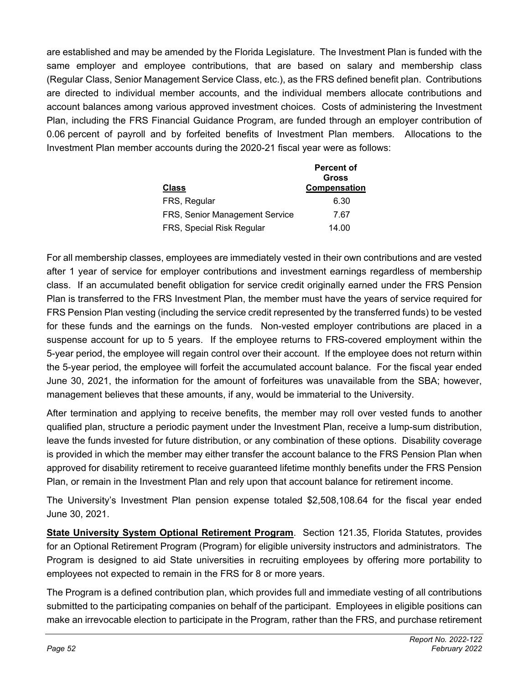are established and may be amended by the Florida Legislature. The Investment Plan is funded with the same employer and employee contributions, that are based on salary and membership class (Regular Class, Senior Management Service Class, etc.), as the FRS defined benefit plan. Contributions are directed to individual member accounts, and the individual members allocate contributions and account balances among various approved investment choices. Costs of administering the Investment Plan, including the FRS Financial Guidance Program, are funded through an employer contribution of 0.06 percent of payroll and by forfeited benefits of Investment Plan members. Allocations to the Investment Plan member accounts during the 2020-21 fiscal year were as follows:

|                                | <b>Percent of</b><br>Gross |
|--------------------------------|----------------------------|
| <b>Class</b>                   | Compensation               |
| FRS, Regular                   | 6.30                       |
| FRS, Senior Management Service | 7.67                       |
| FRS, Special Risk Regular      | 14.00                      |

For all membership classes, employees are immediately vested in their own contributions and are vested after 1 year of service for employer contributions and investment earnings regardless of membership class. If an accumulated benefit obligation for service credit originally earned under the FRS Pension Plan is transferred to the FRS Investment Plan, the member must have the years of service required for FRS Pension Plan vesting (including the service credit represented by the transferred funds) to be vested for these funds and the earnings on the funds. Non-vested employer contributions are placed in a suspense account for up to 5 years. If the employee returns to FRS-covered employment within the 5-year period, the employee will regain control over their account. If the employee does not return within the 5-year period, the employee will forfeit the accumulated account balance. For the fiscal year ended June 30, 2021, the information for the amount of forfeitures was unavailable from the SBA; however, management believes that these amounts, if any, would be immaterial to the University.

After termination and applying to receive benefits, the member may roll over vested funds to another qualified plan, structure a periodic payment under the Investment Plan, receive a lump-sum distribution, leave the funds invested for future distribution, or any combination of these options. Disability coverage is provided in which the member may either transfer the account balance to the FRS Pension Plan when approved for disability retirement to receive guaranteed lifetime monthly benefits under the FRS Pension Plan, or remain in the Investment Plan and rely upon that account balance for retirement income.

The University's Investment Plan pension expense totaled \$2,508,108.64 for the fiscal year ended June 30, 2021.

**State University System Optional Retirement Program**. Section 121.35, Florida Statutes, provides for an Optional Retirement Program (Program) for eligible university instructors and administrators. The Program is designed to aid State universities in recruiting employees by offering more portability to employees not expected to remain in the FRS for 8 or more years.

The Program is a defined contribution plan, which provides full and immediate vesting of all contributions submitted to the participating companies on behalf of the participant. Employees in eligible positions can make an irrevocable election to participate in the Program, rather than the FRS, and purchase retirement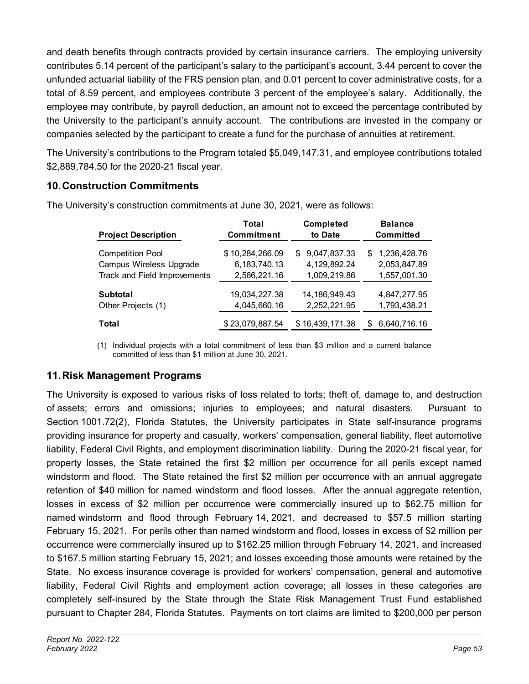and death benefits through contracts provided by certain insurance carriers. The employing university contributes 5.14 percent of the participant's salary to the participant's account, 3.44 percent to cover the unfunded actuarial liability of the FRS pension plan, and 0.01 percent to cover administrative costs, for a total of 8.59 percent, and employees contribute 3 percent of the employee's salary. Additionally, the employee may contribute, by payroll deduction, an amount not to exceed the percentage contributed by the University to the participant's annuity account. The contributions are invested in the company or companies selected by the participant to create a fund for the purchase of annuities at retirement.

The University's contributions to the Program totaled \$5,049,147.31, and employee contributions totaled \$2,889,784.50 for the 2020-21 fiscal year.

# **10. Construction Commitments**

| <b>Project Description</b>     | Total<br><b>Commitment</b>    | <b>Completed</b><br>to Date   |                              |
|--------------------------------|-------------------------------|-------------------------------|------------------------------|
| <b>Competition Pool</b>        | \$10,284,266.09               | \$9,047,837.33                | \$1,236,428.76               |
| Campus Wireless Upgrade        | 6, 183, 740. 13               | 4,129,892.24                  | 2,053,847.89                 |
| Track and Field Improvements   | 2,566,221.16                  | 1,009,219.86                  | 1,557,001.30                 |
| Subtotal<br>Other Projects (1) | 19,034,227.38<br>4,045,660.16 | 14,186,949.43<br>2,252,221.95 | 4,847,277.95<br>1,793,438.21 |
| Total                          | \$23,079,887.54               | \$16,439,171.38               | 6,640,716.16<br>\$           |

The University's construction commitments at June 30, 2021, were as follows:

(1) Individual projects with a total commitment of less than \$3 million and a current balance committed of less than \$1 million at June 30, 2021.

#### **11. Risk Management Programs**

The University is exposed to various risks of loss related to torts; theft of, damage to, and destruction of assets; errors and omissions; injuries to employees; and natural disasters. Pursuant to Section 1001.72(2), Florida Statutes, the University participates in State self-insurance programs providing insurance for property and casualty, workers' compensation, general liability, fleet automotive liability, Federal Civil Rights, and employment discrimination liability. During the 2020-21 fiscal year, for property losses, the State retained the first \$2 million per occurrence for all perils except named windstorm and flood. The State retained the first \$2 million per occurrence with an annual aggregate retention of \$40 million for named windstorm and flood losses. After the annual aggregate retention, losses in excess of \$2 million per occurrence were commercially insured up to \$62.75 million for named windstorm and flood through February 14, 2021, and decreased to \$57.5 million starting February 15, 2021. For perils other than named windstorm and flood, losses in excess of \$2 million per occurrence were commercially insured up to \$162.25 million through February 14, 2021, and increased to \$167.5 million starting February 15, 2021; and losses exceeding those amounts were retained by the State. No excess insurance coverage is provided for workers' compensation, general and automotive liability, Federal Civil Rights and employment action coverage; all losses in these categories are completely self-insured by the State through the State Risk Management Trust Fund established pursuant to Chapter 284, Florida Statutes. Payments on tort claims are limited to \$200,000 per person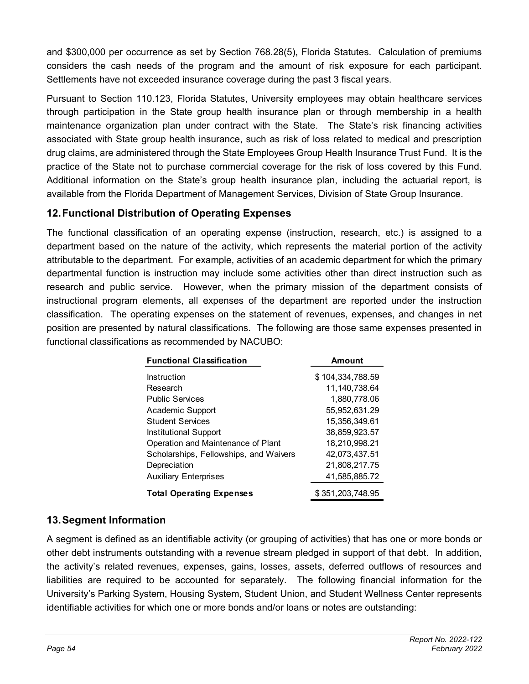and \$300,000 per occurrence as set by Section 768.28(5), Florida Statutes. Calculation of premiums considers the cash needs of the program and the amount of risk exposure for each participant. Settlements have not exceeded insurance coverage during the past 3 fiscal years.

Pursuant to Section 110.123, Florida Statutes, University employees may obtain healthcare services through participation in the State group health insurance plan or through membership in a health maintenance organization plan under contract with the State. The State's risk financing activities associated with State group health insurance, such as risk of loss related to medical and prescription drug claims, are administered through the State Employees Group Health Insurance Trust Fund. It is the practice of the State not to purchase commercial coverage for the risk of loss covered by this Fund. Additional information on the State's group health insurance plan, including the actuarial report, is available from the Florida Department of Management Services, Division of State Group Insurance.

# **12. Functional Distribution of Operating Expenses**

The functional classification of an operating expense (instruction, research, etc.) is assigned to a department based on the nature of the activity, which represents the material portion of the activity attributable to the department. For example, activities of an academic department for which the primary departmental function is instruction may include some activities other than direct instruction such as research and public service. However, when the primary mission of the department consists of instructional program elements, all expenses of the department are reported under the instruction classification. The operating expenses on the statement of revenues, expenses, and changes in net position are presented by natural classifications. The following are those same expenses presented in functional classifications as recommended by NACUBO:

| <b>Functional Classification</b>       | Amount           |
|----------------------------------------|------------------|
| Instruction                            | \$104,334,788.59 |
| Research                               | 11, 140, 738.64  |
| <b>Public Services</b>                 | 1,880,778.06     |
| Academic Support                       | 55.952.631.29    |
| <b>Student Services</b>                | 15,356,349.61    |
| Institutional Support                  | 38,859,923.57    |
| Operation and Maintenance of Plant     | 18.210.998.21    |
| Scholarships, Fellowships, and Waivers | 42.073.437.51    |
| Depreciation                           | 21,808,217.75    |
| <b>Auxiliary Enterprises</b>           | 41,585,885.72    |
| <b>Total Operating Expenses</b>        | \$351,203,748.95 |

# **13. Segment Information**

A segment is defined as an identifiable activity (or grouping of activities) that has one or more bonds or other debt instruments outstanding with a revenue stream pledged in support of that debt. In addition, the activity's related revenues, expenses, gains, losses, assets, deferred outflows of resources and liabilities are required to be accounted for separately. The following financial information for the University's Parking System, Housing System, Student Union, and Student Wellness Center represents identifiable activities for which one or more bonds and/or loans or notes are outstanding: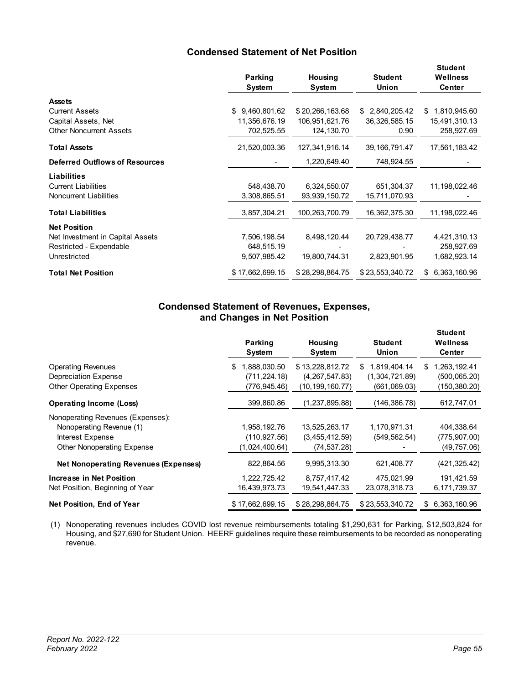#### **Condensed Statement of Net Position**

|                                       | Parking<br>System | Housing<br>System | <b>Student</b><br><b>Union</b> | Student<br><b>Wellness</b><br>Center |
|---------------------------------------|-------------------|-------------------|--------------------------------|--------------------------------------|
| <b>Assets</b>                         |                   |                   |                                |                                      |
| <b>Current Assets</b>                 | \$9,460,801.62    | \$20,266,163.68   | \$2,840,205.42                 | 1,810,945.60<br>\$                   |
| Capital Assets, Net                   | 11,356,676.19     | 106,951,621.76    | 36,326,585.15                  | 15,491,310.13                        |
| <b>Other Noncurrent Assets</b>        | 702,525.55        | 124, 130. 70      | 0.90                           | 258,927.69                           |
| <b>Total Assets</b>                   | 21,520,003.36     | 127,341,916.14    | 39, 166, 791. 47               | 17,561,183.42                        |
| <b>Deferred Outflows of Resources</b> |                   | 1,220,649.40      | 748,924.55                     |                                      |
| Liabilities                           |                   |                   |                                |                                      |
| <b>Current Liabilities</b>            | 548,438.70        | 6,324,550.07      | 651,304.37                     | 11,198,022.46                        |
| <b>Noncurrent Liabilities</b>         | 3,308,865.51      | 93,939,150.72     | 15,711,070.93                  |                                      |
| <b>Total Liabilities</b>              | 3,857,304.21      | 100,263,700.79    | 16,362,375.30                  | 11,198,022.46                        |
| <b>Net Position</b>                   |                   |                   |                                |                                      |
| Net Investment in Capital Assets      | 7,506,198.54      | 8,498,120.44      | 20,729,438.77                  | 4,421,310.13                         |
| Restricted - Expendable               | 648.515.19        |                   |                                | 258,927.69                           |
| Unrestricted                          | 9,507,985.42      | 19,800,744.31     | 2,823,901.95                   | 1,682,923.14                         |
| <b>Total Net Position</b>             | \$17,662,699.15   | \$28,298,864.75   | \$23,553,340.72                | 6,363,160.96<br>\$                   |

#### **Condensed Statement of Revenues, Expenses, and Changes in Net Position**

|                                             | Parking<br>System  | Housing<br>System | <b>Student</b><br><b>Union</b> | <b>Student</b><br><b>Wellness</b><br>Center |
|---------------------------------------------|--------------------|-------------------|--------------------------------|---------------------------------------------|
| <b>Operating Revenues</b>                   | 1,888,030.50<br>\$ | \$13,228,812.72   | 1.819.404.14<br>S.             | 1,263,192.41<br>S.                          |
| Depreciation Expense                        | (711,224.18)       | (4, 267, 547.83)  | (1,304,721.89)                 | (500, 065.20)                               |
| <b>Other Operating Expenses</b>             | (776,945.46)       | (10, 199, 160.77) | (661,069.03)                   | (150, 380.20)                               |
| <b>Operating Income (Loss)</b>              | 399,860.86         | (1, 237, 895.88)  | (146, 386.78)                  | 612,747.01                                  |
| Nonoperating Revenues (Expenses):           |                    |                   |                                |                                             |
| Nonoperating Revenue (1)                    | 1,958,192.76       | 13,525,263.17     | 1,170,971.31                   | 404,338.64                                  |
| Interest Expense                            | (110, 927.56)      | (3,455,412.59)    | (549, 562.54)                  | (775, 907.00)                               |
| <b>Other Nonoperating Expense</b>           | (1,024,400.64)     | (74, 537.28)      |                                | (49, 757.06)                                |
| <b>Net Nonoperating Revenues (Expenses)</b> | 822,864.56         | 9,995,313.30      | 621.408.77                     | (421, 325.42)                               |
| Increase in Net Position                    | 1,222,725.42       | 8,757,417.42      | 475.021.99                     | 191,421.59                                  |
| Net Position, Beginning of Year             | 16,439,973.73      | 19,541,447.33     | 23,078,318.73                  | 6,171,739.37                                |
| Net Position, End of Year                   | \$17,662,699.15    | \$28,298,864.75   | \$23,553,340.72                | 6,363,160.96<br>S.                          |

(1) Nonoperating revenues includes COVID lost revenue reimbursements totaling \$1,290,631 for Parking, \$12,503,824 for Housing, and \$27,690 for Student Union. HEERF guidelines require these reimbursements to be recorded as nonoperating revenue.

**Student**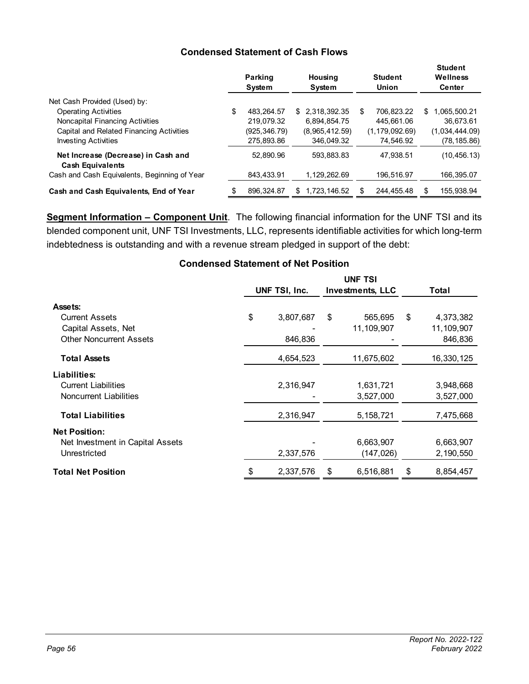#### **Condensed Statement of Cash Flows**

|                                                                | Parking<br>System |    | Housing<br>System | <b>Student</b><br><b>Union</b> |    | <b>Student</b><br>Wellness<br>Center |
|----------------------------------------------------------------|-------------------|----|-------------------|--------------------------------|----|--------------------------------------|
| Net Cash Provided (Used) by:                                   |                   |    |                   |                                |    |                                      |
| <b>Operating Activities</b>                                    | \$<br>483.264.57  |    | \$2.318.392.35    | \$<br>706.823.22               | S. | 1,065,500.21                         |
| Noncapital Financing Activities                                | 219.079.32        |    | 6.894.854.75      | 445.661.06                     |    | 36.673.61                            |
| Capital and Related Financing Activities                       | (925, 346.79)     |    | (8,965,412.59)    | (1, 179, 092.69)               |    | (1,034,444.09)                       |
| <b>Investing Activities</b>                                    | 275,893.86        |    | 346,049.32        | 74,546.92                      |    | (78, 185.86)                         |
| Net Increase (Decrease) in Cash and<br><b>Cash Equivalents</b> | 52.890.96         |    | 593.883.83        | 47.938.51                      |    | (10, 456, 13)                        |
| Cash and Cash Equivalents, Beginning of Year                   | 843.433.91        |    | 1.129.262.69      | 196.516.97                     |    | 166.395.07                           |
| Cash and Cash Equivalents, End of Year                         | \$<br>896.324.87  | S. | 1,723,146.52      | \$<br>244.455.48               |    | 155.938.94                           |

**Segment Information – Component Unit**. The following financial information for the UNF TSI and its blended component unit, UNF TSI Investments, LLC, represents identifiable activities for which long-term indebtedness is outstanding and with a revenue stream pledged in support of the debt:

#### **Condensed Statement of Net Position**

|                                  | UNF TSI, Inc. |           |    | <b>UNF TSI</b><br><b>Investments, LLC</b> | Total           |  |
|----------------------------------|---------------|-----------|----|-------------------------------------------|-----------------|--|
| Assets:                          |               |           |    |                                           |                 |  |
| <b>Current Assets</b>            | \$            | 3,807,687 | \$ | 565,695                                   | \$<br>4,373,382 |  |
| Capital Assets, Net              |               |           |    | 11,109,907                                | 11,109,907      |  |
| <b>Other Noncurrent Assets</b>   |               | 846,836   |    |                                           | 846,836         |  |
| <b>Total Assets</b>              |               | 4,654,523 |    | 11,675,602                                | 16,330,125      |  |
| Liabilities:                     |               |           |    |                                           |                 |  |
| <b>Current Liabilities</b>       |               | 2,316,947 |    | 1,631,721                                 | 3,948,668       |  |
| <b>Noncurrent Liabilities</b>    |               |           |    | 3,527,000                                 | 3,527,000       |  |
| <b>Total Liabilities</b>         |               | 2,316,947 |    | 5, 158, 721                               | 7,475,668       |  |
| <b>Net Position:</b>             |               |           |    |                                           |                 |  |
| Net Investment in Capital Assets |               |           |    | 6,663,907                                 | 6,663,907       |  |
| Unrestricted                     |               | 2,337,576 |    | (147, 026)                                | 2,190,550       |  |
| <b>Total Net Position</b>        | \$            | 2,337,576 | \$ | 6,516,881                                 | \$<br>8,854,457 |  |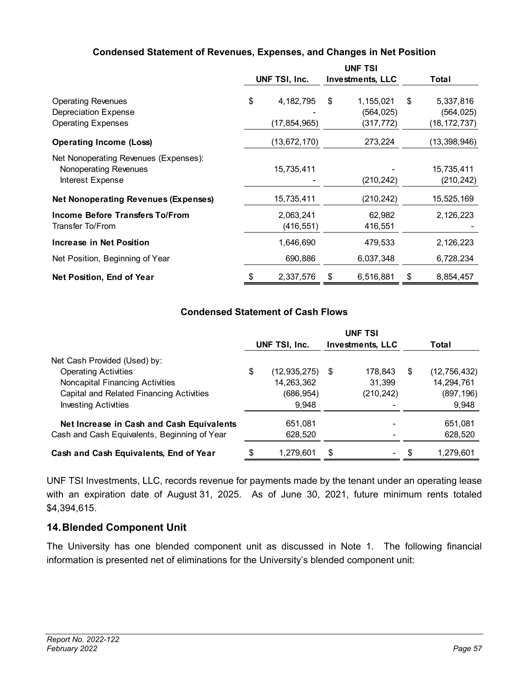# **Condensed Statement of Revenues, Expenses, and Changes in Net Position**

|                                                                                       | <b>UNF TSI</b> |                               |    |                                      |    |                                           |
|---------------------------------------------------------------------------------------|----------------|-------------------------------|----|--------------------------------------|----|-------------------------------------------|
|                                                                                       |                | UNF TSI, Inc.                 |    | <b>Investments, LLC</b>              |    | Total                                     |
| <b>Operating Revenues</b><br><b>Depreciation Expense</b><br><b>Operating Expenses</b> |                | 4, 182, 795<br>(17, 854, 965) | \$ | 1,155,021<br>(564,025)<br>(317, 772) | \$ | 5,337,816<br>(564, 025)<br>(18, 172, 737) |
| <b>Operating Income (Loss)</b>                                                        |                | (13, 672, 170)                |    | 273,224                              |    | (13, 398, 946)                            |
| Net Nonoperating Revenues (Expenses):<br>Nonoperating Revenues<br>Interest Expense    |                | 15,735,411                    |    | (210, 242)                           |    | 15,735,411<br>(210, 242)                  |
| <b>Net Nonoperating Revenues (Expenses)</b>                                           |                | 15,735,411                    |    | (210, 242)                           |    | 15,525,169                                |
| Income Before Transfers To/From<br>Transfer To/From                                   |                | 2,063,241<br>(416, 551)       |    | 62,982<br>416,551                    |    | 2,126,223                                 |
| Increase in Net Position                                                              |                | 1,646,690                     |    | 479,533                              |    | 2,126,223                                 |
| Net Position, Beginning of Year                                                       |                | 690,886                       |    | 6,037,348                            |    | 6,728,234                                 |
| <b>Net Position, End of Year</b>                                                      | \$             | 2,337,576                     | \$ | 6,516,881                            | \$ | 8,854,457                                 |

#### **Condensed Statement of Cash Flows**

|                                              |    | UNF TSI, Inc.  |      | <b>Investments, LLC</b> |      | Total          |
|----------------------------------------------|----|----------------|------|-------------------------|------|----------------|
| Net Cash Provided (Used) by:                 |    |                |      |                         |      |                |
| <b>Operating Activities</b>                  | \$ | (12, 935, 275) | - \$ | 178.843                 | - \$ | (12, 756, 432) |
| Noncapital Financing Activities              |    | 14,263,362     |      | 31,399                  |      | 14,294,761     |
| Capital and Related Financing Activities     |    | (686, 954)     |      | (210, 242)              |      | (897, 196)     |
| <b>Investing Activities</b>                  |    | 9,948          |      |                         |      | 9,948          |
| Net Increase in Cash and Cash Equivalents    |    | 651,081        |      |                         |      | 651,081        |
| Cash and Cash Equivalents, Beginning of Year |    | 628,520        |      |                         |      | 628,520        |
| Cash and Cash Equivalents, End of Year       |    | 1,279,601      | \$   |                         | \$   | 1,279,601      |

UNF TSI Investments, LLC, records revenue for payments made by the tenant under an operating lease with an expiration date of August 31, 2025. As of June 30, 2021, future minimum rents totaled \$4,394,615.

# **14. Blended Component Unit**

The University has one blended component unit as discussed in Note 1. The following financial information is presented net of eliminations for the University's blended component unit: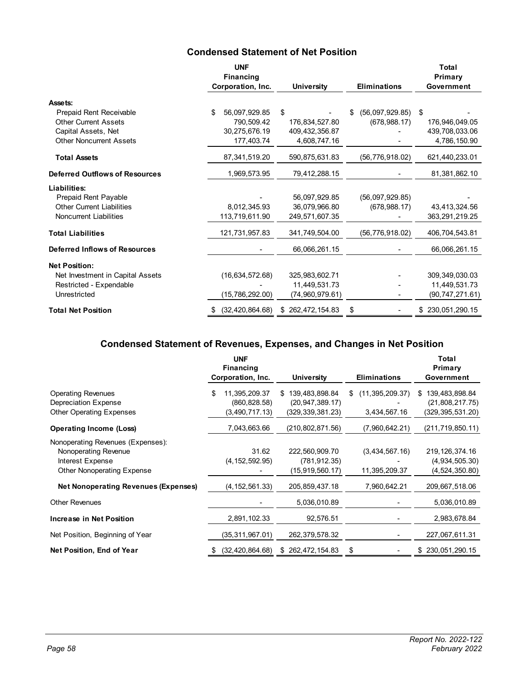# **Condensed Statement of Net Position**

|                                       | <b>UNF</b><br><b>Financing</b> |                   |                       | <b>Total</b><br>Primary |
|---------------------------------------|--------------------------------|-------------------|-----------------------|-------------------------|
|                                       | Corporation, Inc.              | <b>University</b> | <b>Eliminations</b>   | Government              |
| Assets:                               |                                |                   |                       |                         |
| Prepaid Rent Receivable               | 56,097,929.85<br>\$            | \$                | (56,097,929.85)<br>\$ | \$                      |
| <b>Other Current Assets</b>           | 790.509.42                     | 176,834,527.80    | (678, 988.17)         | 176,946,049.05          |
| Capital Assets, Net                   | 30,275,676.19                  | 409.432,356.87    |                       | 439,708,033.06          |
| <b>Other Noncurrent Assets</b>        | 177,403.74                     | 4,608,747.16      |                       | 4,786,150.90            |
| <b>Total Assets</b>                   | 87,341,519.20                  | 590,875,631.83    | (56, 776, 918.02)     | 621,440,233.01          |
| <b>Deferred Outflows of Resources</b> | 1,969,573.95                   | 79,412,288.15     |                       | 81,381,862.10           |
| Liabilities:                          |                                |                   |                       |                         |
| Prepaid Rent Payable                  |                                | 56,097,929.85     | (56,097,929.85)       |                         |
| <b>Other Current Liabilities</b>      | 8,012,345.93                   | 36,079,966.80     | (678, 988.17)         | 43,413,324.56           |
| <b>Noncurrent Liabilities</b>         | 113,719,611.90                 | 249,571,607.35    |                       | 363,291,219.25          |
| <b>Total Liabilities</b>              | 121,731,957.83                 | 341,749,504.00    | (56, 776, 918.02)     | 406,704,543.81          |
| Deferred Inflows of Resources         |                                | 66,066,261.15     |                       | 66.066.261.15           |
| <b>Net Position:</b>                  |                                |                   |                       |                         |
| Net Investment in Capital Assets      | (16, 634, 572.68)              | 325,983,602.71    |                       | 309,349,030.03          |
| Restricted - Expendable               |                                | 11,449,531.73     |                       | 11,449,531.73           |
| Unrestricted                          | (15,786,292.00)                | (74,960,979.61)   |                       | (90, 747, 271.61)       |
| <b>Total Net Position</b>             | (32, 420, 864.68)<br>S         | \$262,472,154.83  | \$                    | 230,051,290.15          |

# **Condensed Statement of Revenues, Expenses, and Changes in Net Position**

|                                             | <b>UNF</b><br><b>Financing</b> |                       |                         | Total<br>Primary    |
|---------------------------------------------|--------------------------------|-----------------------|-------------------------|---------------------|
|                                             | Corporation, Inc.              | <b>University</b>     | <b>Eliminations</b>     | Government          |
| <b>Operating Revenues</b>                   | \$<br>11,395,209.37            | 139,483,898.84<br>\$. | (11, 395, 209.37)<br>\$ | 139,483,898.84<br>S |
| Depreciation Expense                        | (860, 828.58)                  | (20, 947, 389.17)     |                         | (21,808,217.75)     |
| <b>Other Operating Expenses</b>             | (3,490,717.13)                 | (329, 339, 381.23)    | 3,434,567.16            | (329.395.531.20)    |
| <b>Operating Income (Loss)</b>              | 7,043,663.66                   | (210, 802, 871.56)    | (7,960,642.21)          | (211, 719, 850.11)  |
| Nonoperating Revenues (Expenses):           |                                |                       |                         |                     |
| Nonoperating Revenue                        | 31.62                          | 222,560,909.70        | (3,434,567.16)          | 219, 126, 374, 16   |
| Interest Expense                            | (4, 152, 592.95)               | (781, 912.35)         |                         | (4,934,505.30)      |
| <b>Other Nonoperating Expense</b>           |                                | (15, 919, 560.17)     | 11,395,209.37           | (4, 524, 350.80)    |
| <b>Net Nonoperating Revenues (Expenses)</b> | (4, 152, 561.33)               | 205, 859, 437.18      | 7,960,642.21            | 209,667,518.06      |
| <b>Other Revenues</b>                       |                                | 5,036,010.89          |                         | 5,036,010.89        |
| Increase in Net Position                    | 2,891,102.33                   | 92,576.51             |                         | 2,983,678.84        |
| Net Position, Beginning of Year             | (35, 311, 967.01)              | 262,379,578.32        |                         | 227,067,611.31      |
| Net Position, End of Year                   | (32, 420, 864.68)<br>S         | \$262,472,154.83      | \$                      | \$230,051,290.15    |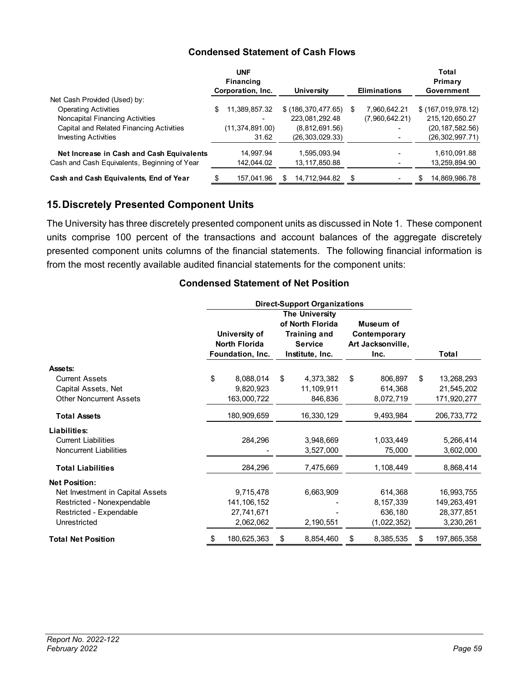|                                              |    | <b>UNF</b><br><b>Financing</b><br>Corporation, Inc. | <b>University</b>     |   | <b>Eliminations</b> | Total<br>Primary<br>Government |
|----------------------------------------------|----|-----------------------------------------------------|-----------------------|---|---------------------|--------------------------------|
| Net Cash Provided (Used) by:                 |    |                                                     |                       |   |                     |                                |
| <b>Operating Activities</b>                  | S. | 11,389,857.32                                       | \$(186, 370, 477, 65) | S | 7,960,642.21        | \$ (167,019,978.12)            |
| Noncapital Financing Activities              |    |                                                     | 223,081,292.48        |   | (7,960,642.21)      | 215, 120, 650. 27              |
| Capital and Related Financing Activities     |    | (11, 374, 891.00)                                   | (8,812,691.56)        |   |                     | (20, 187, 582.56)              |
| <b>Investing Activities</b>                  |    | 31.62                                               | (26, 303, 029.33)     |   |                     | (26, 302, 997.71)              |
| Net Increase in Cash and Cash Equivalents    |    | 14.997.94                                           | 1.595.093.94          |   |                     | 1,610,091.88                   |
| Cash and Cash Equivalents, Beginning of Year |    | 142,044.02                                          | 13,117,850.88         |   |                     | 13,259,894.90                  |
| Cash and Cash Equivalents, End of Year       |    | 157.041.96                                          | 14.712.944.82         |   |                     | \$<br>14,869,986.78            |

# **15. Discretely Presented Component Units**

The University has three discretely presented component units as discussed in Note 1. These component units comprise 100 percent of the transactions and account balances of the aggregate discretely presented component units columns of the financial statements. The following financial information is from the most recently available audited financial statements for the component units:

#### **Condensed Statement of Net Position**

|                                  |    | <b>Direct-Support Organizations</b>                       |    |                                                                                                |    |                                                        |                   |  |
|----------------------------------|----|-----------------------------------------------------------|----|------------------------------------------------------------------------------------------------|----|--------------------------------------------------------|-------------------|--|
|                                  |    | University of<br><b>North Florida</b><br>Foundation, Inc. |    | The University<br>of North Florida<br><b>Training and</b><br><b>Service</b><br>Institute, Inc. |    | Museum of<br>Contemporary<br>Art Jacksonville,<br>Inc. | Total             |  |
| Assets:                          |    |                                                           |    |                                                                                                |    |                                                        |                   |  |
| <b>Current Assets</b>            | \$ | 8,088,014                                                 | \$ | 4,373,382                                                                                      | \$ | 806,897                                                | \$<br>13,268,293  |  |
| Capital Assets, Net              |    | 9,820,923                                                 |    | 11,109,911                                                                                     |    | 614,368                                                | 21,545,202        |  |
| <b>Other Noncurrent Assets</b>   |    | 163,000,722                                               |    | 846,836                                                                                        |    | 8,072,719                                              | 171,920,277       |  |
| <b>Total Assets</b>              |    | 180,909,659                                               |    | 16,330,129                                                                                     |    | 9,493,984                                              | 206,733,772       |  |
| Liabilities:                     |    |                                                           |    |                                                                                                |    |                                                        |                   |  |
| <b>Current Liabilities</b>       |    | 284,296                                                   |    | 3,948,669                                                                                      |    | 1,033,449                                              | 5,266,414         |  |
| Noncurrent Liabilities           |    |                                                           |    | 3,527,000                                                                                      |    | 75,000                                                 | 3,602,000         |  |
| <b>Total Liabilities</b>         |    | 284,296                                                   |    | 7,475,669                                                                                      |    | 1,108,449                                              | 8,868,414         |  |
| <b>Net Position:</b>             |    |                                                           |    |                                                                                                |    |                                                        |                   |  |
| Net Investment in Capital Assets |    | 9,715,478                                                 |    | 6,663,909                                                                                      |    | 614,368                                                | 16,993,755        |  |
| Restricted - Nonexpendable       |    | 141, 106, 152                                             |    |                                                                                                |    | 8,157,339                                              | 149,263,491       |  |
| Restricted - Expendable          |    | 27,741,671                                                |    |                                                                                                |    | 636,180                                                | 28,377,851        |  |
| Unrestricted                     |    | 2,062,062                                                 |    | 2,190,551                                                                                      |    | (1,022,352)                                            | 3,230,261         |  |
| <b>Total Net Position</b>        | \$ | 180,625,363                                               | \$ | 8,854,460                                                                                      | \$ | 8,385,535                                              | \$<br>197,865,358 |  |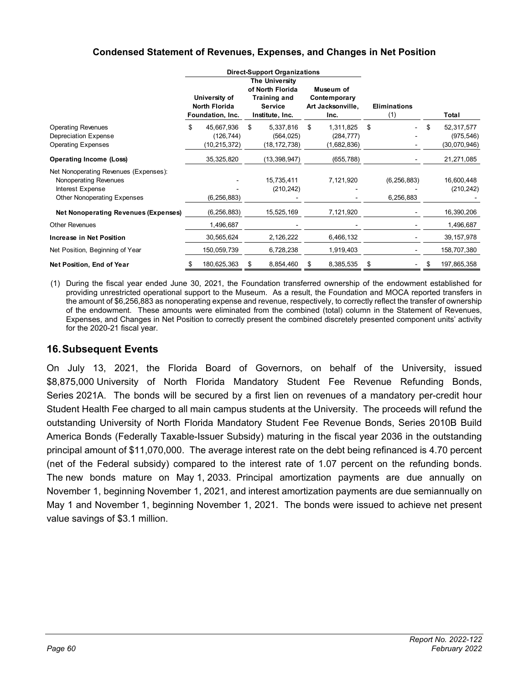#### **Condensed Statement of Revenues, Expenses, and Changes in Net Position**

|                                                                                                                                 |                                                           |   | <b>Direct-Support Organizations</b>                                                            |    |                                                        |    |                            |    |                          |
|---------------------------------------------------------------------------------------------------------------------------------|-----------------------------------------------------------|---|------------------------------------------------------------------------------------------------|----|--------------------------------------------------------|----|----------------------------|----|--------------------------|
|                                                                                                                                 | University of<br><b>North Florida</b><br>Foundation, Inc. |   | The University<br>of North Florida<br><b>Training and</b><br><b>Service</b><br>Institute, Inc. |    | Museum of<br>Contemporary<br>Art Jacksonville,<br>Inc. |    | <b>Eliminations</b><br>(1) |    | Total                    |
| <b>Operating Revenues</b>                                                                                                       | \$<br>45,667,936                                          | S | 5,337,816                                                                                      | \$ | 1,311,825                                              | \$ |                            | \$ | 52,317,577               |
| Depreciation Expense                                                                                                            | (126, 744)                                                |   | (564, 025)                                                                                     |    | (284, 777)                                             |    |                            |    | (975, 546)               |
| <b>Operating Expenses</b>                                                                                                       | (10, 215, 372)                                            |   | (18,172,738)                                                                                   |    | (1,682,836)                                            |    |                            |    | (30,070,946)             |
| <b>Operating Income (Loss)</b>                                                                                                  | 35,325,820                                                |   | (13, 398, 947)                                                                                 |    | (655, 788)                                             |    |                            |    | 21,271,085               |
| Net Nonoperating Revenues (Expenses):<br>Nonoperating Revenues<br><b>Interest Expense</b><br><b>Other Nonoperating Expenses</b> | (6, 256, 883)                                             |   | 15,735,411<br>(210, 242)                                                                       |    | 7,121,920                                              |    | (6, 256, 883)<br>6,256,883 |    | 16,600,448<br>(210, 242) |
| <b>Net Nonoperating Revenues (Expenses)</b>                                                                                     | (6, 256, 883)                                             |   | 15,525,169                                                                                     |    | 7,121,920                                              |    |                            |    | 16,390,206               |
| <b>Other Revenues</b>                                                                                                           | 1,496,687                                                 |   |                                                                                                |    |                                                        |    |                            |    | 1,496,687                |
| Increase in Net Position                                                                                                        | 30,565,624                                                |   | 2,126,222                                                                                      |    | 6,466,132                                              |    |                            |    | 39, 157, 978             |
| Net Position, Beginning of Year                                                                                                 | 150,059,739                                               |   | 6,728,238                                                                                      |    | 1,919,403                                              |    |                            |    | 158,707,380              |
| Net Position, End of Year                                                                                                       | \$<br>180,625,363                                         | S | 8,854,460                                                                                      | S  | 8,385,535                                              | \$ |                            | S  | 197,865,358              |

(1) During the fiscal year ended June 30, 2021, the Foundation transferred ownership of the endowment established for providing unrestricted operational support to the Museum. As a result, the Foundation and MOCA reported transfers in the amount of \$6,256,883 as nonoperating expense and revenue, respectively, to correctly reflect the transfer of ownership of the endowment. These amounts were eliminated from the combined (total) column in the Statement of Revenues, Expenses, and Changes in Net Position to correctly present the combined discretely presented component units' activity for the 2020-21 fiscal year.

#### **16. Subsequent Events**

On July 13, 2021, the Florida Board of Governors, on behalf of the University, issued \$8,875,000 University of North Florida Mandatory Student Fee Revenue Refunding Bonds, Series 2021A. The bonds will be secured by a first lien on revenues of a mandatory per-credit hour Student Health Fee charged to all main campus students at the University. The proceeds will refund the outstanding University of North Florida Mandatory Student Fee Revenue Bonds, Series 2010B Build America Bonds (Federally Taxable-Issuer Subsidy) maturing in the fiscal year 2036 in the outstanding principal amount of \$11,070,000. The average interest rate on the debt being refinanced is 4.70 percent (net of the Federal subsidy) compared to the interest rate of 1.07 percent on the refunding bonds. The new bonds mature on May 1, 2033. Principal amortization payments are due annually on November 1, beginning November 1, 2021, and interest amortization payments are due semiannually on May 1 and November 1, beginning November 1, 2021. The bonds were issued to achieve net present value savings of \$3.1 million.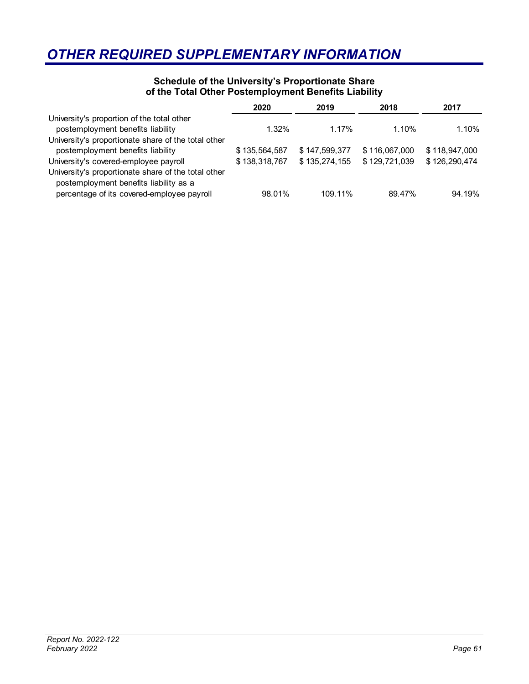# *OTHER REQUIRED SUPPLEMENTARY INFORMATION*

#### **Schedule of the University's Proportionate Share of the Total Other Postemployment Benefits Liability**

|                                                                                               | 2020          | 2019          | 2018          | 2017          |
|-----------------------------------------------------------------------------------------------|---------------|---------------|---------------|---------------|
| University's proportion of the total other                                                    |               |               |               |               |
| postemployment benefits liability                                                             | $1.32\%$      | 1.17%         | 1.10%         | 1.10%         |
| University's proportionate share of the total other                                           |               |               |               |               |
| postemployment benefits liability                                                             | \$135,564,587 | \$147,599,377 | \$116,067,000 | \$118,947,000 |
| University's covered-employee payroll                                                         | \$138,318,767 | \$135,274,155 | \$129,721,039 | \$126,290,474 |
| University's proportionate share of the total other<br>postemployment benefits liability as a |               |               |               |               |
| percentage of its covered-employee payroll                                                    | 98.01%        | 109.11%       | 89.47%        | 94.19%        |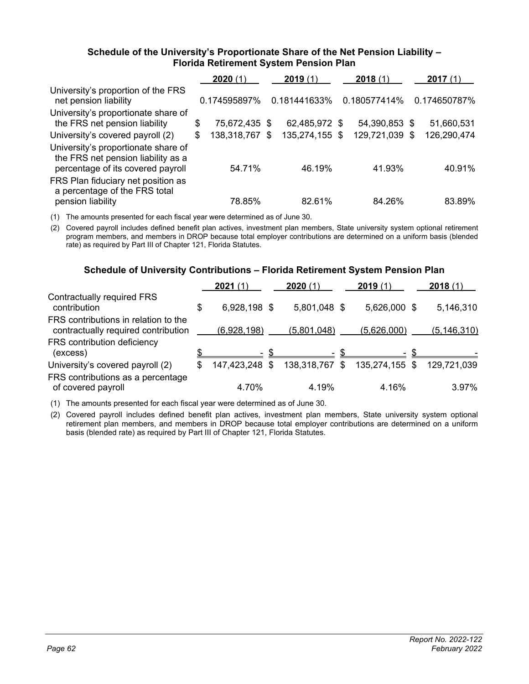#### **Schedule of the University's Proportionate Share of the Net Pension Liability – Florida Retirement System Pension Plan**

|                                                                                                                | 2020(1)           |    | 2019(1)        | 2018(1)        | 2017(1)      |
|----------------------------------------------------------------------------------------------------------------|-------------------|----|----------------|----------------|--------------|
| University's proportion of the FRS<br>net pension liability<br>University's proportionate share of             | 0.174595897%      |    | 0.181441633%   | 0.180577414%   | 0.174650787% |
| the FRS net pension liability                                                                                  | \$<br>75,672,435  | -S | 62,485,972 \$  | 54,390,853 \$  | 51,660,531   |
| University's covered payroll (2)                                                                               | \$<br>138,318,767 | S  | 135,274,155 \$ | 129,721,039 \$ | 126,290,474  |
| University's proportionate share of<br>the FRS net pension liability as a<br>percentage of its covered payroll | 54.71%            |    | 46.19%         | 41.93%         | 40.91%       |
| FRS Plan fiduciary net position as<br>a percentage of the FRS total<br>pension liability                       | 78.85%            |    | 82.61%         | 84.26%         | 83.89%       |

(1) The amounts presented for each fiscal year were determined as of June 30.

(2) Covered payroll includes defined benefit plan actives, investment plan members, State university system optional retirement program members, and members in DROP because total employer contributions are determined on a uniform basis (blended rate) as required by Part III of Chapter 121, Florida Statutes.

#### **Schedule of University Contributions – Florida Retirement System Pension Plan**

|                                                                             | 2021(1)              | 2020(1)                  | 2019(1)        | 2018(1)       |
|-----------------------------------------------------------------------------|----------------------|--------------------------|----------------|---------------|
| <b>Contractually required FRS</b><br>contribution                           | \$<br>6,928,198 \$   | 5,801,048 \$             | 5,626,000 \$   | 5,146,310     |
| FRS contributions in relation to the<br>contractually required contribution | (6,928,198)          | (5,801,048)              | (5,626,000)    | (5, 146, 310) |
| FRS contribution deficiency<br>(excess)                                     |                      | $\overline{\phantom{0}}$ |                |               |
| University's covered payroll (2)<br>FRS contributions as a percentage       | \$<br>147,423,248 \$ | 138,318,767 \$           | 135,274,155 \$ | 129,721,039   |
| of covered payroll                                                          | 4.70%                | 4.19%                    | 4.16%          | 3.97%         |

(1) The amounts presented for each fiscal year were determined as of June 30.

(2) Covered payroll includes defined benefit plan actives, investment plan members, State university system optional retirement plan members, and members in DROP because total employer contributions are determined on a uniform basis (blended rate) as required by Part III of Chapter 121, Florida Statutes.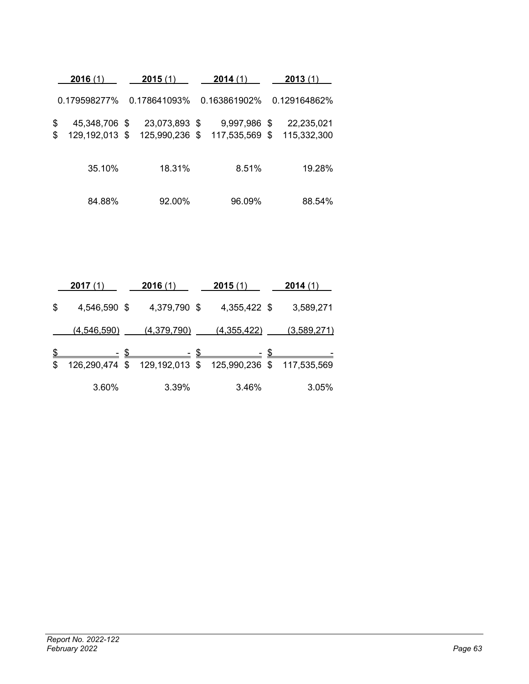| 2016(1) |                |  | 2015(1)        | 2014(1)        | 2013(1)      |
|---------|----------------|--|----------------|----------------|--------------|
|         | 0.179598277%   |  | 0.178641093%   | 0.163861902%   | 0.129164862% |
| \$      | 45,348,706 \$  |  | 23,073,893 \$  | 9,997,986 \$   | 22,235,021   |
| \$      | 129,192,013 \$ |  | 125,990,236 \$ | 117,535,569 \$ | 115,332,300  |
|         | 35.10%         |  | 18.31%         | 8.51%          | 19.28%       |
|         | 84.88%         |  | 92.00%         | 96.09%         | 88.54%       |

| 2017(1)              | 2016(1)                       | 2015(1)      | 2014(1)     |
|----------------------|-------------------------------|--------------|-------------|
| \$<br>4,546,590 \$   | 4,379,790 \$                  | 4,355,422 \$ | 3,589,271   |
| (4,546,590)          | (4,379,790)                   | (4,355,422)  | (3,589,271) |
| \$<br>126,290,474 \$ | 129,192,013 \$ 125,990,236 \$ |              | 117,535,569 |
| 3.60%                | 3.39%                         | 3.46%        | 3.05%       |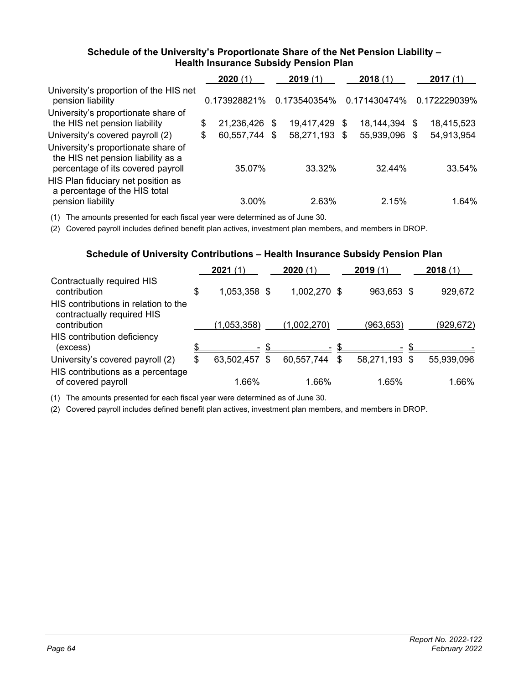#### **Schedule of the University's Proportionate Share of the Net Pension Liability – Health Insurance Subsidy Pension Plan**

|                                                                                                                | 2020(1) |              |   | 2019(1)      |   | 2018(1)      |    | 2017         |
|----------------------------------------------------------------------------------------------------------------|---------|--------------|---|--------------|---|--------------|----|--------------|
| University's proportion of the HIS net<br>pension liability<br>University's proportionate share of             |         | 0.173928821% |   | 0.173540354% |   | 0.171430474% |    | 0.172229039% |
| the HIS net pension liability                                                                                  | \$      | 21,236,426   | S | 19,417,429   | S | 18,144,394   | -S | 18,415,523   |
| University's covered payroll (2)                                                                               | \$      | 60,557,744   | S | 58,271,193   | S | 55,939,096   | S  | 54,913,954   |
| University's proportionate share of<br>the HIS net pension liability as a<br>percentage of its covered payroll |         | 35.07%       |   | 33.32%       |   | 32.44%       |    | 33.54%       |
| HIS Plan fiduciary net position as<br>a percentage of the HIS total<br>pension liability                       |         | $3.00\%$     |   | 2.63%        |   | 2.15%        |    | 1.64%        |

(1) The amounts presented for each fiscal year were determined as of June 30.

(2) Covered payroll includes defined benefit plan actives, investment plan members, and members in DROP.

#### **Schedule of University Contributions – Health Insurance Subsidy Pension Plan**

|                                                                    | 2021(1)            |    | 2020(1)      |     | 2019(1)       | 2018(1)    |
|--------------------------------------------------------------------|--------------------|----|--------------|-----|---------------|------------|
| Contractually required HIS<br>contribution                         | \$<br>1,053,358 \$ |    | 1,002,270 \$ |     | 963,653 \$    | 929,672    |
| HIS contributions in relation to the<br>contractually required HIS |                    |    |              |     |               |            |
| contribution                                                       | (1,053,358)        |    | (1,002,270)  |     | (963,653)     | (929, 672) |
| HIS contribution deficiency                                        |                    |    |              |     |               |            |
| (excess)                                                           |                    |    |              |     |               |            |
| University's covered payroll (2)                                   | \$<br>63,502,457   | \$ | 60,557,744   | -\$ | 58,271,193 \$ | 55,939,096 |
| HIS contributions as a percentage<br>of covered payroll            | 1.66%              |    | 1.66%        |     | 1.65%         | 1.66%      |

(1) The amounts presented for each fiscal year were determined as of June 30.

(2) Covered payroll includes defined benefit plan actives, investment plan members, and members in DROP.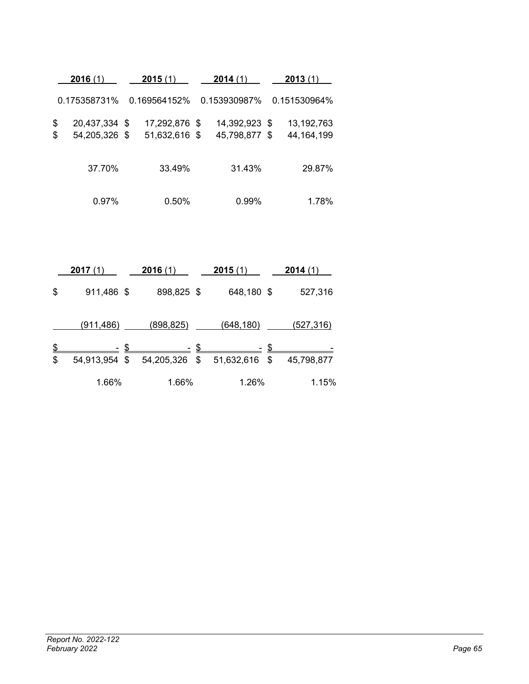|          | 2016(1)                        | 2015(1)                        | 2014(1)                        | 2013 (1                      |
|----------|--------------------------------|--------------------------------|--------------------------------|------------------------------|
|          | 0.175358731%                   | 0.169564152%                   | 0.153930987%                   | 0.151530964%                 |
| \$<br>\$ | 20,437,334 \$<br>54,205,326 \$ | 17,292,876 \$<br>51,632,616 \$ | 14,392,923 \$<br>45,798,877 \$ | 13, 192, 763<br>44, 164, 199 |
|          | 37.70%                         | 33.49%                         | 31.43%                         | 29.87%                       |
|          | 0.97%                          | 0.50%                          | 0.99%                          | 1.78%                        |

| 2017(1)             | 2016(1)       | 2015(1)       | 2014(1)    |
|---------------------|---------------|---------------|------------|
| \$<br>911,486 \$    | 898,825 \$    | 648,180 \$    | 527,316    |
| (911, 486)          | (898, 825)    | (648, 180)    | (527, 316) |
|                     |               |               |            |
| \$<br>54,913,954 \$ | 54,205,326 \$ | 51,632,616 \$ | 45,798,877 |
| 1.66%               | 1.66%         | 1.26%         | 1.15%      |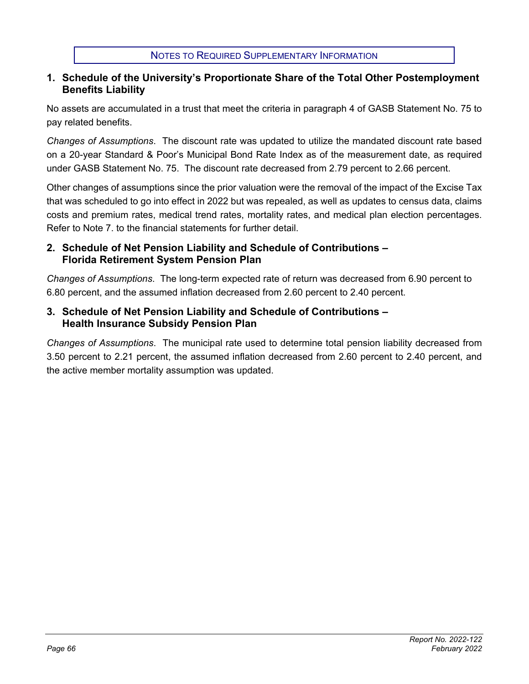# **1. Schedule of the University's Proportionate Share of the Total Other Postemployment Benefits Liability**

No assets are accumulated in a trust that meet the criteria in paragraph 4 of GASB Statement No. 75 to pay related benefits.

*Changes of Assumptions*. The discount rate was updated to utilize the mandated discount rate based on a 20-year Standard & Poor's Municipal Bond Rate Index as of the measurement date, as required under GASB Statement No. 75. The discount rate decreased from 2.79 percent to 2.66 percent.

Other changes of assumptions since the prior valuation were the removal of the impact of the Excise Tax that was scheduled to go into effect in 2022 but was repealed, as well as updates to census data, claims costs and premium rates, medical trend rates, mortality rates, and medical plan election percentages. Refer to Note 7. to the financial statements for further detail.

# **2. Schedule of Net Pension Liability and Schedule of Contributions – Florida Retirement System Pension Plan**

*Changes of Assumptions*. The long-term expected rate of return was decreased from 6.90 percent to 6.80 percent, and the assumed inflation decreased from 2.60 percent to 2.40 percent.

### **3. Schedule of Net Pension Liability and Schedule of Contributions – Health Insurance Subsidy Pension Plan**

*Changes of Assumptions*. The municipal rate used to determine total pension liability decreased from 3.50 percent to 2.21 percent, the assumed inflation decreased from 2.60 percent to 2.40 percent, and the active member mortality assumption was updated.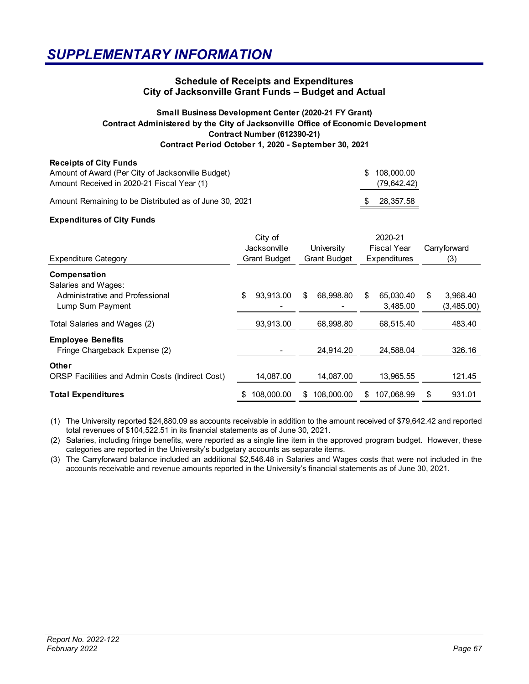# *SUPPLEMENTARY INFORMATION*

#### **Schedule of Receipts and Expenditures City of Jacksonville Grant Funds – Budget and Actual**

#### **Small Business Development Center (2020-21 FY Grant) Contract Administered by the City of Jacksonville Office of Economic Development Contract Number (612390-21) Contract Period October 1, 2020 - September 30, 2021**

| <b>Receipts of City Funds</b>                          |  |              |  |  |  |  |  |  |
|--------------------------------------------------------|--|--------------|--|--|--|--|--|--|
| Amount of Award (Per City of Jackson ville Budget)     |  | \$108,000,00 |  |  |  |  |  |  |
| Amount Received in 2020-21 Fiscal Year (1)             |  | (79, 642.42) |  |  |  |  |  |  |
| Amount Remaining to be Distributed as of June 30, 2021 |  | \$28.357.58  |  |  |  |  |  |  |

#### **Expenditures of City Funds**

| <b>Expenditure Category</b>                                                                | City of<br>Jacksonville<br><b>Grant Budget</b> |    | University<br><b>Grant Budget</b> |    | 2020-21<br><b>Fiscal Year</b><br><b>Expenditures</b> | Carryforward<br>(3)          |
|--------------------------------------------------------------------------------------------|------------------------------------------------|----|-----------------------------------|----|------------------------------------------------------|------------------------------|
| Compensation<br>Salaries and Wages:<br>Administrative and Professional<br>Lump Sum Payment | \$<br>93.913.00                                | \$ | 68,998.80                         | S  | 65,030.40<br>3,485.00                                | \$<br>3,968.40<br>(3,485.00) |
| Total Salaries and Wages (2)                                                               | 93,913.00                                      |    | 68,998.80                         |    | 68,515.40                                            | 483.40                       |
| <b>Employee Benefits</b><br>Fringe Chargeback Expense (2)                                  |                                                |    | 24,914.20                         |    | 24,588.04                                            | 326.16                       |
| <b>Other</b><br><b>ORSP Facilities and Admin Costs (Indirect Cost)</b>                     | 14,087.00                                      |    | 14,087.00                         |    | 13,965.55                                            | 121.45                       |
| <b>Total Expenditures</b>                                                                  | 108,000.00                                     | S  | 108,000.00                        | S. | 107,068.99                                           | \$<br>931.01                 |

(1) The University reported \$24,880.09 as accounts receivable in addition to the amount received of \$79,642.42 and reported total revenues of \$104,522.51 in its financial statements as of June 30, 2021.

(2) Salaries, including fringe benefits, were reported as a single line item in the approved program budget. However, these categories are reported in the University's budgetary accounts as separate items.

(3) The Carryforward balance included an additional \$2,546.48 in Salaries and Wages costs that were not included in the accounts receivable and revenue amounts reported in the University's financial statements as of June 30, 2021.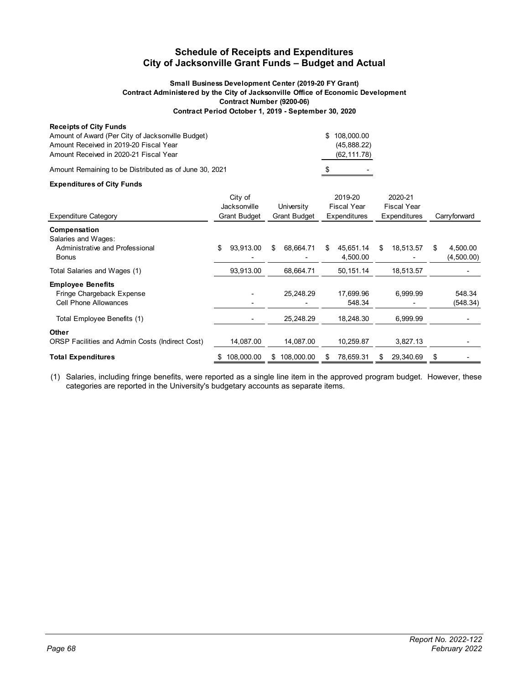#### **Schedule of Receipts and Expenditures City of Jacksonville Grant Funds – Budget and Actual**

#### **Small Business Development Center (2019-20 FY Grant) Contract Administered by the City of Jacksonville Office of Economic Development Contract Number (9200-06)**

**Contract Period October 1, 2019 - September 30, 2020**

| <b>Receipts of City Funds</b>                          |                     |              |            |    |                     |    |                     |     |              |  |
|--------------------------------------------------------|---------------------|--------------|------------|----|---------------------|----|---------------------|-----|--------------|--|
| Amount of Award (Per City of Jacksonville Budget)      |                     |              |            | \$ | 108.000.00          |    |                     |     |              |  |
| Amount Received in 2019-20 Fiscal Year                 |                     |              |            |    | (45,888.22)         |    |                     |     |              |  |
| Amount Received in 2020-21 Fiscal Year                 |                     |              |            |    | (62, 111.78)        |    |                     |     |              |  |
| Amount Remaining to be Distributed as of June 30, 2021 |                     |              |            | S  |                     |    |                     |     |              |  |
| <b>Expenditures of City Funds</b>                      |                     |              |            |    |                     |    |                     |     |              |  |
|                                                        | City of             |              |            |    | 2019-20             |    | 2020-21             |     |              |  |
|                                                        | Jacksonville        |              | University |    | <b>Fiscal Year</b>  |    | <b>Fiscal Year</b>  |     |              |  |
| <b>Expenditure Category</b>                            | <b>Grant Budget</b> | Grant Budget |            |    | <b>Expenditures</b> |    | <b>Expenditures</b> |     | Carryforward |  |
| Compensation                                           |                     |              |            |    |                     |    |                     |     |              |  |
| Salaries and Wages:                                    |                     |              |            |    |                     |    |                     |     |              |  |
| Administrative and Professional                        | \$<br>93,913.00     | S.           | 68,664.71  | S  | 45,651.14           | \$ | 18,513.57           | \$. | 4,500.00     |  |
| <b>Bonus</b>                                           |                     |              |            |    | 4.500.00            |    |                     |     | (4,500.00)   |  |
| Total Salaries and Wages (1)                           | 93,913.00           |              | 68.664.71  |    | 50, 151.14          |    | 18,513.57           |     |              |  |
| <b>Employee Benefits</b>                               |                     |              |            |    |                     |    |                     |     |              |  |
| Fringe Chargeback Expense                              |                     |              | 25,248.29  |    | 17,699.96           |    | 6,999.99            |     | 548.34       |  |
| <b>Cell Phone Allowances</b>                           |                     |              |            |    | 548.34              |    |                     |     | (548.34)     |  |
| Total Employee Benefits (1)                            |                     |              | 25,248.29  |    | 18,248.30           |    | 6,999.99            |     |              |  |
| <b>Other</b>                                           |                     |              |            |    |                     |    |                     |     |              |  |
| ORSP Facilities and Admin Costs (Indirect Cost)        | 14,087.00           |              | 14,087.00  |    | 10,259.87           |    | 3,827.13            |     |              |  |
| <b>Total Expenditures</b>                              | \$<br>108,000.00    |              | 108,000.00 | S. | 78,659.31           | \$ | 29,340.69           | \$  |              |  |

(1) Salaries, including fringe benefits, were reported as a single line item in the approved program budget. However, these categories are reported in the University's budgetary accounts as separate items.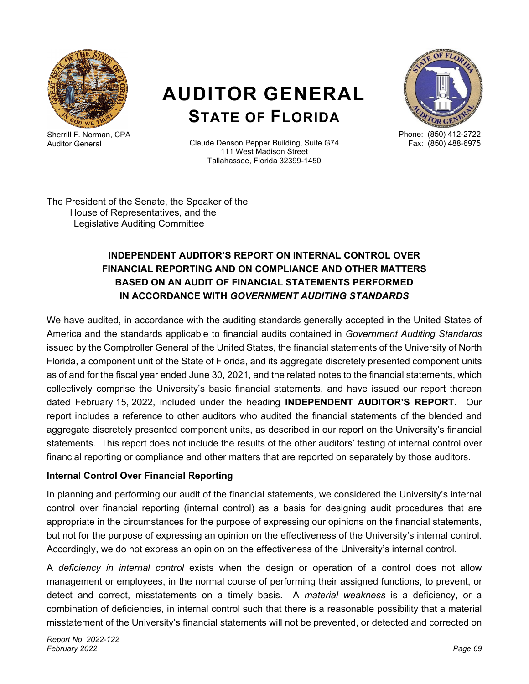

Sherrill F. Norman, CPA Auditor General

# **AUDITOR GENERAL STATE OF FLORIDA**



Phone: (850) 412-2722 Fax: (850) 488-6975

Claude Denson Pepper Building, Suite G74 111 West Madison Street Tallahassee, Florida 32399-1450

The President of the Senate, the Speaker of the House of Representatives, and the Legislative Auditing Committee

## **INDEPENDENT AUDITOR'S REPORT ON INTERNAL CONTROL OVER FINANCIAL REPORTING AND ON COMPLIANCE AND OTHER MATTERS BASED ON AN AUDIT OF FINANCIAL STATEMENTS PERFORMED IN ACCORDANCE WITH** *GOVERNMENT AUDITING STANDARDS*

We have audited, in accordance with the auditing standards generally accepted in the United States of America and the standards applicable to financial audits contained in *Government Auditing Standards* issued by the Comptroller General of the United States, the financial statements of the University of North Florida, a component unit of the State of Florida, and its aggregate discretely presented component units as of and for the fiscal year ended June 30, 2021, and the related notes to the financial statements, which collectively comprise the University's basic financial statements, and have issued our report thereon dated February 15, 2022, included under the heading **INDEPENDENT AUDITOR'S REPORT**. Our report includes a reference to other auditors who audited the financial statements of the blended and aggregate discretely presented component units, as described in our report on the University's financial statements. This report does not include the results of the other auditors' testing of internal control over financial reporting or compliance and other matters that are reported on separately by those auditors.

## **Internal Control Over Financial Reporting**

In planning and performing our audit of the financial statements, we considered the University's internal control over financial reporting (internal control) as a basis for designing audit procedures that are appropriate in the circumstances for the purpose of expressing our opinions on the financial statements, but not for the purpose of expressing an opinion on the effectiveness of the University's internal control. Accordingly, we do not express an opinion on the effectiveness of the University's internal control.

A *deficiency in internal control* exists when the design or operation of a control does not allow management or employees, in the normal course of performing their assigned functions, to prevent, or detect and correct, misstatements on a timely basis. A *material weakness* is a deficiency, or a combination of deficiencies, in internal control such that there is a reasonable possibility that a material misstatement of the University's financial statements will not be prevented, or detected and corrected on